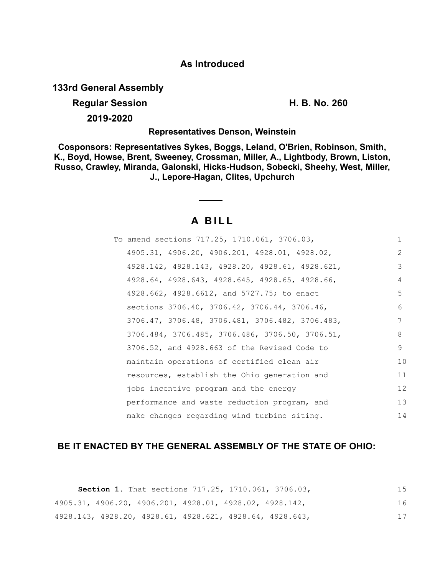### **As Introduced**

**133rd General Assembly**

**Regular Session H. B. No. 260**

**2019-2020**

**Representatives Denson, Weinstein**

**Cosponsors: Representatives Sykes, Boggs, Leland, O'Brien, Robinson, Smith, K., Boyd, Howse, Brent, Sweeney, Crossman, Miller, A., Lightbody, Brown, Liston, Russo, Crawley, Miranda, Galonski, Hicks-Hudson, Sobecki, Sheehy, West, Miller, J., Lepore-Hagan, Clites, Upchurch**

# **A B I L L**

| To amend sections 717.25, 1710.061, 3706.03,    | $\mathbf{1}$ |
|-------------------------------------------------|--------------|
| 4905.31, 4906.20, 4906.201, 4928.01, 4928.02,   | 2            |
| 4928.142, 4928.143, 4928.20, 4928.61, 4928.621, | 3            |
| 4928.64, 4928.643, 4928.645, 4928.65, 4928.66,  | 4            |
| 4928.662, 4928.6612, and 5727.75; to enact      | 5            |
| sections 3706.40, 3706.42, 3706.44, 3706.46,    | 6            |
| 3706.47, 3706.48, 3706.481, 3706.482, 3706.483, | 7            |
| 3706.484, 3706.485, 3706.486, 3706.50, 3706.51, | 8            |
| 3706.52, and 4928.663 of the Revised Code to    | 9            |
| maintain operations of certified clean air      | 10           |
| resources, establish the Ohio generation and    | 11           |
| jobs incentive program and the energy           | 12           |
| performance and waste reduction program, and    | 13           |
| make changes regarding wind turbine siting.     | 14           |

## **BE IT ENACTED BY THE GENERAL ASSEMBLY OF THE STATE OF OHIO:**

|  |                                                         |  | <b>Section 1.</b> That sections 717.25, 1710.061, 3706.03, | 15 |
|--|---------------------------------------------------------|--|------------------------------------------------------------|----|
|  | 4905.31, 4906.20, 4906.201, 4928.01, 4928.02, 4928.142, |  |                                                            | 16 |
|  |                                                         |  | 4928.143, 4928.20, 4928.61, 4928.621, 4928.64, 4928.643,   |    |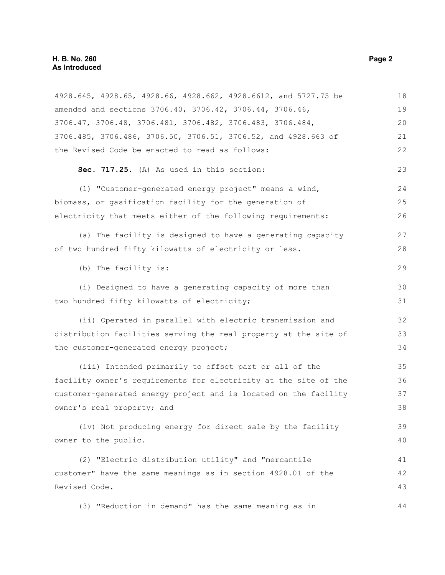| 4928.645, 4928.65, 4928.66, 4928.662, 4928.6612, and 5727.75 be  | 18 |
|------------------------------------------------------------------|----|
| amended and sections 3706.40, 3706.42, 3706.44, 3706.46,         | 19 |
| 3706.47, 3706.48, 3706.481, 3706.482, 3706.483, 3706.484,        | 20 |
| 3706.485, 3706.486, 3706.50, 3706.51, 3706.52, and 4928.663 of   | 21 |
| the Revised Code be enacted to read as follows:                  | 22 |
| Sec. 717.25. (A) As used in this section:                        | 23 |
| (1) "Customer-generated energy project" means a wind,            | 24 |
| biomass, or gasification facility for the generation of          | 25 |
| electricity that meets either of the following requirements:     | 26 |
| (a) The facility is designed to have a generating capacity       | 27 |
| of two hundred fifty kilowatts of electricity or less.           | 28 |
| (b) The facility is:                                             | 29 |
| (i) Designed to have a generating capacity of more than          | 30 |
| two hundred fifty kilowatts of electricity;                      | 31 |
| (ii) Operated in parallel with electric transmission and         | 32 |
| distribution facilities serving the real property at the site of | 33 |
| the customer-generated energy project;                           | 34 |
| (iii) Intended primarily to offset part or all of the            | 35 |
| facility owner's requirements for electricity at the site of the | 36 |
| customer-generated energy project and is located on the facility | 37 |
| owner's real property; and                                       | 38 |
| (iv) Not producing energy for direct sale by the facility        | 39 |
| owner to the public.                                             | 40 |
| (2) "Electric distribution utility" and "mercantile              | 41 |
| customer" have the same meanings as in section 4928.01 of the    | 42 |
| Revised Code.                                                    | 43 |
| (3) "Reduction in demand" has the same meaning as in             | 44 |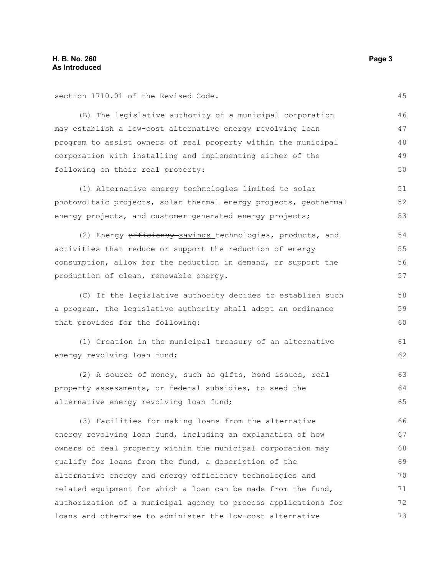section 1710.01 of the Revised Code.

(B) The legislative authority of a municipal corporation may establish a low-cost alternative energy revolving loan program to assist owners of real property within the municipal corporation with installing and implementing either of the following on their real property: 46 47 48 49 50

(1) Alternative energy technologies limited to solar photovoltaic projects, solar thermal energy projects, geothermal energy projects, and customer-generated energy projects; 51 52 53

(2) Energy efficiency savings technologies, products, and activities that reduce or support the reduction of energy consumption, allow for the reduction in demand, or support the production of clean, renewable energy. 54 55 56 57

(C) If the legislative authority decides to establish such a program, the legislative authority shall adopt an ordinance that provides for the following:

(1) Creation in the municipal treasury of an alternative energy revolving loan fund; 61 62

(2) A source of money, such as gifts, bond issues, real property assessments, or federal subsidies, to seed the alternative energy revolving loan fund; 63 64 65

(3) Facilities for making loans from the alternative energy revolving loan fund, including an explanation of how owners of real property within the municipal corporation may qualify for loans from the fund, a description of the alternative energy and energy efficiency technologies and related equipment for which a loan can be made from the fund, authorization of a municipal agency to process applications for loans and otherwise to administer the low-cost alternative 66 67 68 69 70 71 72 73

45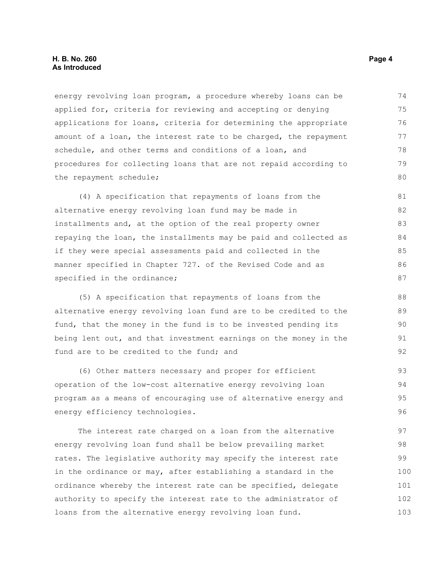energy revolving loan program, a procedure whereby loans can be applied for, criteria for reviewing and accepting or denying applications for loans, criteria for determining the appropriate amount of a loan, the interest rate to be charged, the repayment schedule, and other terms and conditions of a loan, and procedures for collecting loans that are not repaid according to the repayment schedule; 74 75 76 77 78 79  $80$ 

(4) A specification that repayments of loans from the alternative energy revolving loan fund may be made in installments and, at the option of the real property owner repaying the loan, the installments may be paid and collected as if they were special assessments paid and collected in the manner specified in Chapter 727. of the Revised Code and as specified in the ordinance; 81 82 83 84 85 86 87

(5) A specification that repayments of loans from the alternative energy revolving loan fund are to be credited to the fund, that the money in the fund is to be invested pending its being lent out, and that investment earnings on the money in the fund are to be credited to the fund; and

(6) Other matters necessary and proper for efficient operation of the low-cost alternative energy revolving loan program as a means of encouraging use of alternative energy and energy efficiency technologies. 93 94 95 96

The interest rate charged on a loan from the alternative energy revolving loan fund shall be below prevailing market rates. The legislative authority may specify the interest rate in the ordinance or may, after establishing a standard in the ordinance whereby the interest rate can be specified, delegate authority to specify the interest rate to the administrator of loans from the alternative energy revolving loan fund. 97 98 99 100 101 102 103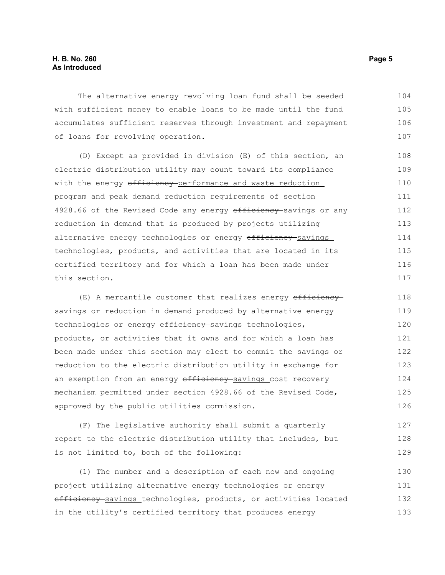The alternative energy revolving loan fund shall be seeded with sufficient money to enable loans to be made until the fund accumulates sufficient reserves through investment and repayment of loans for revolving operation. 104 105 106 107

(D) Except as provided in division (E) of this section, an electric distribution utility may count toward its compliance with the energy efficiency-performance and waste reduction program and peak demand reduction requirements of section 4928.66 of the Revised Code any energy efficiency-savings or any reduction in demand that is produced by projects utilizing alternative energy technologies or energy efficiency savings technologies, products, and activities that are located in its certified territory and for which a loan has been made under this section.

(E) A mercantile customer that realizes energy efficiency savings or reduction in demand produced by alternative energy technologies or energy efficiency savings technologies, products, or activities that it owns and for which a loan has been made under this section may elect to commit the savings or reduction to the electric distribution utility in exchange for an exemption from an energy efficiency savings cost recovery mechanism permitted under section 4928.66 of the Revised Code, approved by the public utilities commission. 118 119 120 121 122 123 124 125 126

(F) The legislative authority shall submit a quarterly report to the electric distribution utility that includes, but is not limited to, both of the following: 127 128 129

(1) The number and a description of each new and ongoing project utilizing alternative energy technologies or energy efficiency savings technologies, products, or activities located in the utility's certified territory that produces energy 130 131 132 133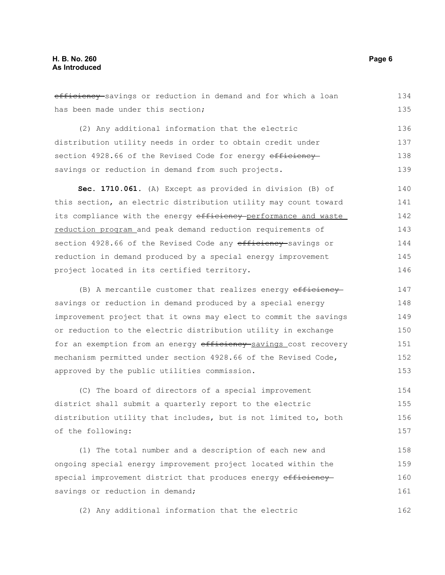efficiency savings or reduction in demand and for which a loan has been made under this section; 134 135

(2) Any additional information that the electric distribution utility needs in order to obtain credit under section 4928.66 of the Revised Code for energy efficiency savings or reduction in demand from such projects. 136 137 138 139

**Sec. 1710.061.** (A) Except as provided in division (B) of this section, an electric distribution utility may count toward its compliance with the energy efficiency performance and waste reduction program and peak demand reduction requirements of section 4928.66 of the Revised Code any efficiency savings or reduction in demand produced by a special energy improvement project located in its certified territory. 140 141 142 143 144 145 146

(B) A mercantile customer that realizes energy efficiency savings or reduction in demand produced by a special energy improvement project that it owns may elect to commit the savings or reduction to the electric distribution utility in exchange for an exemption from an energy efficiency savings cost recovery mechanism permitted under section 4928.66 of the Revised Code, approved by the public utilities commission. 147 148 149 150 151 152 153

(C) The board of directors of a special improvement district shall submit a quarterly report to the electric distribution utility that includes, but is not limited to, both of the following: 154 155 156 157

(1) The total number and a description of each new and ongoing special energy improvement project located within the special improvement district that produces energy efficiency savings or reduction in demand; 158 159 160 161

(2) Any additional information that the electric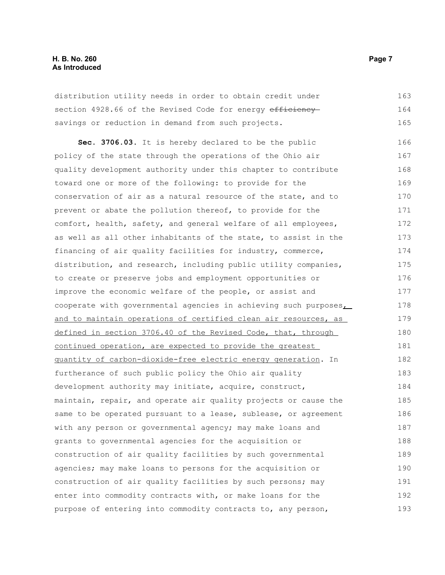#### **H. B. No. 260 Page 7 As Introduced**

distribution utility needs in order to obtain credit under section 4928.66 of the Revised Code for energy efficiency savings or reduction in demand from such projects. 163 164 165

**Sec. 3706.03.** It is hereby declared to be the public policy of the state through the operations of the Ohio air quality development authority under this chapter to contribute toward one or more of the following: to provide for the conservation of air as a natural resource of the state, and to prevent or abate the pollution thereof, to provide for the comfort, health, safety, and general welfare of all employees, as well as all other inhabitants of the state, to assist in the financing of air quality facilities for industry, commerce, distribution, and research, including public utility companies, to create or preserve jobs and employment opportunities or improve the economic welfare of the people, or assist and cooperate with governmental agencies in achieving such purposes, and to maintain operations of certified clean air resources, as defined in section 3706.40 of the Revised Code, that, through continued operation, are expected to provide the greatest quantity of carbon-dioxide-free electric energy generation. In furtherance of such public policy the Ohio air quality development authority may initiate, acquire, construct, maintain, repair, and operate air quality projects or cause the same to be operated pursuant to a lease, sublease, or agreement with any person or governmental agency; may make loans and grants to governmental agencies for the acquisition or construction of air quality facilities by such governmental agencies; may make loans to persons for the acquisition or construction of air quality facilities by such persons; may enter into commodity contracts with, or make loans for the purpose of entering into commodity contracts to, any person, 166 167 168 169 170 171 172 173 174 175 176 177 178 179 180 181 182 183 184 185 186 187 188 189 190 191 192 193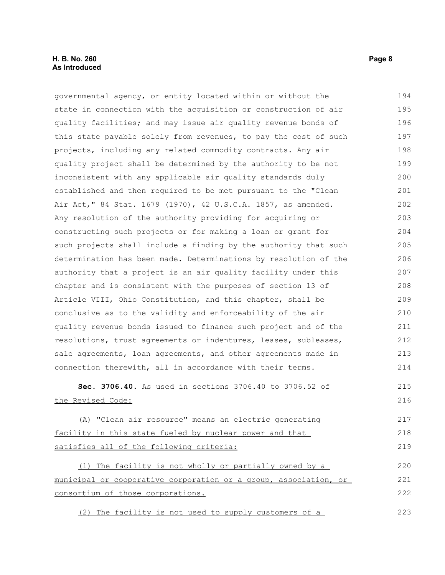| governmental agency, or entity located within or without the     | 194 |
|------------------------------------------------------------------|-----|
| state in connection with the acquisition or construction of air  | 195 |
| quality facilities; and may issue air quality revenue bonds of   | 196 |
| this state payable solely from revenues, to pay the cost of such | 197 |
| projects, including any related commodity contracts. Any air     | 198 |
| quality project shall be determined by the authority to be not   | 199 |
| inconsistent with any applicable air quality standards duly      | 200 |
| established and then required to be met pursuant to the "Clean   | 201 |
| Air Act, " 84 Stat. 1679 (1970), 42 U.S.C.A. 1857, as amended.   | 202 |
| Any resolution of the authority providing for acquiring or       | 203 |
| constructing such projects or for making a loan or grant for     | 204 |
| such projects shall include a finding by the authority that such | 205 |
| determination has been made. Determinations by resolution of the | 206 |
| authority that a project is an air quality facility under this   | 207 |
| chapter and is consistent with the purposes of section 13 of     | 208 |
| Article VIII, Ohio Constitution, and this chapter, shall be      | 209 |
| conclusive as to the validity and enforceability of the air      | 210 |
| quality revenue bonds issued to finance such project and of the  | 211 |
| resolutions, trust agreements or indentures, leases, subleases,  | 212 |
| sale agreements, loan agreements, and other agreements made in   | 213 |
| connection therewith, all in accordance with their terms.        | 214 |
| Sec. 3706.40. As used in sections 3706.40 to 3706.52 of          | 215 |
| the Revised Code:                                                | 216 |
| (A) "Clean air resource" means an electric generating            | 217 |
| facility in this state fueled by nuclear power and that          | 218 |
| satisfies all of the following criteria:                         | 219 |
| (1) The facility is not wholly or partially owned by a           | 220 |
| municipal or cooperative corporation or a group, association, or | 221 |
| consortium of those corporations.                                | 222 |
| (2) The facility is not used to supply customers of a            | 223 |

(2) The facility is not used to supply customers of a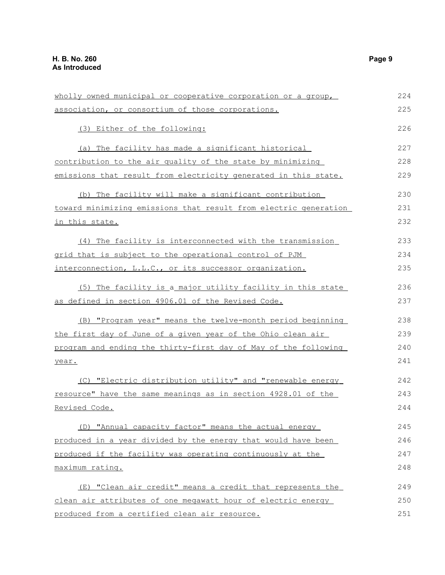| wholly owned municipal or cooperative corporation or a group,    | 224 |
|------------------------------------------------------------------|-----|
| association, or consortium of those corporations.                | 225 |
| (3) Either of the following:                                     | 226 |
| (a) The facility has made a significant historical               | 227 |
| contribution to the air quality of the state by minimizing       | 228 |
| emissions that result from electricity generated in this state.  | 229 |
| (b) The facility will make a significant contribution            | 230 |
| toward minimizing emissions that result from electric generation | 231 |
| <u>in this state.</u>                                            | 232 |
| (4) The facility is interconnected with the transmission         | 233 |
| grid that is subject to the operational control of PJM           | 234 |
| interconnection, L.L.C., or its successor organization.          | 235 |
| (5) The facility is a major utility facility in this state       | 236 |
| as defined in section 4906.01 of the Revised Code.               | 237 |
| (B) "Program year" means the twelve-month period beginning       | 238 |
| the first day of June of a given year of the Ohio clean air      | 239 |
| program and ending the thirty-first day of May of the following  | 240 |
| year.                                                            | 241 |
| (C) "Electric distribution utility" and "renewable energy        | 242 |
| resource" have the same meanings as in section 4928.01 of the    | 243 |
| Revised Code.                                                    | 244 |
| (D) "Annual capacity factor" means the actual energy             | 245 |
| produced in a year divided by the energy that would have been    | 246 |
| produced if the facility was operating continuously at the       | 247 |
| maximum rating.                                                  | 248 |
| (E) "Clean air credit" means a credit that represents the        | 249 |
| clean air attributes of one megawatt hour of electric energy     | 250 |
| produced from a certified clean air resource.                    | 251 |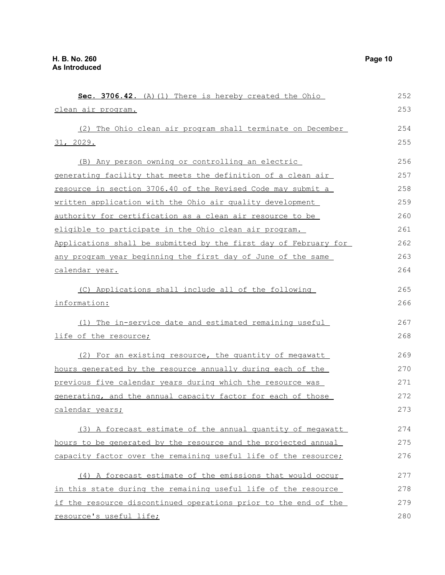**Sec. 3706.42.** (A)(1) There is hereby created the Ohio clean air program. (2) The Ohio clean air program shall terminate on December 31, 2029. (B) Any person owning or controlling an electric generating facility that meets the definition of a clean air resource in section 3706.40 of the Revised Code may submit a written application with the Ohio air quality development authority for certification as a clean air resource to be eligible to participate in the Ohio clean air program. Applications shall be submitted by the first day of February for any program year beginning the first day of June of the same calendar year. (C) Applications shall include all of the following information: (1) The in-service date and estimated remaining useful life of the resource; (2) For an existing resource, the quantity of megawatt hours generated by the resource annually during each of the previous five calendar years during which the resource was generating, and the annual capacity factor for each of those calendar years; (3) A forecast estimate of the annual quantity of megawatt hours to be generated by the resource and the projected annual capacity factor over the remaining useful life of the resource; (4)A forecast estimate of the emissions that would occur in this state during the remaining useful life of the resource if the resource discontinued operations prior to the end of the resource's useful life; 252 253 254 255 256 257 258 259 260 261 262 263 264 265 266 267 268 269 270 271 272 273 274 275 276 277 278 279 280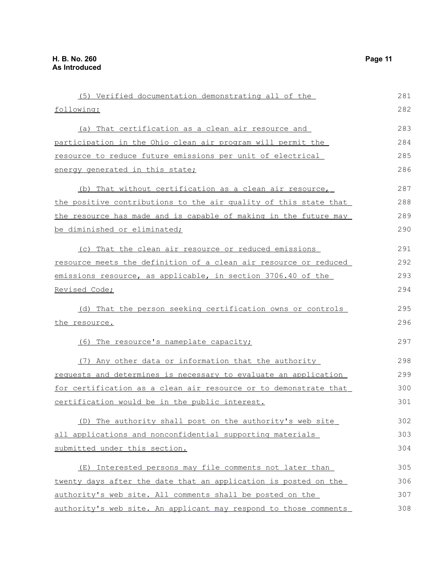| (5) Verified documentation demonstrating all of the              | 281 |
|------------------------------------------------------------------|-----|
| following:                                                       | 282 |
| (a) That certification as a clean air resource and               | 283 |
| participation in the Ohio clean air program will permit the      | 284 |
| resource to reduce future emissions per unit of electrical       | 285 |
| energy generated in this state;                                  | 286 |
| (b) That without certification as a clean air resource,          | 287 |
| the positive contributions to the air quality of this state that | 288 |
| the resource has made and is capable of making in the future may | 289 |
| be diminished or eliminated;                                     | 290 |
| (c) That the clean air resource or reduced emissions             | 291 |
| resource meets the definition of a clean air resource or reduced | 292 |
| emissions resource, as applicable, in section 3706.40 of the     | 293 |
| Revised Code;                                                    | 294 |
| (d) That the person seeking certification owns or controls       | 295 |
| the resource.                                                    | 296 |
| (6) The resource's nameplate capacity;                           | 297 |
| (7) Any other data or information that the authority             | 298 |
| requests and determines is necessary to evaluate an application  | 299 |
| for certification as a clean air resource or to demonstrate that | 300 |
| certification would be in the public interest.                   | 301 |
| (D) The authority shall post on the authority's web site         | 302 |
| all applications and nonconfidential supporting materials        | 303 |
| submitted under this section.                                    | 304 |
| (E) Interested persons may file comments not later than          | 305 |
| twenty days after the date that an application is posted on the  | 306 |
| authority's web site. All comments shall be posted on the        | 307 |
| authority's web site. An applicant may respond to those comments | 308 |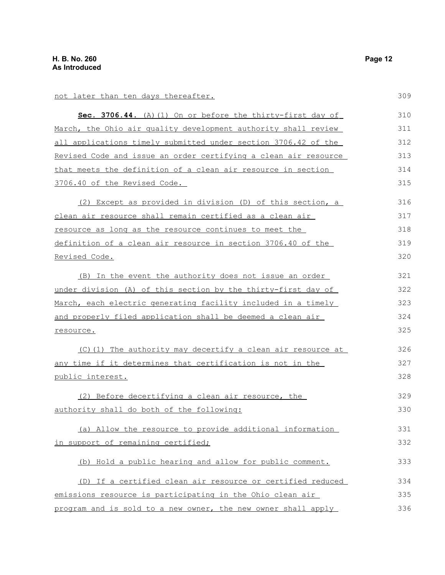not later than ten days thereafter.

| Sec. 3706.44. (A) (1) On or before the thirty-first day of      | 310 |
|-----------------------------------------------------------------|-----|
| March, the Ohio air quality development authority shall review  | 311 |
| all applications timely submitted under section 3706.42 of the  | 312 |
| Revised Code and issue an order certifying a clean air resource | 313 |
| that meets the definition of a clean air resource in section    | 314 |
| 3706.40 of the Revised Code.                                    | 315 |
| (2) Except as provided in division (D) of this section, a       | 316 |
| clean air resource shall remain certified as a clean air        | 317 |
| resource as long as the resource continues to meet the          | 318 |
| definition of a clean air resource in section 3706.40 of the    | 319 |
| <u>Revised Code.</u>                                            | 320 |
| (B) In the event the authority does not issue an order          | 321 |
| under division (A) of this section by the thirty-first day of   | 322 |
| March, each electric generating facility included in a timely   | 323 |
| and properly filed application shall be deemed a clean air      | 324 |
| resource.                                                       | 325 |
| (C)(1) The authority may decertify a clean air resource at      | 326 |
| any time if it determines that certification is not in the      | 327 |
| public interest.                                                | 328 |
| (2) Before decertifying a clean air resource, the               | 329 |
| authority shall do both of the following:                       | 330 |
| (a) Allow the resource to provide additional information        | 331 |
| in support of remaining certified;                              | 332 |
| (b) Hold a public hearing and allow for public comment.         | 333 |
| (D) If a certified clean air resource or certified reduced      | 334 |
| emissions resource is participating in the Ohio clean air       | 335 |
| program and is sold to a new owner, the new owner shall apply   | 336 |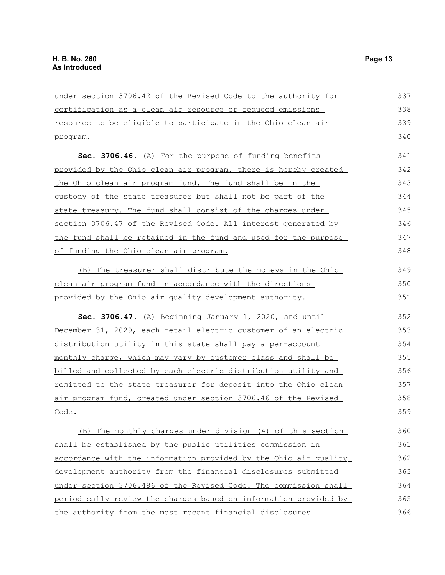| under section 3706.42 of the Revised Code to the authority for   | 337 |
|------------------------------------------------------------------|-----|
| certification as a clean air resource or reduced emissions       | 338 |
| resource to be eligible to participate in the Ohio clean air     | 339 |
| program.                                                         | 340 |
| Sec. 3706.46. (A) For the purpose of funding benefits            | 341 |
| provided by the Ohio clean air program, there is hereby created  | 342 |
| the Ohio clean air program fund. The fund shall be in the        | 343 |
| custody of the state treasurer but shall not be part of the      | 344 |
| state treasury. The fund shall consist of the charges under      | 345 |
| section 3706.47 of the Revised Code. All interest generated by   | 346 |
| the fund shall be retained in the fund and used for the purpose  | 347 |
| of funding the Ohio clean air program.                           | 348 |
| (B) The treasurer shall distribute the moneys in the Ohio        | 349 |
| clean air program fund in accordance with the directions         | 350 |
| provided by the Ohio air quality development authority.          | 351 |
| Sec. 3706.47. (A) Beginning January 1, 2020, and until           | 352 |
| December 31, 2029, each retail electric customer of an electric  | 353 |
| distribution utility in this state shall pay a per-account       | 354 |
| monthly charge, which may vary by customer class and shall be    | 355 |
| billed and collected by each electric distribution utility and   | 356 |
| remitted to the state treasurer for deposit into the Ohio clean  | 357 |
| air program fund, created under section 3706.46 of the Revised   | 358 |
| Code.                                                            | 359 |
| (B) The monthly charges under division (A) of this section       | 360 |
| shall be established by the public utilities commission in       | 361 |
| accordance with the information provided by the Ohio air quality | 362 |
| development authority from the financial disclosures submitted   | 363 |
| under section 3706.486 of the Revised Code. The commission shall | 364 |
| periodically review the charges based on information provided by | 365 |
| the authority from the most recent financial disclosures         | 366 |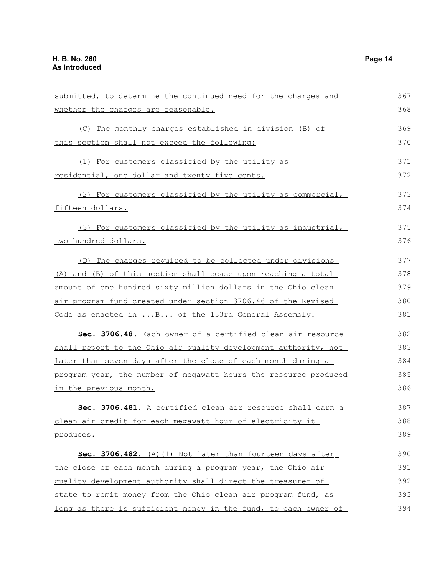| submitted, to determine the continued need for the charges and   | 367 |
|------------------------------------------------------------------|-----|
| whether the charges are reasonable.                              | 368 |
| (C) The monthly charges established in division (B) of           | 369 |
| this section shall not exceed the following:                     | 370 |
| (1) For customers classified by the utility as                   | 371 |
| residential, one dollar and twenty five cents.                   | 372 |
| (2) For customers classified by the utility as commercial,       | 373 |
| fifteen dollars.                                                 | 374 |
| (3) For customers classified by the utility as industrial,       | 375 |
| <u>two hundred dollars.</u>                                      | 376 |
| (D) The charges required to be collected under divisions         | 377 |
| (A) and (B) of this section shall cease upon reaching a total    | 378 |
| amount of one hundred sixty million dollars in the Ohio clean    | 379 |
| air program fund created under section 3706.46 of the Revised    | 380 |
| Code as enacted in  B of the 133rd General Assembly.             | 381 |
| Sec. 3706.48. Each owner of a certified clean air resource       | 382 |
| shall report to the Ohio air quality development authority, not  | 383 |
| later than seven days after the close of each month during a     | 384 |
| program year, the number of megawatt hours the resource produced | 385 |
| in the previous month.                                           | 386 |
| Sec. 3706.481. A certified clean air resource shall earn a       | 387 |
| clean air credit for each megawatt hour of electricity it        | 388 |
| produces.                                                        | 389 |
| Sec. 3706.482. (A) (1) Not later than fourteen days after        | 390 |
| the close of each month during a program year, the Ohio air      | 391 |
| quality development authority shall direct the treasurer of      | 392 |
| state to remit money from the Ohio clean air program fund, as    | 393 |
| long as there is sufficient money in the fund, to each owner of  | 394 |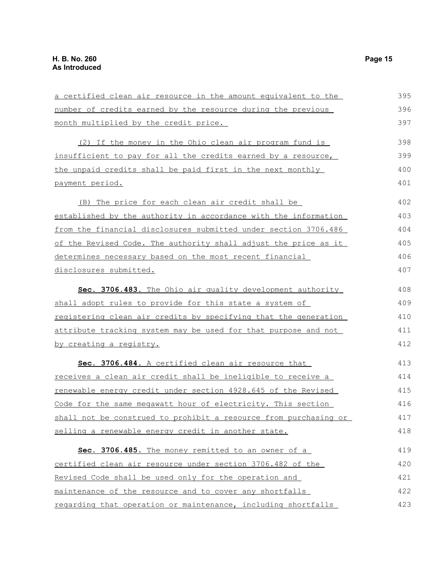| a certified clean air resource in the amount equivalent to the         | 395 |
|------------------------------------------------------------------------|-----|
| number of credits earned by the resource during the previous           | 396 |
| month multiplied by the credit price.                                  | 397 |
| (2) If the money in the Ohio clean air program fund is                 | 398 |
| insufficient to pay for all the credits earned by a resource,          | 399 |
| the unpaid credits shall be paid first in the next monthly             | 400 |
| payment period.                                                        | 401 |
| (B) The price for each clean air credit shall be                       | 402 |
| established by the authority in accordance with the information        | 403 |
| <u>from the financial disclosures submitted under section 3706.486</u> | 404 |
| of the Revised Code. The authority shall adjust the price as it        | 405 |
| determines necessary based on the most recent financial                | 406 |
| disclosures submitted.                                                 | 407 |
| Sec. 3706.483. The Ohio air quality development authority              | 408 |
| shall adopt rules to provide for this state a system of                | 409 |
| registering clean air credits by specifying that the generation        | 410 |
| attribute tracking system may be used for that purpose and not         | 411 |
| <u>by creating a registry.</u>                                         | 412 |
| Sec. 3706.484. A certified clean air resource that                     | 413 |
| receives a clean air credit shall be ineligible to receive a           | 414 |
| renewable energy credit under section 4928.645 of the Revised          | 415 |
| Code for the same meqawatt hour of electricity. This section           | 416 |
| shall not be construed to prohibit a resource from purchasing or       | 417 |
| selling a renewable energy credit in another state.                    | 418 |
| Sec. 3706.485. The money remitted to an owner of a                     | 419 |
| certified clean air resource under section 3706.482 of the             | 420 |
| Revised Code shall be used only for the operation and                  | 421 |
| maintenance of the resource and to cover any shortfalls                | 422 |
| regarding that operation or maintenance, including shortfalls          | 423 |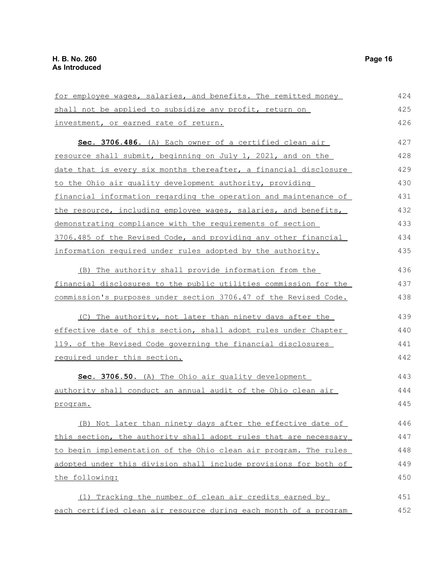| for employee wages, salaries, and benefits. The remitted money   | 424 |
|------------------------------------------------------------------|-----|
| shall not be applied to subsidize any profit, return on          | 425 |
| investment, or earned rate of return.                            | 426 |
| Sec. 3706.486. (A) Each owner of a certified clean air           | 427 |
| resource shall submit, beginning on July 1, 2021, and on the     | 428 |
| date that is every six months thereafter, a financial disclosure | 429 |
| to the Ohio air quality development authority, providing         | 430 |
| financial information regarding the operation and maintenance of | 431 |
| the resource, including employee wages, salaries, and benefits,  | 432 |
| demonstrating compliance with the requirements of section        | 433 |
| 3706.485 of the Revised Code, and providing any other financial  | 434 |
| information required under rules adopted by the authority.       | 435 |
| (B) The authority shall provide information from the             | 436 |
| financial disclosures to the public utilities commission for the | 437 |
| commission's purposes under section 3706.47 of the Revised Code. | 438 |
|                                                                  |     |
| (C) The authority, not later than ninety days after the          | 439 |
| effective date of this section, shall adopt rules under Chapter  | 440 |
| 119. of the Revised Code governing the financial disclosures     | 441 |
| required under this section.                                     | 442 |
| Sec. 3706.50. (A) The Ohio air quality development               | 443 |
| authority shall conduct an annual audit of the Ohio clean air    | 444 |
| program.                                                         | 445 |
| (B) Not later than ninety days after the effective date of       | 446 |
|                                                                  | 447 |
| this section, the authority shall adopt rules that are necessary |     |
| to begin implementation of the Ohio clean air program. The rules | 448 |
| adopted under this division shall include provisions for both of | 449 |
| the following:                                                   | 450 |
| (1) Tracking the number of clean air credits earned by           | 451 |
| each certified clean air resource during each month of a program | 452 |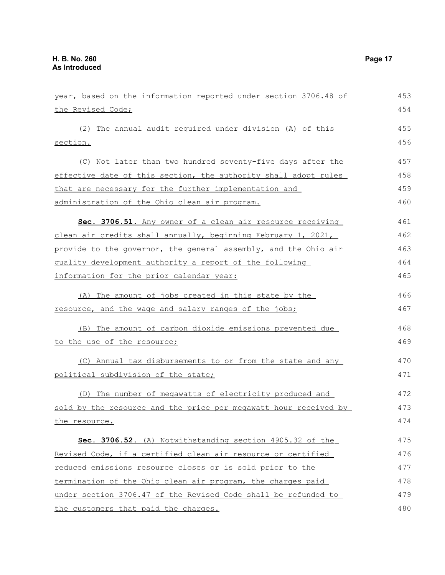| year, based on the information reported under section 3706.48 of | 453 |
|------------------------------------------------------------------|-----|
| the Revised Code;                                                | 454 |
| (2) The annual audit required under division (A) of this         | 455 |
| section.                                                         | 456 |
|                                                                  |     |
| (C) Not later than two hundred seventy-five days after the       | 457 |
| effective date of this section, the authority shall adopt rules  | 458 |
| that are necessary for the further implementation and            | 459 |
| administration of the Ohio clean air program.                    | 460 |
| Sec. 3706.51. Any owner of a clean air resource receiving        | 461 |
| clean air credits shall annually, beginning February 1, 2021,    | 462 |
| provide to the governor, the general assembly, and the Ohio air  | 463 |
| quality development authority a report of the following          | 464 |
| information for the prior calendar year:                         | 465 |
| (A) The amount of jobs created in this state by the              | 466 |
| resource, and the wage and salary ranges of the jobs;            | 467 |
| (B) The amount of carbon dioxide emissions prevented due         | 468 |
| to the use of the resource;                                      | 469 |
| (C) Annual tax disbursements to or from the state and any        | 470 |
| political subdivision of the state;                              | 471 |
| The number of megawatts of electricity produced and<br>(D)       | 472 |
| sold by the resource and the price per megawatt hour received by | 473 |
| the resource.                                                    | 474 |
| Sec. 3706.52. (A) Notwithstanding section 4905.32 of the         | 475 |
| Revised Code, if a certified clean air resource or certified     | 476 |
| reduced emissions resource closes or is sold prior to the        | 477 |
| termination of the Ohio clean air program, the charges paid      | 478 |
| under section 3706.47 of the Revised Code shall be refunded to   | 479 |
| the customers that paid the charges.                             | 480 |

the customers that paid the charges.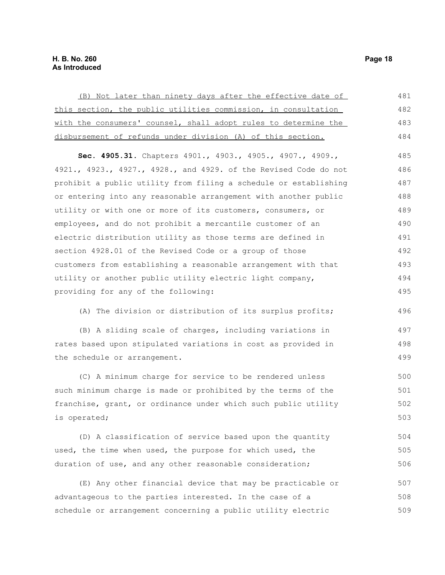| (B) Not later than ninety days after the effective date of       | 481 |
|------------------------------------------------------------------|-----|
| this section, the public utilities commission, in consultation   | 482 |
| with the consumers' counsel, shall adopt rules to determine the  | 483 |
| disbursement of refunds under division (A) of this section.      | 484 |
| Sec. 4905.31. Chapters 4901., 4903., 4905., 4907., 4909.,        | 485 |
| 4921., 4923., 4927., 4928., and 4929. of the Revised Code do not | 486 |
| prohibit a public utility from filing a schedule or establishing | 487 |
| or entering into any reasonable arrangement with another public  | 488 |
| utility or with one or more of its customers, consumers, or      | 489 |
| employees, and do not prohibit a mercantile customer of an       | 490 |
| electric distribution utility as those terms are defined in      | 491 |
| section 4928.01 of the Revised Code or a group of those          | 492 |
| customers from establishing a reasonable arrangement with that   | 493 |
| utility or another public utility electric light company,        | 494 |
| providing for any of the following:                              | 495 |
| (A) The division or distribution of its surplus profits;         | 496 |
| (B) A sliding scale of charges, including variations in          | 497 |
| rates based upon stipulated variations in cost as provided in    | 498 |
| the schedule or arrangement.                                     | 499 |
| (C) A minimum charge for service to be rendered unless           | 500 |
| such minimum charge is made or prohibited by the terms of the    | 501 |
| franchise, grant, or ordinance under which such public utility   | 502 |
| is operated;                                                     | 503 |
| (D) A classification of service based upon the quantity          | 504 |
| used, the time when used, the purpose for which used, the        | 505 |
| duration of use, and any other reasonable consideration;         | 506 |
| (E) Any other financial device that may be practicable or        | 507 |

advantageous to the parties interested. In the case of a schedule or arrangement concerning a public utility electric 508 509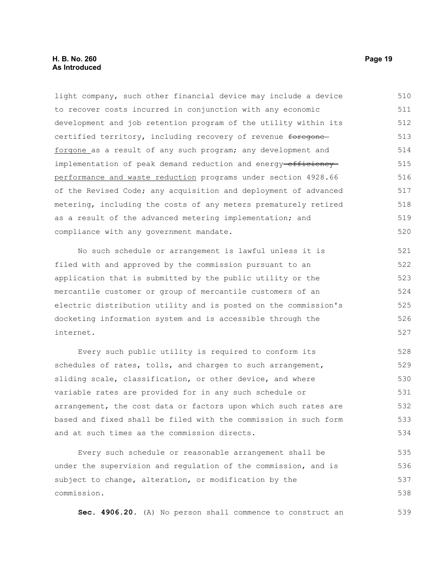#### **H. B. No. 260 Page 19 As Introduced**

light company, such other financial device may include a device to recover costs incurred in conjunction with any economic development and job retention program of the utility within its certified territory, including recovery of revenue foregone forgone as a result of any such program; any development and implementation of peak demand reduction and energy-efficiencyperformance and waste reduction programs under section 4928.66 of the Revised Code; any acquisition and deployment of advanced metering, including the costs of any meters prematurely retired as a result of the advanced metering implementation; and compliance with any government mandate. 510 511 512 513 514 515 516 517 518 519 520

No such schedule or arrangement is lawful unless it is filed with and approved by the commission pursuant to an application that is submitted by the public utility or the mercantile customer or group of mercantile customers of an electric distribution utility and is posted on the commission's docketing information system and is accessible through the internet.

Every such public utility is required to conform its schedules of rates, tolls, and charges to such arrangement, sliding scale, classification, or other device, and where variable rates are provided for in any such schedule or arrangement, the cost data or factors upon which such rates are based and fixed shall be filed with the commission in such form and at such times as the commission directs. 528 529 530 531 532 533 534

Every such schedule or reasonable arrangement shall be under the supervision and regulation of the commission, and is subject to change, alteration, or modification by the commission. 535 536 537 538

**Sec. 4906.20.** (A) No person shall commence to construct an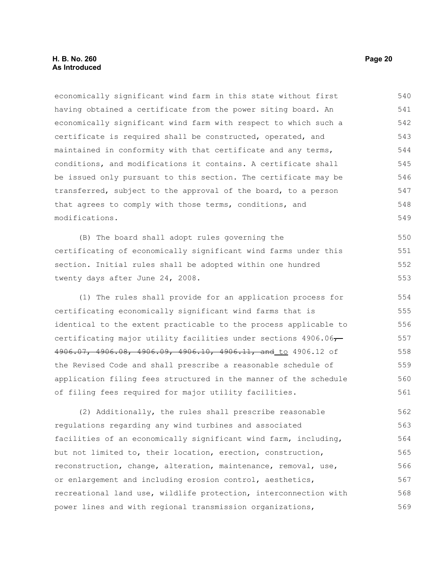economically significant wind farm in this state without first having obtained a certificate from the power siting board. An economically significant wind farm with respect to which such a certificate is required shall be constructed, operated, and maintained in conformity with that certificate and any terms, conditions, and modifications it contains. A certificate shall be issued only pursuant to this section. The certificate may be transferred, subject to the approval of the board, to a person that agrees to comply with those terms, conditions, and modifications. 540 541 542 543 544 545 546 547 548 549

(B) The board shall adopt rules governing the certificating of economically significant wind farms under this section. Initial rules shall be adopted within one hundred twenty days after June 24, 2008. 550 551 552 553

(1) The rules shall provide for an application process for certificating economically significant wind farms that is identical to the extent practicable to the process applicable to certificating major utility facilities under sections  $4906.06 -$ 4906.07, 4906.08, 4906.09, 4906.10, 4906.11, and to 4906.12 of the Revised Code and shall prescribe a reasonable schedule of application filing fees structured in the manner of the schedule of filing fees required for major utility facilities. 554 555 556 557 558 559 560 561

(2) Additionally, the rules shall prescribe reasonable regulations regarding any wind turbines and associated facilities of an economically significant wind farm, including, but not limited to, their location, erection, construction, reconstruction, change, alteration, maintenance, removal, use, or enlargement and including erosion control, aesthetics, recreational land use, wildlife protection, interconnection with power lines and with regional transmission organizations, 562 563 564 565 566 567 568 569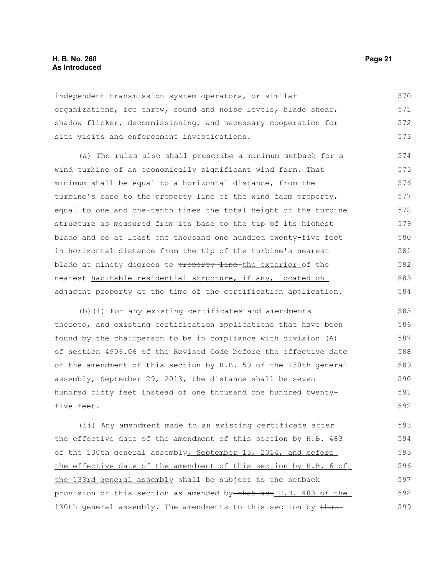#### **H. B. No. 260 Page 21 As Introduced**

independent transmission system operators, or similar organizations, ice throw, sound and noise levels, blade shear, shadow flicker, decommissioning, and necessary cooperation for site visits and enforcement investigations. 570 571 572 573

(a) The rules also shall prescribe a minimum setback for a wind turbine of an economically significant wind farm. That minimum shall be equal to a horizontal distance, from the turbine's base to the property line of the wind farm property, equal to one and one-tenth times the total height of the turbine structure as measured from its base to the tip of its highest blade and be at least one thousand one hundred twenty-five feet in horizontal distance from the tip of the turbine's nearest blade at ninety degrees to property line the exterior of the nearest habitable residential structure, if any, located on adjacent property at the time of the certification application. 574 575 576 577 578 579 580 581 582 583 584

(b)(i) For any existing certificates and amendments thereto, and existing certification applications that have been found by the chairperson to be in compliance with division (A) of section 4906.06 of the Revised Code before the effective date of the amendment of this section by H.B. 59 of the 130th general assembly, September 29, 2013, the distance shall be seven hundred fifty feet instead of one thousand one hundred twentyfive feet. 585 586 587 588 589 590 591 592

(ii) Any amendment made to an existing certificate after the effective date of the amendment of this section by H.B. 483 of the 130th general assembly, September 15, 2014, and before the effective date of the amendment of this section by H.B. 6 of the 133rd general assembly shall be subject to the setback provision of this section as amended by that act H.B. 483 of the 130th general assembly. The amendments to this section by that-593 594 595 596 597 598 599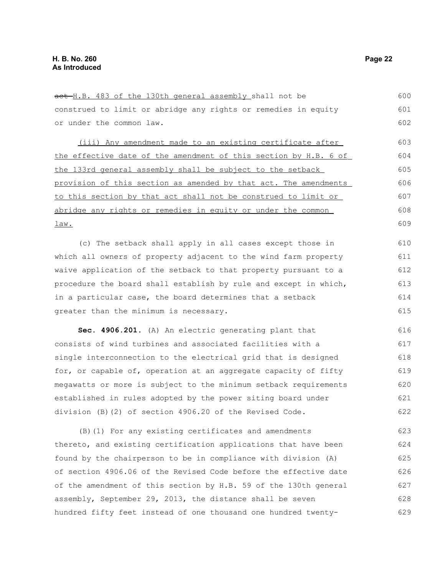| act H.B. 483 of the 130th general assembly shall not be          | 600 |
|------------------------------------------------------------------|-----|
| construed to limit or abridge any rights or remedies in equity   | 601 |
| or under the common law.                                         | 602 |
| (iii) Any amendment made to an existing certificate after        | 603 |
| the effective date of the amendment of this section by H.B. 6 of | 604 |
| the 133rd general assembly shall be subject to the setback       | 605 |
| provision of this section as amended by that act. The amendments | 606 |
| to this section by that act shall not be construed to limit or   | 607 |
| abridge any rights or remedies in equity or under the common     | 608 |
| <u>law.</u>                                                      | 609 |
| (c) The setback shall apply in all cases except those in         | 610 |
| which all owners of property adjacent to the wind farm property  | 611 |
| waive application of the setback to that property pursuant to a  | 612 |
| procedure the board shall establish by rule and except in which, | 613 |
| in a particular case, the board determines that a setback        | 614 |
| greater than the minimum is necessary.                           | 615 |
| Sec. 4906.201. (A) An electric generating plant that             | 616 |
| consists of wind turbines and associated facilities with a       | 617 |
| single interconnection to the electrical grid that is designed   | 618 |
| for, or capable of, operation at an aggregate capacity of fifty  | 619 |
| megawatts or more is subject to the minimum setback requirements | 620 |
| established in rules adopted by the power siting board under     | 621 |

(B)(1) For any existing certificates and amendments thereto, and existing certification applications that have been found by the chairperson to be in compliance with division (A) of section 4906.06 of the Revised Code before the effective date of the amendment of this section by H.B. 59 of the 130th general assembly, September 29, 2013, the distance shall be seven hundred fifty feet instead of one thousand one hundred twenty-623 624 625 626 627 628 629

division (B)(2) of section 4906.20 of the Revised Code.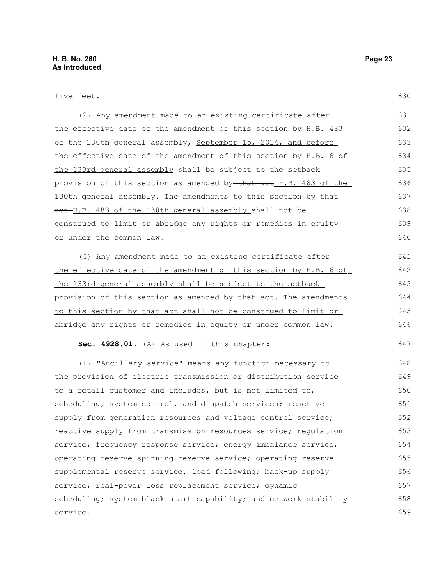five feet.

646

647

| (2) Any amendment made to an existing certificate after                        | 631 |
|--------------------------------------------------------------------------------|-----|
| the effective date of the amendment of this section by H.B. 483                | 632 |
| of the 130th general assembly, September 15, 2014, and before                  | 633 |
| the effective date of the amendment of this section by H.B. 6 of               | 634 |
| the 133rd general assembly shall be subject to the setback                     | 635 |
| provision of this section as amended by <del>-that act</del> _H.B. 483 of the_ | 636 |
| 130th general assembly. The amendments to this section by that                 | 637 |
| act H.B. 483 of the 130th general assembly shall not be                        | 638 |
| construed to limit or abridge any rights or remedies in equity                 | 639 |
| or under the common law.                                                       | 640 |

(3) Any amendment made to an existing certificate after the effective date of the amendment of this section by H.B. 6 of the 133rd general assembly shall be subject to the setback provision of this section as amended by that act. The amendments to this section by that act shall not be construed to limit or abridge any rights or remedies in equity or under common law. 641 642 643 644 645

**Sec. 4928.01.** (A) As used in this chapter:

(1) "Ancillary service" means any function necessary to the provision of electric transmission or distribution service to a retail customer and includes, but is not limited to, scheduling, system control, and dispatch services; reactive supply from generation resources and voltage control service; reactive supply from transmission resources service; regulation service; frequency response service; energy imbalance service; operating reserve-spinning reserve service; operating reservesupplemental reserve service; load following; back-up supply service; real-power loss replacement service; dynamic scheduling; system black start capability; and network stability service. 648 649 650 651 652 653 654 655 656 657 658 659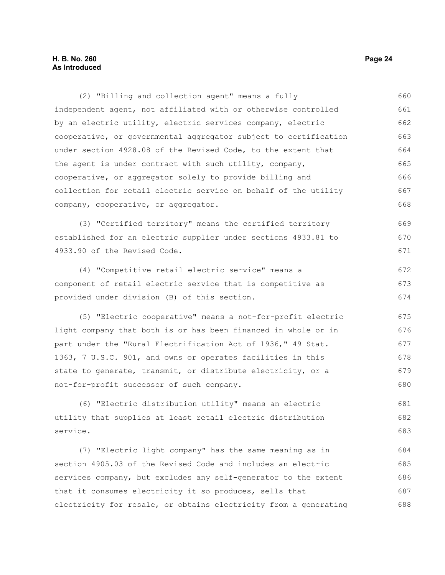(2) "Billing and collection agent" means a fully independent agent, not affiliated with or otherwise controlled by an electric utility, electric services company, electric cooperative, or governmental aggregator subject to certification under section 4928.08 of the Revised Code, to the extent that the agent is under contract with such utility, company, cooperative, or aggregator solely to provide billing and collection for retail electric service on behalf of the utility company, cooperative, or aggregator. (3) "Certified territory" means the certified territory established for an electric supplier under sections 4933.81 to 4933.90 of the Revised Code. (4) "Competitive retail electric service" means a component of retail electric service that is competitive as provided under division (B) of this section. (5) "Electric cooperative" means a not-for-profit electric light company that both is or has been financed in whole or in part under the "Rural Electrification Act of 1936," 49 Stat. 1363, 7 U.S.C. 901, and owns or operates facilities in this state to generate, transmit, or distribute electricity, or a not-for-profit successor of such company. (6) "Electric distribution utility" means an electric utility that supplies at least retail electric distribution service. (7) "Electric light company" has the same meaning as in section 4905.03 of the Revised Code and includes an electric services company, but excludes any self-generator to the extent that it consumes electricity it so produces, sells that 660 661 662 663 664 665 666 667 668 669 670 671 672 673 674 675 676 677 678 679 680 681 682 683 684 685 686 687

electricity for resale, or obtains electricity from a generating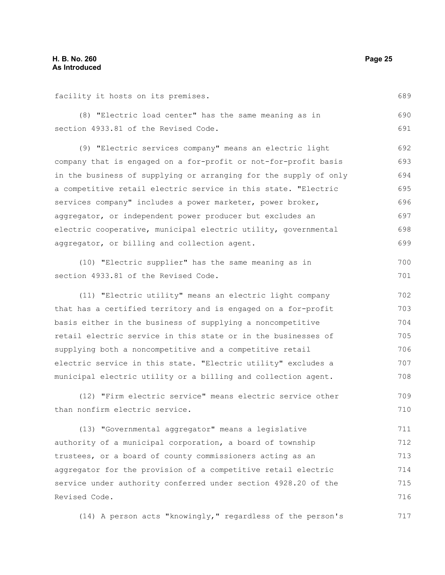facility it hosts on its premises.

(8) "Electric load center" has the same meaning as in section 4933.81 of the Revised Code. 690 691

(9) "Electric services company" means an electric light company that is engaged on a for-profit or not-for-profit basis in the business of supplying or arranging for the supply of only a competitive retail electric service in this state. "Electric services company" includes a power marketer, power broker, aggregator, or independent power producer but excludes an electric cooperative, municipal electric utility, governmental aggregator, or billing and collection agent. 692 693 694 695 696 697 698 699

(10) "Electric supplier" has the same meaning as in section 4933.81 of the Revised Code.

(11) "Electric utility" means an electric light company that has a certified territory and is engaged on a for-profit basis either in the business of supplying a noncompetitive retail electric service in this state or in the businesses of supplying both a noncompetitive and a competitive retail electric service in this state. "Electric utility" excludes a municipal electric utility or a billing and collection agent. 702 703 704 705 706 707 708

(12) "Firm electric service" means electric service other than nonfirm electric service. 709 710

(13) "Governmental aggregator" means a legislative authority of a municipal corporation, a board of township trustees, or a board of county commissioners acting as an aggregator for the provision of a competitive retail electric service under authority conferred under section 4928.20 of the Revised Code. 711 712 713 714 715 716

(14) A person acts "knowingly," regardless of the person's 717

689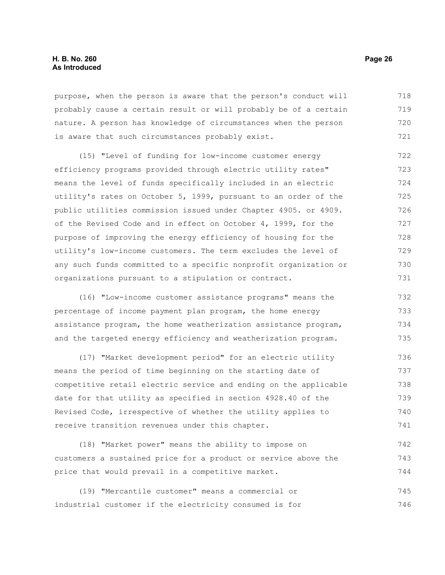#### **H. B. No. 260 Page 26 As Introduced**

purpose, when the person is aware that the person's conduct will probably cause a certain result or will probably be of a certain nature. A person has knowledge of circumstances when the person is aware that such circumstances probably exist. 718 719 720 721

(15) "Level of funding for low-income customer energy efficiency programs provided through electric utility rates" means the level of funds specifically included in an electric utility's rates on October 5, 1999, pursuant to an order of the public utilities commission issued under Chapter 4905. or 4909. of the Revised Code and in effect on October 4, 1999, for the purpose of improving the energy efficiency of housing for the utility's low-income customers. The term excludes the level of any such funds committed to a specific nonprofit organization or organizations pursuant to a stipulation or contract. 722 723 724 725 726 727 728 729 730 731

(16) "Low-income customer assistance programs" means the percentage of income payment plan program, the home energy assistance program, the home weatherization assistance program, and the targeted energy efficiency and weatherization program. 732 733 734 735

(17) "Market development period" for an electric utility means the period of time beginning on the starting date of competitive retail electric service and ending on the applicable date for that utility as specified in section 4928.40 of the Revised Code, irrespective of whether the utility applies to receive transition revenues under this chapter. 736 737 738 739 740 741

(18) "Market power" means the ability to impose on customers a sustained price for a product or service above the price that would prevail in a competitive market. 742 743 744

(19) "Mercantile customer" means a commercial or industrial customer if the electricity consumed is for 745 746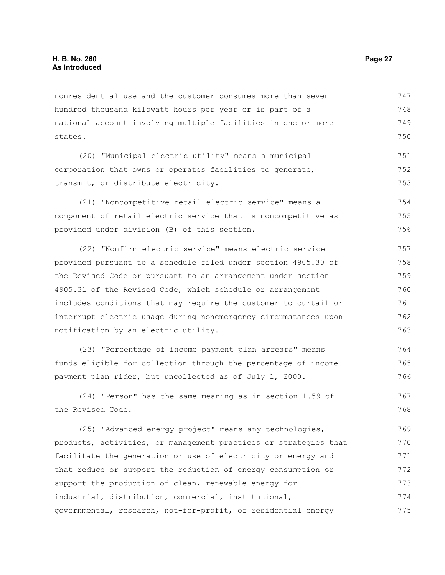nonresidential use and the customer consumes more than seven hundred thousand kilowatt hours per year or is part of a national account involving multiple facilities in one or more states. 747 748 749 750

(20) "Municipal electric utility" means a municipal corporation that owns or operates facilities to generate, transmit, or distribute electricity. 751 752 753

(21) "Noncompetitive retail electric service" means a component of retail electric service that is noncompetitive as provided under division (B) of this section. 754 755 756

(22) "Nonfirm electric service" means electric service provided pursuant to a schedule filed under section 4905.30 of the Revised Code or pursuant to an arrangement under section 4905.31 of the Revised Code, which schedule or arrangement includes conditions that may require the customer to curtail or interrupt electric usage during nonemergency circumstances upon notification by an electric utility. 757 758 759 760 761 762 763

(23) "Percentage of income payment plan arrears" means funds eligible for collection through the percentage of income payment plan rider, but uncollected as of July 1, 2000. 764 765 766

(24) "Person" has the same meaning as in section 1.59 of the Revised Code. 767 768

(25) "Advanced energy project" means any technologies, products, activities, or management practices or strategies that facilitate the generation or use of electricity or energy and that reduce or support the reduction of energy consumption or support the production of clean, renewable energy for industrial, distribution, commercial, institutional, governmental, research, not-for-profit, or residential energy 769 770 771 772 773 774 775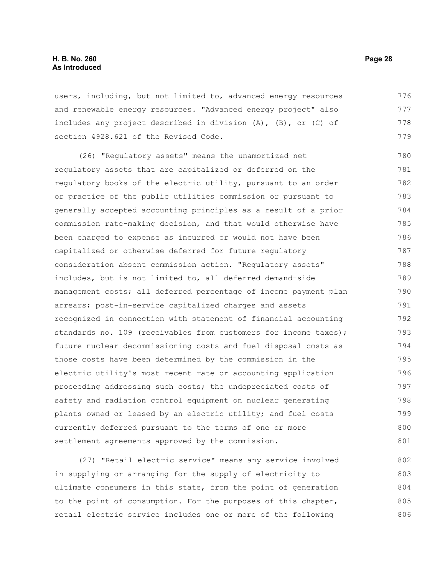users, including, but not limited to, advanced energy resources and renewable energy resources. "Advanced energy project" also includes any project described in division (A), (B), or (C) of section 4928.621 of the Revised Code. 776 777 778 779

(26) "Regulatory assets" means the unamortized net regulatory assets that are capitalized or deferred on the regulatory books of the electric utility, pursuant to an order or practice of the public utilities commission or pursuant to generally accepted accounting principles as a result of a prior commission rate-making decision, and that would otherwise have been charged to expense as incurred or would not have been capitalized or otherwise deferred for future regulatory consideration absent commission action. "Regulatory assets" includes, but is not limited to, all deferred demand-side management costs; all deferred percentage of income payment plan arrears; post-in-service capitalized charges and assets recognized in connection with statement of financial accounting standards no. 109 (receivables from customers for income taxes); future nuclear decommissioning costs and fuel disposal costs as those costs have been determined by the commission in the electric utility's most recent rate or accounting application proceeding addressing such costs; the undepreciated costs of safety and radiation control equipment on nuclear generating plants owned or leased by an electric utility; and fuel costs currently deferred pursuant to the terms of one or more settlement agreements approved by the commission. 780 781 782 783 784 785 786 787 788 789 790 791 792 793 794 795 796 797 798 799 800 801

(27) "Retail electric service" means any service involved in supplying or arranging for the supply of electricity to ultimate consumers in this state, from the point of generation to the point of consumption. For the purposes of this chapter, retail electric service includes one or more of the following 802 803 804 805 806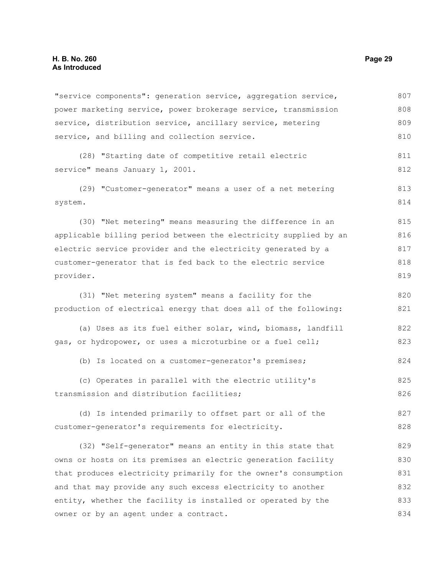"service components": generation service, aggregation service, power marketing service, power brokerage service, transmission service, distribution service, ancillary service, metering service, and billing and collection service. (28) "Starting date of competitive retail electric service" means January 1, 2001. (29) "Customer-generator" means a user of a net metering system. (30) "Net metering" means measuring the difference in an applicable billing period between the electricity supplied by an electric service provider and the electricity generated by a customer-generator that is fed back to the electric service provider. (31) "Net metering system" means a facility for the production of electrical energy that does all of the following: (a) Uses as its fuel either solar, wind, biomass, landfill gas, or hydropower, or uses a microturbine or a fuel cell; (b) Is located on a customer-generator's premises; (c) Operates in parallel with the electric utility's transmission and distribution facilities; (d) Is intended primarily to offset part or all of the customer-generator's requirements for electricity. (32) "Self-generator" means an entity in this state that owns or hosts on its premises an electric generation facility that produces electricity primarily for the owner's consumption and that may provide any such excess electricity to another entity, whether the facility is installed or operated by the owner or by an agent under a contract. 807 808 809 810 811 812 813 814 815 816 817 818 819 820 821 822 823 824 825 826 827 828 829 830 831 832 833 834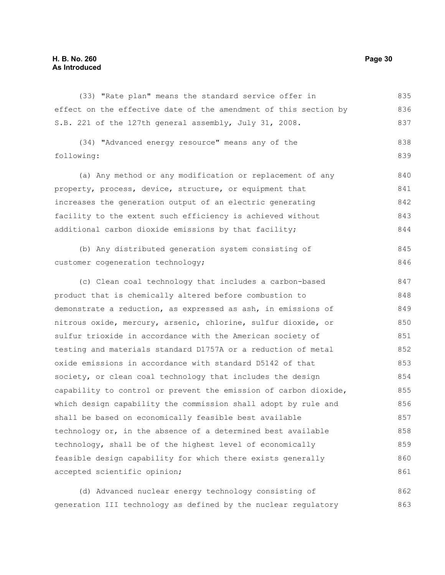#### **H. B. No. 260 Page 30 As Introduced**

(33) "Rate plan" means the standard service offer in effect on the effective date of the amendment of this section by S.B. 221 of the 127th general assembly, July 31, 2008. 835 836 837

(34) "Advanced energy resource" means any of the following: 838 839

(a) Any method or any modification or replacement of any property, process, device, structure, or equipment that increases the generation output of an electric generating facility to the extent such efficiency is achieved without additional carbon dioxide emissions by that facility; 840 841 842 843 844

(b) Any distributed generation system consisting of customer cogeneration technology; 845 846

(c) Clean coal technology that includes a carbon-based product that is chemically altered before combustion to demonstrate a reduction, as expressed as ash, in emissions of nitrous oxide, mercury, arsenic, chlorine, sulfur dioxide, or sulfur trioxide in accordance with the American society of testing and materials standard D1757A or a reduction of metal oxide emissions in accordance with standard D5142 of that society, or clean coal technology that includes the design capability to control or prevent the emission of carbon dioxide, which design capability the commission shall adopt by rule and shall be based on economically feasible best available technology or, in the absence of a determined best available technology, shall be of the highest level of economically feasible design capability for which there exists generally accepted scientific opinion; 847 848 849 850 851 852 853 854 855 856 857 858 859 860 861

(d) Advanced nuclear energy technology consisting of generation III technology as defined by the nuclear regulatory 862 863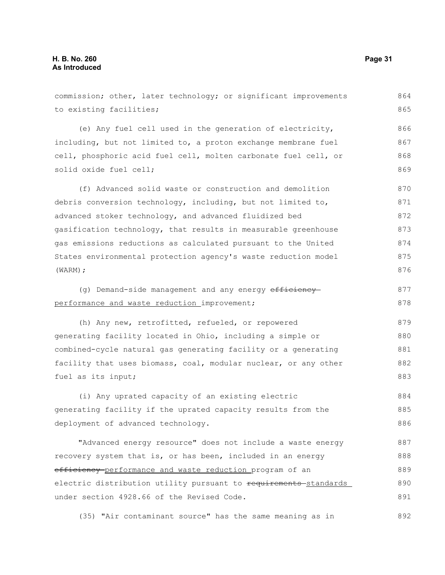commission; other, later technology; or significant improvements to existing facilities; (e) Any fuel cell used in the generation of electricity, including, but not limited to, a proton exchange membrane fuel cell, phosphoric acid fuel cell, molten carbonate fuel cell, or solid oxide fuel cell; (f) Advanced solid waste or construction and demolition debris conversion technology, including, but not limited to, advanced stoker technology, and advanced fluidized bed gasification technology, that results in measurable greenhouse gas emissions reductions as calculated pursuant to the United States environmental protection agency's waste reduction model (WARM); (g) Demand-side management and any energy efficiency performance and waste reduction improvement; (h) Any new, retrofitted, refueled, or repowered generating facility located in Ohio, including a simple or combined-cycle natural gas generating facility or a generating facility that uses biomass, coal, modular nuclear, or any other fuel as its input; (i) Any uprated capacity of an existing electric generating facility if the uprated capacity results from the deployment of advanced technology. "Advanced energy resource" does not include a waste energy recovery system that is, or has been, included in an energy efficiency performance and waste reduction program of an electric distribution utility pursuant to requirements standards under section 4928.66 of the Revised Code. 864 865 866 867 868 869 870 871 872 873 874 875 876 877 878 879 880 881 882 883 884 885 886 887 888 889 890 891

(35) "Air contaminant source" has the same meaning as in 892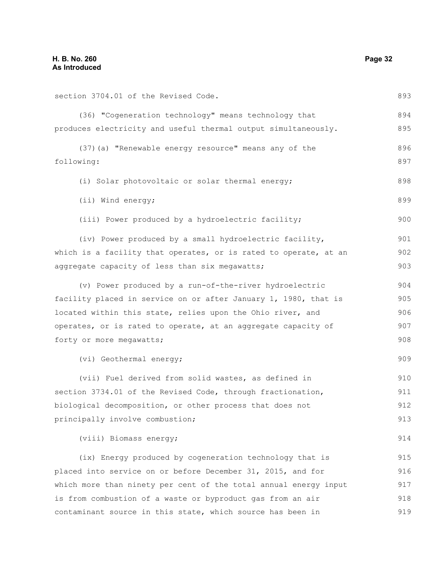section 3704.01 of the Revised Code. (36) "Cogeneration technology" means technology that produces electricity and useful thermal output simultaneously. (37)(a) "Renewable energy resource" means any of the following: (i) Solar photovoltaic or solar thermal energy; (ii) Wind energy; (iii) Power produced by a hydroelectric facility; (iv) Power produced by a small hydroelectric facility, which is a facility that operates, or is rated to operate, at an aggregate capacity of less than six megawatts; (v) Power produced by a run-of-the-river hydroelectric facility placed in service on or after January 1, 1980, that is located within this state, relies upon the Ohio river, and operates, or is rated to operate, at an aggregate capacity of forty or more megawatts; (vi) Geothermal energy; (vii) Fuel derived from solid wastes, as defined in section 3734.01 of the Revised Code, through fractionation, biological decomposition, or other process that does not principally involve combustion; (viii) Biomass energy; (ix) Energy produced by cogeneration technology that is placed into service on or before December 31, 2015, and for which more than ninety per cent of the total annual energy input is from combustion of a waste or byproduct gas from an air 893 894 895 896 897 898 899 900 901 902 903 904 905 906 907 908 909 910 911 912 913 914 915 916 917 918

contaminant source in this state, which source has been in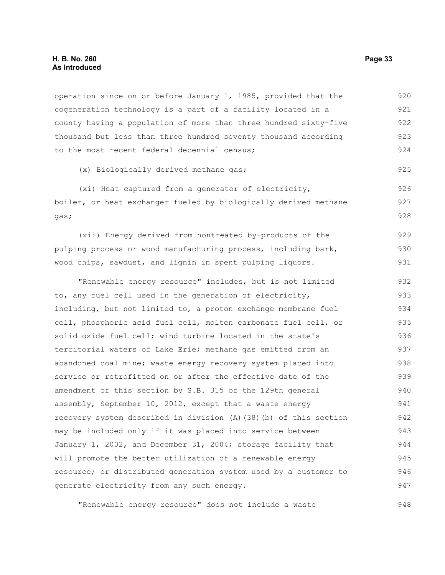operation since on or before January 1, 1985, provided that the cogeneration technology is a part of a facility located in a county having a population of more than three hundred sixty-five thousand but less than three hundred seventy thousand according to the most recent federal decennial census; 920 921 922 923 924

(x) Biologically derived methane gas;

(xi) Heat captured from a generator of electricity, boiler, or heat exchanger fueled by biologically derived methane gas; 926 927 928

(xii) Energy derived from nontreated by-products of the pulping process or wood manufacturing process, including bark, wood chips, sawdust, and lignin in spent pulping liquors. 929 930 931

"Renewable energy resource" includes, but is not limited to, any fuel cell used in the generation of electricity, including, but not limited to, a proton exchange membrane fuel cell, phosphoric acid fuel cell, molten carbonate fuel cell, or solid oxide fuel cell; wind turbine located in the state's territorial waters of Lake Erie; methane gas emitted from an abandoned coal mine; waste energy recovery system placed into service or retrofitted on or after the effective date of the amendment of this section by S.B. 315 of the 129th general assembly, September 10, 2012, except that a waste energy recovery system described in division (A)(38)(b) of this section may be included only if it was placed into service between January 1, 2002, and December 31, 2004; storage facility that will promote the better utilization of a renewable energy resource; or distributed generation system used by a customer to generate electricity from any such energy. 932 933 934 935 936 937 938 939 940 941 942 943 944 945 946 947

"Renewable energy resource" does not include a waste

925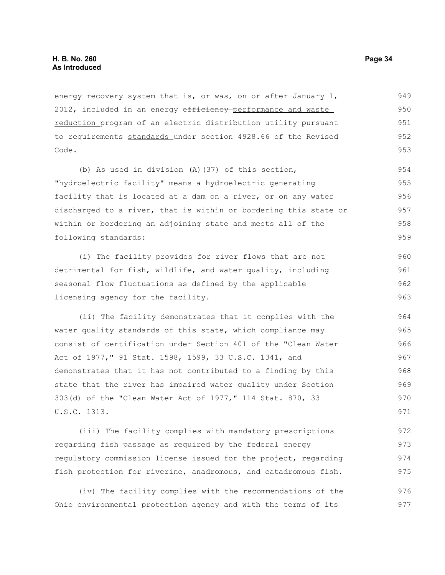energy recovery system that is, or was, on or after January 1, 2012, included in an energy efficiency performance and waste reduction program of an electric distribution utility pursuant to requirements standards under section 4928.66 of the Revised Code. 949 950 951 952 953

(b) As used in division (A)(37) of this section, "hydroelectric facility" means a hydroelectric generating facility that is located at a dam on a river, or on any water discharged to a river, that is within or bordering this state or within or bordering an adjoining state and meets all of the following standards: 954 955 956 957 958 959

(i) The facility provides for river flows that are not detrimental for fish, wildlife, and water quality, including seasonal flow fluctuations as defined by the applicable licensing agency for the facility. 960 961 962 963

(ii) The facility demonstrates that it complies with the water quality standards of this state, which compliance may consist of certification under Section 401 of the "Clean Water Act of 1977," 91 Stat. 1598, 1599, 33 U.S.C. 1341, and demonstrates that it has not contributed to a finding by this state that the river has impaired water quality under Section 303(d) of the "Clean Water Act of 1977," 114 Stat. 870, 33 U.S.C. 1313. 964 965 966 967 968 969 970 971

(iii) The facility complies with mandatory prescriptions regarding fish passage as required by the federal energy regulatory commission license issued for the project, regarding fish protection for riverine, anadromous, and catadromous fish. 972 973 974 975

(iv) The facility complies with the recommendations of the Ohio environmental protection agency and with the terms of its 976 977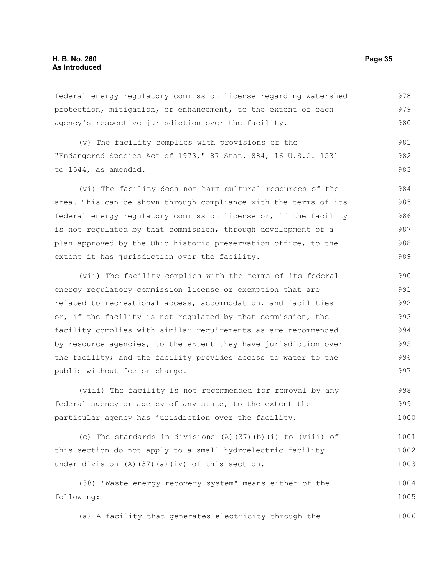federal energy regulatory commission license regarding watershed protection, mitigation, or enhancement, to the extent of each agency's respective jurisdiction over the facility. 978 979 980

(v) The facility complies with provisions of the "Endangered Species Act of 1973," 87 Stat. 884, 16 U.S.C. 1531 to 1544, as amended. 981 982 983

(vi) The facility does not harm cultural resources of the area. This can be shown through compliance with the terms of its federal energy regulatory commission license or, if the facility is not regulated by that commission, through development of a plan approved by the Ohio historic preservation office, to the extent it has jurisdiction over the facility. 984 985 986 987 988 989

(vii) The facility complies with the terms of its federal energy regulatory commission license or exemption that are related to recreational access, accommodation, and facilities or, if the facility is not regulated by that commission, the facility complies with similar requirements as are recommended by resource agencies, to the extent they have jurisdiction over the facility; and the facility provides access to water to the public without fee or charge. 990 991 992 993 994 995 996 997

(viii) The facility is not recommended for removal by any federal agency or agency of any state, to the extent the particular agency has jurisdiction over the facility. 998 999 1000

(c) The standards in divisions  $(A)$  (37)(b)(i) to (viii) of this section do not apply to a small hydroelectric facility under division (A)(37)(a)(iv) of this section. 1001 1002 1003

(38) "Waste energy recovery system" means either of the following: 1004 1005

(a) A facility that generates electricity through the 1006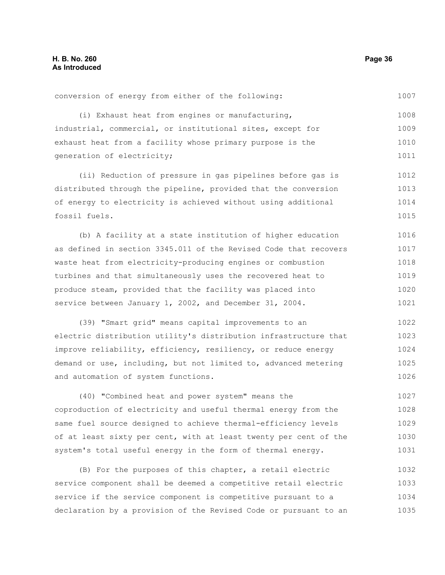conversion of energy from either of the following: 1007

(i) Exhaust heat from engines or manufacturing, industrial, commercial, or institutional sites, except for exhaust heat from a facility whose primary purpose is the generation of electricity; 1008 1009 1010 1011

(ii) Reduction of pressure in gas pipelines before gas is distributed through the pipeline, provided that the conversion of energy to electricity is achieved without using additional fossil fuels. 1012 1013 1014 1015

(b) A facility at a state institution of higher education as defined in section 3345.011 of the Revised Code that recovers waste heat from electricity-producing engines or combustion turbines and that simultaneously uses the recovered heat to produce steam, provided that the facility was placed into service between January 1, 2002, and December 31, 2004. 1016 1017 1018 1019 1020 1021

(39) "Smart grid" means capital improvements to an electric distribution utility's distribution infrastructure that improve reliability, efficiency, resiliency, or reduce energy demand or use, including, but not limited to, advanced metering and automation of system functions. 1022 1023 1024 1025 1026

(40) "Combined heat and power system" means the coproduction of electricity and useful thermal energy from the same fuel source designed to achieve thermal-efficiency levels of at least sixty per cent, with at least twenty per cent of the system's total useful energy in the form of thermal energy. 1027 1028 1029 1030 1031

(B) For the purposes of this chapter, a retail electric service component shall be deemed a competitive retail electric service if the service component is competitive pursuant to a declaration by a provision of the Revised Code or pursuant to an 1032 1033 1034 1035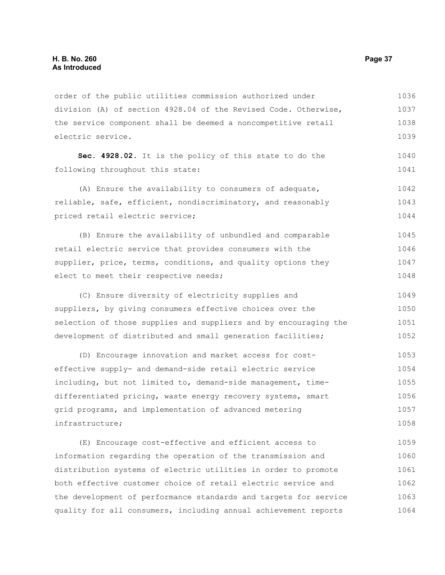order of the public utilities commission authorized under division (A) of section 4928.04 of the Revised Code. Otherwise, the service component shall be deemed a noncompetitive retail electric service. 1036 1037 1038 1039

**Sec. 4928.02.** It is the policy of this state to do the following throughout this state:

(A) Ensure the availability to consumers of adequate, reliable, safe, efficient, nondiscriminatory, and reasonably priced retail electric service; 1042 1043 1044

(B) Ensure the availability of unbundled and comparable retail electric service that provides consumers with the supplier, price, terms, conditions, and quality options they elect to meet their respective needs; 1045 1046 1047 1048

(C) Ensure diversity of electricity supplies and suppliers, by giving consumers effective choices over the selection of those supplies and suppliers and by encouraging the development of distributed and small generation facilities; 1049 1050 1051 1052

(D) Encourage innovation and market access for costeffective supply- and demand-side retail electric service including, but not limited to, demand-side management, timedifferentiated pricing, waste energy recovery systems, smart grid programs, and implementation of advanced metering infrastructure; 1053 1054 1055 1056 1057 1058

(E) Encourage cost-effective and efficient access to information regarding the operation of the transmission and distribution systems of electric utilities in order to promote both effective customer choice of retail electric service and the development of performance standards and targets for service quality for all consumers, including annual achievement reports 1059 1060 1061 1062 1063 1064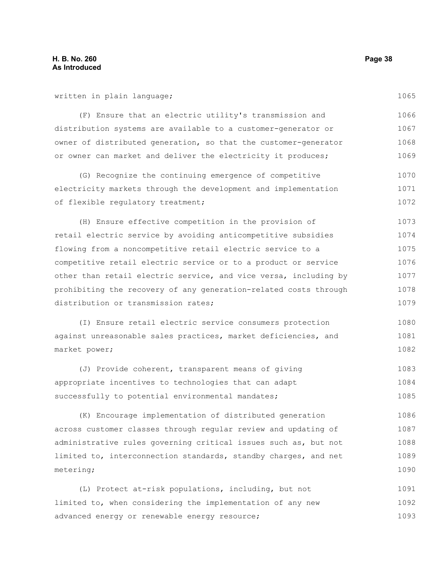written in plain language;

(F) Ensure that an electric utility's transmission and distribution systems are available to a customer-generator or owner of distributed generation, so that the customer-generator or owner can market and deliver the electricity it produces; 1066 1067 1068 1069

(G) Recognize the continuing emergence of competitive electricity markets through the development and implementation of flexible regulatory treatment; 1070 1071 1072

(H) Ensure effective competition in the provision of retail electric service by avoiding anticompetitive subsidies flowing from a noncompetitive retail electric service to a competitive retail electric service or to a product or service other than retail electric service, and vice versa, including by prohibiting the recovery of any generation-related costs through distribution or transmission rates; 1073 1074 1075 1076 1077 1078 1079

(I) Ensure retail electric service consumers protection against unreasonable sales practices, market deficiencies, and market power; 1080 1081 1082

(J) Provide coherent, transparent means of giving appropriate incentives to technologies that can adapt successfully to potential environmental mandates; 1083 1084 1085

(K) Encourage implementation of distributed generation across customer classes through regular review and updating of administrative rules governing critical issues such as, but not limited to, interconnection standards, standby charges, and net metering; 1086 1087 1088 1089 1090

(L) Protect at-risk populations, including, but not limited to, when considering the implementation of any new advanced energy or renewable energy resource; 1091 1092 1093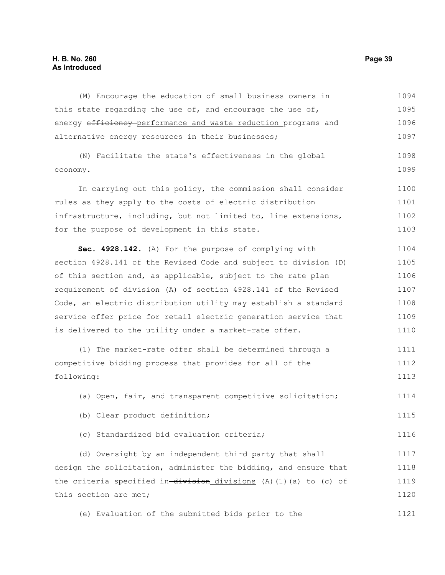# **H. B. No. 260 Page 39 As Introduced**

(M) Encourage the education of small business owners in this state regarding the use of, and encourage the use of, energy efficiency performance and waste reduction programs and alternative energy resources in their businesses; (N) Facilitate the state's effectiveness in the global economy. In carrying out this policy, the commission shall consider rules as they apply to the costs of electric distribution infrastructure, including, but not limited to, line extensions, for the purpose of development in this state. **Sec. 4928.142.** (A) For the purpose of complying with section 4928.141 of the Revised Code and subject to division (D) of this section and, as applicable, subject to the rate plan requirement of division (A) of section 4928.141 of the Revised Code, an electric distribution utility may establish a standard service offer price for retail electric generation service that is delivered to the utility under a market-rate offer. (1) The market-rate offer shall be determined through a competitive bidding process that provides for all of the following: (a) Open, fair, and transparent competitive solicitation; (b) Clear product definition; (c) Standardized bid evaluation criteria; (d) Oversight by an independent third party that shall design the solicitation, administer the bidding, and ensure that the criteria specified in-division divisions (A)(1)(a) to (c) of this section are met; (e) Evaluation of the submitted bids prior to the 1094 1095 1096 1097 1098 1099 1100 1101 1102 1103 1104 1105 1106 1107 1108 1109 1110 1111 1112 1113 1114 1115 1116 1117 1118 1119 1120 1121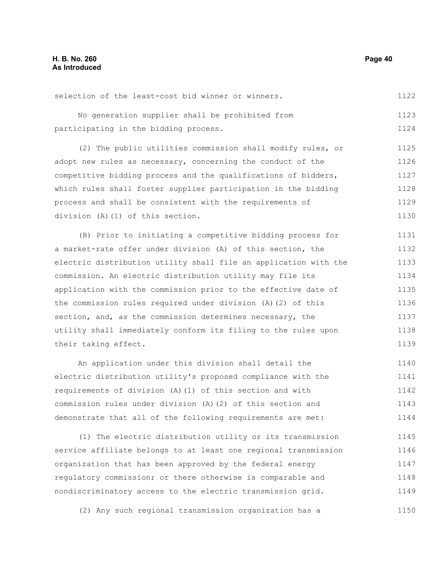selection of the least-cost bid winner or winners. 1122

No generation supplier shall be prohibited from participating in the bidding process. 1123 1124

(2) The public utilities commission shall modify rules, or adopt new rules as necessary, concerning the conduct of the competitive bidding process and the qualifications of bidders, which rules shall foster supplier participation in the bidding process and shall be consistent with the requirements of division (A)(1) of this section. 1125 1126 1127 1128 1129 1130

(B) Prior to initiating a competitive bidding process for a market-rate offer under division (A) of this section, the electric distribution utility shall file an application with the commission. An electric distribution utility may file its application with the commission prior to the effective date of the commission rules required under division (A)(2) of this section, and, as the commission determines necessary, the utility shall immediately conform its filing to the rules upon their taking effect. 1131 1132 1133 1134 1135 1136 1137 1138 1139

An application under this division shall detail the electric distribution utility's proposed compliance with the requirements of division (A)(1) of this section and with commission rules under division (A)(2) of this section and demonstrate that all of the following requirements are met: 1140 1141 1142 1143 1144

(1) The electric distribution utility or its transmission service affiliate belongs to at least one regional transmission organization that has been approved by the federal energy regulatory commission; or there otherwise is comparable and nondiscriminatory access to the electric transmission grid. 1145 1146 1147 1148 1149

(2) Any such regional transmission organization has a 1150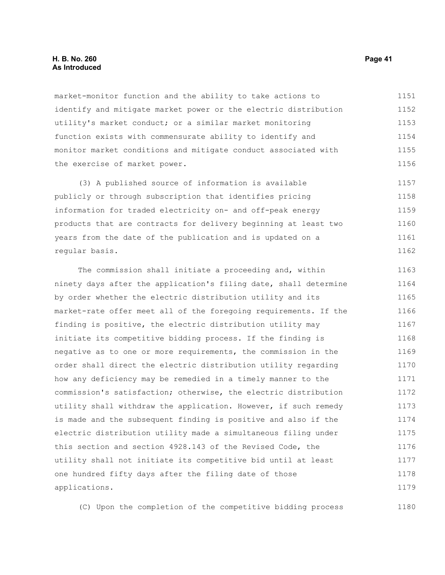### **H. B. No. 260 Page 41 As Introduced**

market-monitor function and the ability to take actions to identify and mitigate market power or the electric distribution utility's market conduct; or a similar market monitoring function exists with commensurate ability to identify and monitor market conditions and mitigate conduct associated with the exercise of market power. 1151 1152 1153 1154 1155 1156

(3) A published source of information is available publicly or through subscription that identifies pricing information for traded electricity on- and off-peak energy products that are contracts for delivery beginning at least two years from the date of the publication and is updated on a regular basis. 1157 1158 1159 1160 1161 1162

The commission shall initiate a proceeding and, within ninety days after the application's filing date, shall determine by order whether the electric distribution utility and its market-rate offer meet all of the foregoing requirements. If the finding is positive, the electric distribution utility may initiate its competitive bidding process. If the finding is negative as to one or more requirements, the commission in the order shall direct the electric distribution utility regarding how any deficiency may be remedied in a timely manner to the commission's satisfaction; otherwise, the electric distribution utility shall withdraw the application. However, if such remedy is made and the subsequent finding is positive and also if the electric distribution utility made a simultaneous filing under this section and section 4928.143 of the Revised Code, the utility shall not initiate its competitive bid until at least one hundred fifty days after the filing date of those applications. 1163 1164 1165 1166 1167 1168 1169 1170 1171 1172 1173 1174 1175 1176 1177 1178 1179

(C) Upon the completion of the competitive bidding process 1180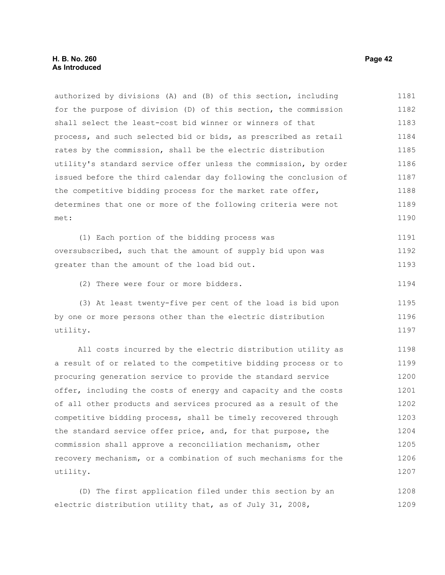authorized by divisions (A) and (B) of this section, including for the purpose of division (D) of this section, the commission shall select the least-cost bid winner or winners of that process, and such selected bid or bids, as prescribed as retail rates by the commission, shall be the electric distribution utility's standard service offer unless the commission, by order issued before the third calendar day following the conclusion of the competitive bidding process for the market rate offer, determines that one or more of the following criteria were not met: (1) Each portion of the bidding process was oversubscribed, such that the amount of supply bid upon was greater than the amount of the load bid out. (2) There were four or more bidders. (3) At least twenty-five per cent of the load is bid upon by one or more persons other than the electric distribution utility. All costs incurred by the electric distribution utility as a result of or related to the competitive bidding process or to procuring generation service to provide the standard service offer, including the costs of energy and capacity and the costs of all other products and services procured as a result of the competitive bidding process, shall be timely recovered through the standard service offer price, and, for that purpose, the commission shall approve a reconciliation mechanism, other recovery mechanism, or a combination of such mechanisms for the utility. (D) The first application filed under this section by an 1181 1182 1183 1184 1185 1186 1187 1188 1189 1190 1191 1192 1193 1194 1195 1196 1197 1198 1199 1200 1201 1202 1203 1204 1205 1206 1207 1208

electric distribution utility that, as of July 31, 2008, 1209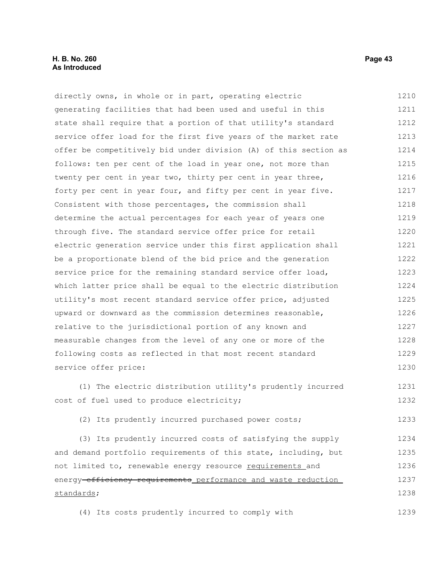# **H. B. No. 260 Page 43 As Introduced**

directly owns, in whole or in part, operating electric generating facilities that had been used and useful in this state shall require that a portion of that utility's standard service offer load for the first five years of the market rate offer be competitively bid under division (A) of this section as follows: ten per cent of the load in year one, not more than twenty per cent in year two, thirty per cent in year three, forty per cent in year four, and fifty per cent in year five. Consistent with those percentages, the commission shall determine the actual percentages for each year of years one through five. The standard service offer price for retail electric generation service under this first application shall be a proportionate blend of the bid price and the generation service price for the remaining standard service offer load, which latter price shall be equal to the electric distribution utility's most recent standard service offer price, adjusted upward or downward as the commission determines reasonable, relative to the jurisdictional portion of any known and measurable changes from the level of any one or more of the following costs as reflected in that most recent standard service offer price: (1) The electric distribution utility's prudently incurred cost of fuel used to produce electricity; 1210 1211 1212 1213 1214 1215 1216 1217 1218 1219 1220 1221 1222 1223 1224 1225 1226 1227 1228 1229 1230 1231 1232

(2) Its prudently incurred purchased power costs; 1233

(3) Its prudently incurred costs of satisfying the supply and demand portfolio requirements of this state, including, but not limited to, renewable energy resource requirements and energy efficiency requirements performance and waste reduction standards; 1234 1235 1236 1237 1238

(4) Its costs prudently incurred to comply with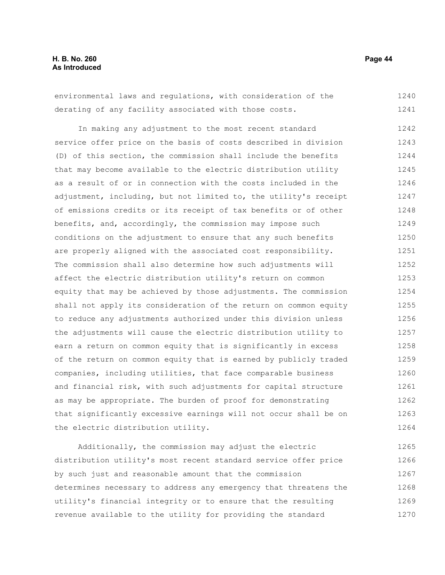environmental laws and regulations, with consideration of the derating of any facility associated with those costs. 1240 1241

In making any adjustment to the most recent standard service offer price on the basis of costs described in division (D) of this section, the commission shall include the benefits that may become available to the electric distribution utility as a result of or in connection with the costs included in the adjustment, including, but not limited to, the utility's receipt of emissions credits or its receipt of tax benefits or of other benefits, and, accordingly, the commission may impose such conditions on the adjustment to ensure that any such benefits are properly aligned with the associated cost responsibility. The commission shall also determine how such adjustments will affect the electric distribution utility's return on common equity that may be achieved by those adjustments. The commission shall not apply its consideration of the return on common equity to reduce any adjustments authorized under this division unless the adjustments will cause the electric distribution utility to earn a return on common equity that is significantly in excess of the return on common equity that is earned by publicly traded companies, including utilities, that face comparable business and financial risk, with such adjustments for capital structure as may be appropriate. The burden of proof for demonstrating that significantly excessive earnings will not occur shall be on the electric distribution utility. 1242 1243 1244 1245 1246 1247 1248 1249 1250 1251 1252 1253 1254 1255 1256 1257 1258 1259 1260 1261 1262 1263 1264

Additionally, the commission may adjust the electric distribution utility's most recent standard service offer price by such just and reasonable amount that the commission determines necessary to address any emergency that threatens the utility's financial integrity or to ensure that the resulting revenue available to the utility for providing the standard 1265 1266 1267 1268 1269 1270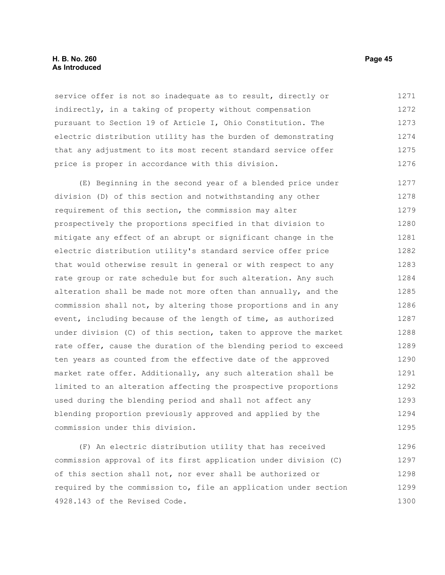### **H. B. No. 260 Page 45 As Introduced**

service offer is not so inadequate as to result, directly or indirectly, in a taking of property without compensation pursuant to Section 19 of Article I, Ohio Constitution. The electric distribution utility has the burden of demonstrating that any adjustment to its most recent standard service offer price is proper in accordance with this division. 1271 1272 1273 1274 1275 1276

(E) Beginning in the second year of a blended price under division (D) of this section and notwithstanding any other requirement of this section, the commission may alter prospectively the proportions specified in that division to mitigate any effect of an abrupt or significant change in the electric distribution utility's standard service offer price that would otherwise result in general or with respect to any rate group or rate schedule but for such alteration. Any such alteration shall be made not more often than annually, and the commission shall not, by altering those proportions and in any event, including because of the length of time, as authorized under division (C) of this section, taken to approve the market rate offer, cause the duration of the blending period to exceed ten years as counted from the effective date of the approved market rate offer. Additionally, any such alteration shall be limited to an alteration affecting the prospective proportions used during the blending period and shall not affect any blending proportion previously approved and applied by the commission under this division. 1277 1278 1279 1280 1281 1282 1283 1284 1285 1286 1287 1288 1289 1290 1291 1292 1293 1294 1295

(F) An electric distribution utility that has received commission approval of its first application under division (C) of this section shall not, nor ever shall be authorized or required by the commission to, file an application under section 4928.143 of the Revised Code. 1296 1297 1298 1299 1300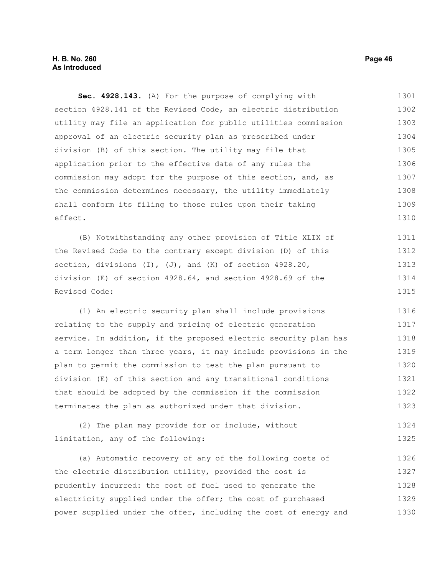**Sec. 4928.143.** (A) For the purpose of complying with section 4928.141 of the Revised Code, an electric distribution utility may file an application for public utilities commission approval of an electric security plan as prescribed under division (B) of this section. The utility may file that application prior to the effective date of any rules the commission may adopt for the purpose of this section, and, as the commission determines necessary, the utility immediately shall conform its filing to those rules upon their taking effect. 1301 1302 1303 1304 1305 1306 1307 1308 1309 1310

(B) Notwithstanding any other provision of Title XLIX of the Revised Code to the contrary except division (D) of this section, divisions  $(I)$ ,  $(J)$ , and  $(K)$  of section 4928.20, division (E) of section 4928.64, and section 4928.69 of the Revised Code: 1311 1312 1313 1314 1315

(1) An electric security plan shall include provisions relating to the supply and pricing of electric generation service. In addition, if the proposed electric security plan has a term longer than three years, it may include provisions in the plan to permit the commission to test the plan pursuant to division (E) of this section and any transitional conditions that should be adopted by the commission if the commission terminates the plan as authorized under that division. 1316 1317 1318 1319 1320 1321 1322 1323

(2) The plan may provide for or include, without limitation, any of the following: 1324 1325

(a) Automatic recovery of any of the following costs of the electric distribution utility, provided the cost is prudently incurred: the cost of fuel used to generate the electricity supplied under the offer; the cost of purchased power supplied under the offer, including the cost of energy and 1326 1327 1328 1329 1330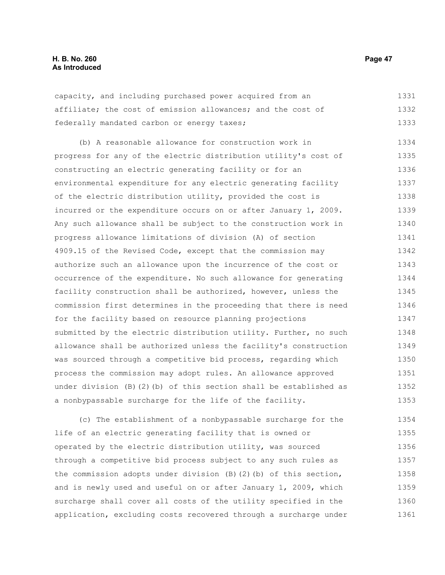capacity, and including purchased power acquired from an affiliate; the cost of emission allowances; and the cost of federally mandated carbon or energy taxes; 1331 1332 1333

(b) A reasonable allowance for construction work in progress for any of the electric distribution utility's cost of constructing an electric generating facility or for an environmental expenditure for any electric generating facility of the electric distribution utility, provided the cost is incurred or the expenditure occurs on or after January 1, 2009. Any such allowance shall be subject to the construction work in progress allowance limitations of division (A) of section 4909.15 of the Revised Code, except that the commission may authorize such an allowance upon the incurrence of the cost or occurrence of the expenditure. No such allowance for generating facility construction shall be authorized, however, unless the commission first determines in the proceeding that there is need for the facility based on resource planning projections submitted by the electric distribution utility. Further, no such allowance shall be authorized unless the facility's construction was sourced through a competitive bid process, regarding which process the commission may adopt rules. An allowance approved under division (B)(2)(b) of this section shall be established as a nonbypassable surcharge for the life of the facility. 1334 1335 1336 1337 1338 1339 1340 1341 1342 1343 1344 1345 1346 1347 1348 1349 1350 1351 1352 1353

(c) The establishment of a nonbypassable surcharge for the life of an electric generating facility that is owned or operated by the electric distribution utility, was sourced through a competitive bid process subject to any such rules as the commission adopts under division (B)(2)(b) of this section, and is newly used and useful on or after January 1, 2009, which surcharge shall cover all costs of the utility specified in the application, excluding costs recovered through a surcharge under 1354 1355 1356 1357 1358 1359 1360 1361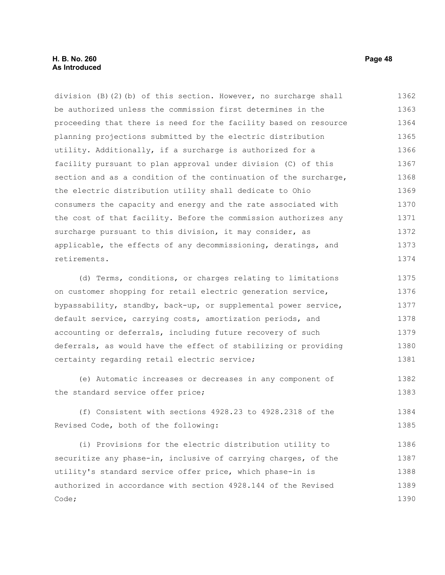division (B)(2)(b) of this section. However, no surcharge shall be authorized unless the commission first determines in the proceeding that there is need for the facility based on resource planning projections submitted by the electric distribution utility. Additionally, if a surcharge is authorized for a facility pursuant to plan approval under division (C) of this section and as a condition of the continuation of the surcharge, the electric distribution utility shall dedicate to Ohio consumers the capacity and energy and the rate associated with the cost of that facility. Before the commission authorizes any surcharge pursuant to this division, it may consider, as applicable, the effects of any decommissioning, deratings, and retirements. 1362 1363 1364 1365 1366 1367 1368 1369 1370 1371 1372 1373 1374

(d) Terms, conditions, or charges relating to limitations on customer shopping for retail electric generation service, bypassability, standby, back-up, or supplemental power service, default service, carrying costs, amortization periods, and accounting or deferrals, including future recovery of such deferrals, as would have the effect of stabilizing or providing certainty regarding retail electric service; 1375 1376 1377 1378 1379 1380 1381

(e) Automatic increases or decreases in any component of the standard service offer price; 1382 1383

(f) Consistent with sections 4928.23 to 4928.2318 of the Revised Code, both of the following: 1384 1385

(i) Provisions for the electric distribution utility to securitize any phase-in, inclusive of carrying charges, of the utility's standard service offer price, which phase-in is authorized in accordance with section 4928.144 of the Revised Code; 1386 1387 1388 1389 1390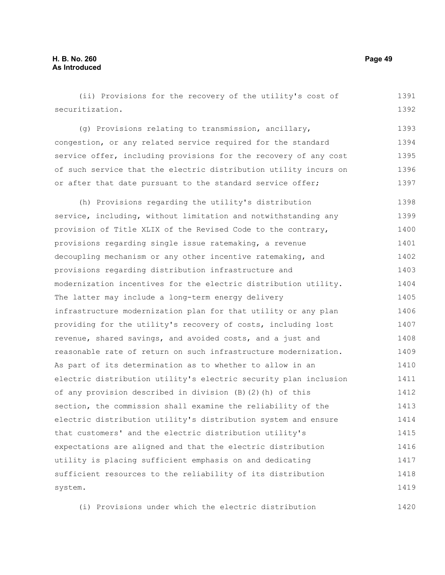(ii) Provisions for the recovery of the utility's cost of securitization. (g) Provisions relating to transmission, ancillary, congestion, or any related service required for the standard service offer, including provisions for the recovery of any cost of such service that the electric distribution utility incurs on or after that date pursuant to the standard service offer; (h) Provisions regarding the utility's distribution service, including, without limitation and notwithstanding any provision of Title XLIX of the Revised Code to the contrary, provisions regarding single issue ratemaking, a revenue decoupling mechanism or any other incentive ratemaking, and provisions regarding distribution infrastructure and modernization incentives for the electric distribution utility. The latter may include a long-term energy delivery infrastructure modernization plan for that utility or any plan providing for the utility's recovery of costs, including lost revenue, shared savings, and avoided costs, and a just and reasonable rate of return on such infrastructure modernization. As part of its determination as to whether to allow in an electric distribution utility's electric security plan inclusion of any provision described in division (B)(2)(h) of this section, the commission shall examine the reliability of the electric distribution utility's distribution system and ensure that customers' and the electric distribution utility's expectations are aligned and that the electric distribution utility is placing sufficient emphasis on and dedicating sufficient resources to the reliability of its distribution system. 1391 1392 1393 1394 1395 1396 1397 1398 1399 1400 1401 1402 1403 1404 1405 1406 1407 1408 1409 1410 1411 1412 1413 1414 1415 1416 1417 1418 1419

(i) Provisions under which the electric distribution 1420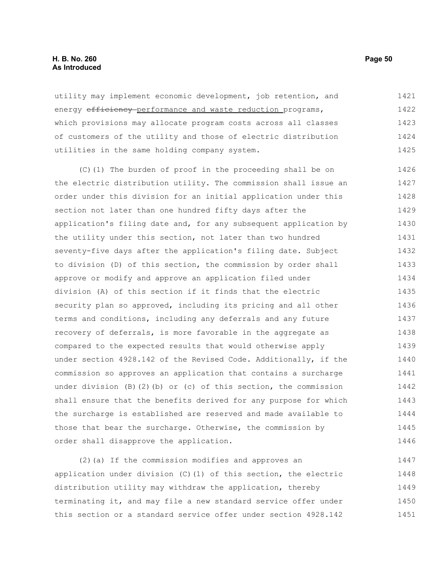# **H. B. No. 260 Page 50 As Introduced**

utility may implement economic development, job retention, and energy efficiency performance and waste reduction programs, which provisions may allocate program costs across all classes of customers of the utility and those of electric distribution utilities in the same holding company system. 1421 1422 1423 1424 1425

(C)(1) The burden of proof in the proceeding shall be on the electric distribution utility. The commission shall issue an order under this division for an initial application under this section not later than one hundred fifty days after the application's filing date and, for any subsequent application by the utility under this section, not later than two hundred seventy-five days after the application's filing date. Subject to division (D) of this section, the commission by order shall approve or modify and approve an application filed under division (A) of this section if it finds that the electric security plan so approved, including its pricing and all other terms and conditions, including any deferrals and any future recovery of deferrals, is more favorable in the aggregate as compared to the expected results that would otherwise apply under section 4928.142 of the Revised Code. Additionally, if the commission so approves an application that contains a surcharge under division  $(B)(2)(b)$  or  $(c)$  of this section, the commission shall ensure that the benefits derived for any purpose for which the surcharge is established are reserved and made available to those that bear the surcharge. Otherwise, the commission by order shall disapprove the application. 1426 1427 1428 1429 1430 1431 1432 1433 1434 1435 1436 1437 1438 1439 1440 1441 1442 1443 1444 1445 1446

(2)(a) If the commission modifies and approves an application under division (C)(1) of this section, the electric distribution utility may withdraw the application, thereby terminating it, and may file a new standard service offer under this section or a standard service offer under section 4928.142 1447 1448 1449 1450 1451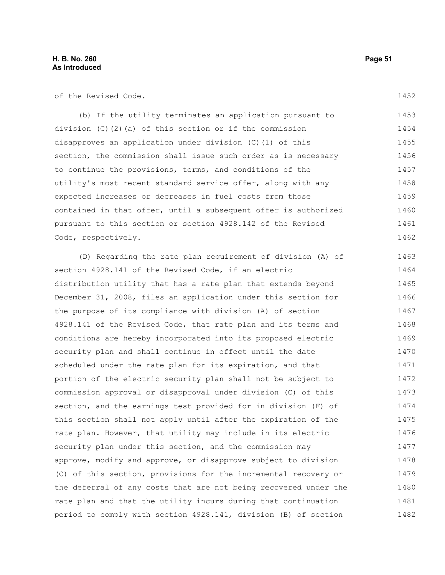of the Revised Code.

1452

(b) If the utility terminates an application pursuant to division  $(C)$   $(2)$   $(a)$  of this section or if the commission disapproves an application under division (C)(1) of this section, the commission shall issue such order as is necessary to continue the provisions, terms, and conditions of the utility's most recent standard service offer, along with any expected increases or decreases in fuel costs from those contained in that offer, until a subsequent offer is authorized pursuant to this section or section 4928.142 of the Revised Code, respectively. 1453 1454 1455 1456 1457 1458 1459 1460 1461 1462

(D) Regarding the rate plan requirement of division (A) of section 4928.141 of the Revised Code, if an electric distribution utility that has a rate plan that extends beyond December 31, 2008, files an application under this section for the purpose of its compliance with division (A) of section 4928.141 of the Revised Code, that rate plan and its terms and conditions are hereby incorporated into its proposed electric security plan and shall continue in effect until the date scheduled under the rate plan for its expiration, and that portion of the electric security plan shall not be subject to commission approval or disapproval under division (C) of this section, and the earnings test provided for in division (F) of this section shall not apply until after the expiration of the rate plan. However, that utility may include in its electric security plan under this section, and the commission may approve, modify and approve, or disapprove subject to division (C) of this section, provisions for the incremental recovery or the deferral of any costs that are not being recovered under the rate plan and that the utility incurs during that continuation period to comply with section 4928.141, division (B) of section 1463 1464 1465 1466 1467 1468 1469 1470 1471 1472 1473 1474 1475 1476 1477 1478 1479 1480 1481 1482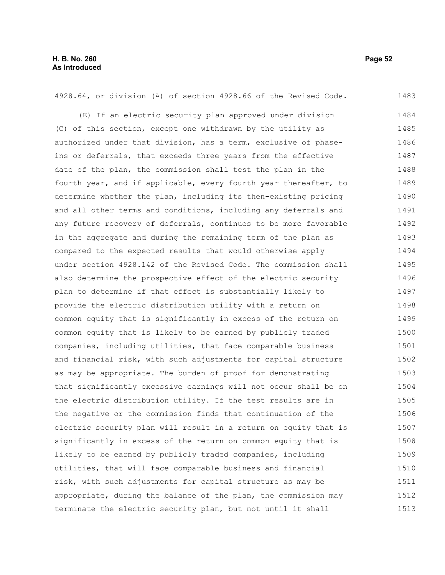4928.64, or division (A) of section 4928.66 of the Revised Code. (E) If an electric security plan approved under division (C) of this section, except one withdrawn by the utility as authorized under that division, has a term, exclusive of phaseins or deferrals, that exceeds three years from the effective date of the plan, the commission shall test the plan in the fourth year, and if applicable, every fourth year thereafter, to determine whether the plan, including its then-existing pricing and all other terms and conditions, including any deferrals and any future recovery of deferrals, continues to be more favorable in the aggregate and during the remaining term of the plan as compared to the expected results that would otherwise apply under section 4928.142 of the Revised Code. The commission shall also determine the prospective effect of the electric security plan to determine if that effect is substantially likely to provide the electric distribution utility with a return on common equity that is significantly in excess of the return on common equity that is likely to be earned by publicly traded companies, including utilities, that face comparable business and financial risk, with such adjustments for capital structure as may be appropriate. The burden of proof for demonstrating that significantly excessive earnings will not occur shall be on the electric distribution utility. If the test results are in the negative or the commission finds that continuation of the electric security plan will result in a return on equity that is significantly in excess of the return on common equity that is likely to be earned by publicly traded companies, including utilities, that will face comparable business and financial risk, with such adjustments for capital structure as may be appropriate, during the balance of the plan, the commission may terminate the electric security plan, but not until it shall 1483 1484 1485 1486 1487 1488 1489 1490 1491 1492 1493 1494 1495 1496 1497 1498 1499 1500 1501 1502 1503 1504 1505 1506 1507 1508 1509 1510 1511 1512 1513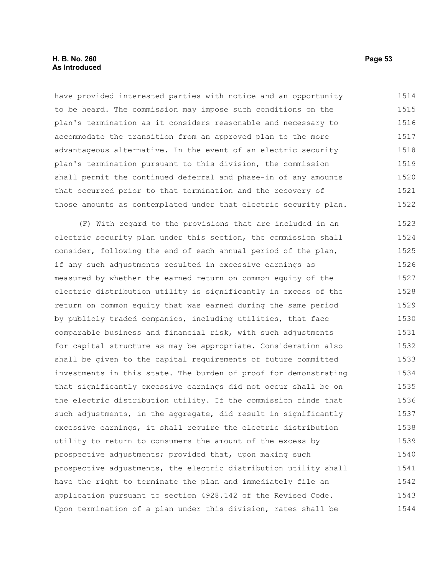# **H. B. No. 260 Page 53 As Introduced**

have provided interested parties with notice and an opportunity to be heard. The commission may impose such conditions on the plan's termination as it considers reasonable and necessary to accommodate the transition from an approved plan to the more advantageous alternative. In the event of an electric security plan's termination pursuant to this division, the commission shall permit the continued deferral and phase-in of any amounts that occurred prior to that termination and the recovery of those amounts as contemplated under that electric security plan. 1514 1515 1516 1517 1518 1519 1520 1521 1522

(F) With regard to the provisions that are included in an electric security plan under this section, the commission shall consider, following the end of each annual period of the plan, if any such adjustments resulted in excessive earnings as measured by whether the earned return on common equity of the electric distribution utility is significantly in excess of the return on common equity that was earned during the same period by publicly traded companies, including utilities, that face comparable business and financial risk, with such adjustments for capital structure as may be appropriate. Consideration also shall be given to the capital requirements of future committed investments in this state. The burden of proof for demonstrating that significantly excessive earnings did not occur shall be on the electric distribution utility. If the commission finds that such adjustments, in the aggregate, did result in significantly excessive earnings, it shall require the electric distribution utility to return to consumers the amount of the excess by prospective adjustments; provided that, upon making such prospective adjustments, the electric distribution utility shall have the right to terminate the plan and immediately file an application pursuant to section 4928.142 of the Revised Code. Upon termination of a plan under this division, rates shall be 1523 1524 1525 1526 1527 1528 1529 1530 1531 1532 1533 1534 1535 1536 1537 1538 1539 1540 1541 1542 1543 1544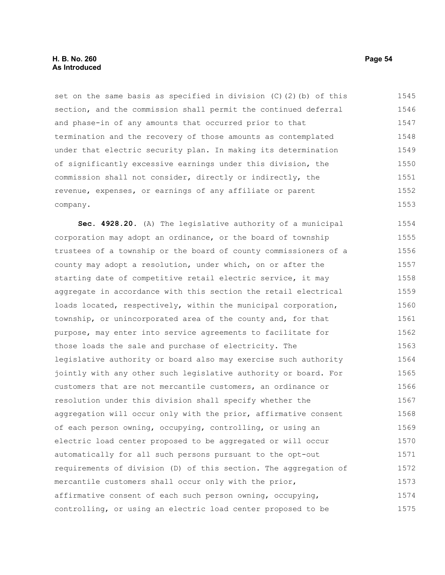# **H. B. No. 260 Page 54 As Introduced**

set on the same basis as specified in division  $(C)$   $(2)$   $(b)$  of this section, and the commission shall permit the continued deferral and phase-in of any amounts that occurred prior to that termination and the recovery of those amounts as contemplated under that electric security plan. In making its determination of significantly excessive earnings under this division, the commission shall not consider, directly or indirectly, the revenue, expenses, or earnings of any affiliate or parent company. 1545 1546 1547 1548 1549 1550 1551 1552 1553

**Sec. 4928.20.** (A) The legislative authority of a municipal corporation may adopt an ordinance, or the board of township trustees of a township or the board of county commissioners of a county may adopt a resolution, under which, on or after the starting date of competitive retail electric service, it may aggregate in accordance with this section the retail electrical loads located, respectively, within the municipal corporation, township, or unincorporated area of the county and, for that purpose, may enter into service agreements to facilitate for those loads the sale and purchase of electricity. The legislative authority or board also may exercise such authority jointly with any other such legislative authority or board. For customers that are not mercantile customers, an ordinance or resolution under this division shall specify whether the aggregation will occur only with the prior, affirmative consent of each person owning, occupying, controlling, or using an electric load center proposed to be aggregated or will occur automatically for all such persons pursuant to the opt-out requirements of division (D) of this section. The aggregation of mercantile customers shall occur only with the prior, affirmative consent of each such person owning, occupying, controlling, or using an electric load center proposed to be 1554 1555 1556 1557 1558 1559 1560 1561 1562 1563 1564 1565 1566 1567 1568 1569 1570 1571 1572 1573 1574 1575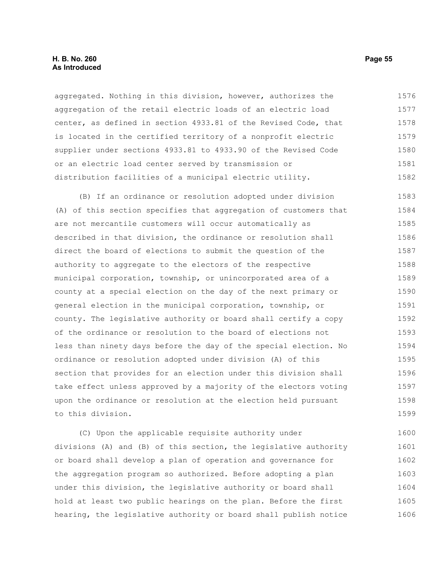### **H. B. No. 260 Page 55 As Introduced**

aggregated. Nothing in this division, however, authorizes the aggregation of the retail electric loads of an electric load center, as defined in section 4933.81 of the Revised Code, that is located in the certified territory of a nonprofit electric supplier under sections 4933.81 to 4933.90 of the Revised Code or an electric load center served by transmission or distribution facilities of a municipal electric utility. 1576 1577 1578 1579 1580 1581 1582

(B) If an ordinance or resolution adopted under division (A) of this section specifies that aggregation of customers that are not mercantile customers will occur automatically as described in that division, the ordinance or resolution shall direct the board of elections to submit the question of the authority to aggregate to the electors of the respective municipal corporation, township, or unincorporated area of a county at a special election on the day of the next primary or general election in the municipal corporation, township, or county. The legislative authority or board shall certify a copy of the ordinance or resolution to the board of elections not less than ninety days before the day of the special election. No ordinance or resolution adopted under division (A) of this section that provides for an election under this division shall take effect unless approved by a majority of the electors voting upon the ordinance or resolution at the election held pursuant to this division. 1583 1584 1585 1586 1587 1588 1589 1590 1591 1592 1593 1594 1595 1596 1597 1598 1599

(C) Upon the applicable requisite authority under divisions (A) and (B) of this section, the legislative authority or board shall develop a plan of operation and governance for the aggregation program so authorized. Before adopting a plan under this division, the legislative authority or board shall hold at least two public hearings on the plan. Before the first hearing, the legislative authority or board shall publish notice 1600 1601 1602 1603 1604 1605 1606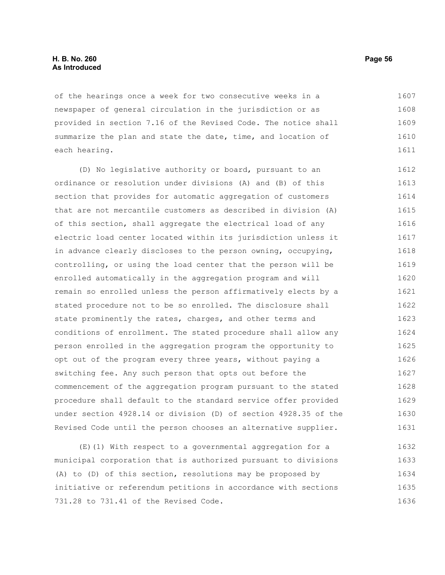#### **H. B. No. 260 Page 56 As Introduced**

of the hearings once a week for two consecutive weeks in a newspaper of general circulation in the jurisdiction or as provided in section 7.16 of the Revised Code. The notice shall summarize the plan and state the date, time, and location of each hearing. 1607 1608 1609 1610 1611

(D) No legislative authority or board, pursuant to an ordinance or resolution under divisions (A) and (B) of this section that provides for automatic aggregation of customers that are not mercantile customers as described in division (A) of this section, shall aggregate the electrical load of any electric load center located within its jurisdiction unless it in advance clearly discloses to the person owning, occupying, controlling, or using the load center that the person will be enrolled automatically in the aggregation program and will remain so enrolled unless the person affirmatively elects by a stated procedure not to be so enrolled. The disclosure shall state prominently the rates, charges, and other terms and conditions of enrollment. The stated procedure shall allow any person enrolled in the aggregation program the opportunity to opt out of the program every three years, without paying a switching fee. Any such person that opts out before the commencement of the aggregation program pursuant to the stated procedure shall default to the standard service offer provided under section 4928.14 or division (D) of section 4928.35 of the Revised Code until the person chooses an alternative supplier. 1612 1613 1614 1615 1616 1617 1618 1619 1620 1621 1622 1623 1624 1625 1626 1627 1628 1629 1630 1631

(E)(1) With respect to a governmental aggregation for a municipal corporation that is authorized pursuant to divisions (A) to (D) of this section, resolutions may be proposed by initiative or referendum petitions in accordance with sections 731.28 to 731.41 of the Revised Code. 1632 1633 1634 1635 1636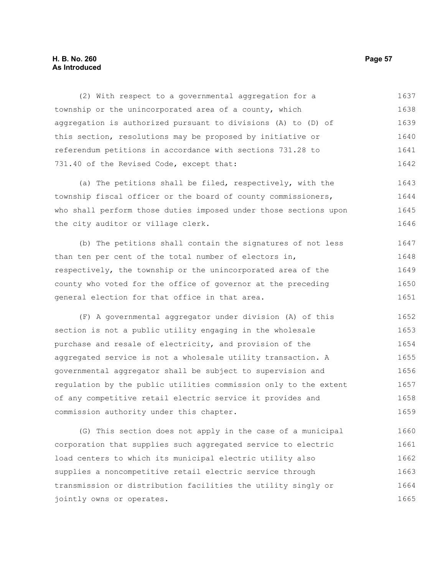# **H. B. No. 260 Page 57 As Introduced**

(2) With respect to a governmental aggregation for a township or the unincorporated area of a county, which aggregation is authorized pursuant to divisions (A) to (D) of this section, resolutions may be proposed by initiative or referendum petitions in accordance with sections 731.28 to 731.40 of the Revised Code, except that: 1637 1638 1639 1640 1641 1642

(a) The petitions shall be filed, respectively, with the township fiscal officer or the board of county commissioners, who shall perform those duties imposed under those sections upon the city auditor or village clerk. 1643 1644 1645 1646

(b) The petitions shall contain the signatures of not less than ten per cent of the total number of electors in, respectively, the township or the unincorporated area of the county who voted for the office of governor at the preceding general election for that office in that area. 1647 1648 1649 1650 1651

(F) A governmental aggregator under division (A) of this section is not a public utility engaging in the wholesale purchase and resale of electricity, and provision of the aggregated service is not a wholesale utility transaction. A governmental aggregator shall be subject to supervision and regulation by the public utilities commission only to the extent of any competitive retail electric service it provides and commission authority under this chapter. 1652 1653 1654 1655 1656 1657 1658 1659

(G) This section does not apply in the case of a municipal corporation that supplies such aggregated service to electric load centers to which its municipal electric utility also supplies a noncompetitive retail electric service through transmission or distribution facilities the utility singly or jointly owns or operates. 1660 1661 1662 1663 1664 1665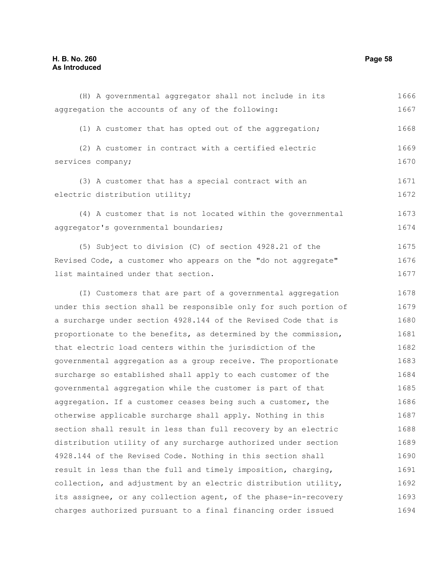# **H. B. No. 260 Page 58 As Introduced**

| (H) A governmental aggregator shall not include in its           | 1666 |
|------------------------------------------------------------------|------|
| aggregation the accounts of any of the following:                | 1667 |
| (1) A customer that has opted out of the aggregation;            | 1668 |
| (2) A customer in contract with a certified electric             | 1669 |
| services company;                                                | 1670 |
| (3) A customer that has a special contract with an               | 1671 |
| electric distribution utility;                                   | 1672 |
| (4) A customer that is not located within the governmental       | 1673 |
| aggregator's governmental boundaries;                            | 1674 |
| (5) Subject to division (C) of section 4928.21 of the            | 1675 |
| Revised Code, a customer who appears on the "do not aggregate"   | 1676 |
| list maintained under that section.                              | 1677 |
| (I) Customers that are part of a governmental aggregation        | 1678 |
| under this section shall be responsible only for such portion of | 1679 |
| a surcharge under section 4928.144 of the Revised Code that is   | 1680 |
| proportionate to the benefits, as determined by the commission,  | 1681 |
| that electric load centers within the jurisdiction of the        | 1682 |
| governmental aggregation as a group receive. The proportionate   | 1683 |
| surcharge so established shall apply to each customer of the     | 1684 |
| governmental aggregation while the customer is part of that      | 1685 |
| aggregation. If a customer ceases being such a customer, the     | 1686 |
| otherwise applicable surcharge shall apply. Nothing in this      | 1687 |
| section shall result in less than full recovery by an electric   | 1688 |
| distribution utility of any surcharge authorized under section   | 1689 |
| 4928.144 of the Revised Code. Nothing in this section shall      | 1690 |
| result in less than the full and timely imposition, charging,    | 1691 |
| collection, and adjustment by an electric distribution utility,  | 1692 |
| its assignee, or any collection agent, of the phase-in-recovery  | 1693 |
| charges authorized pursuant to a final financing order issued    | 1694 |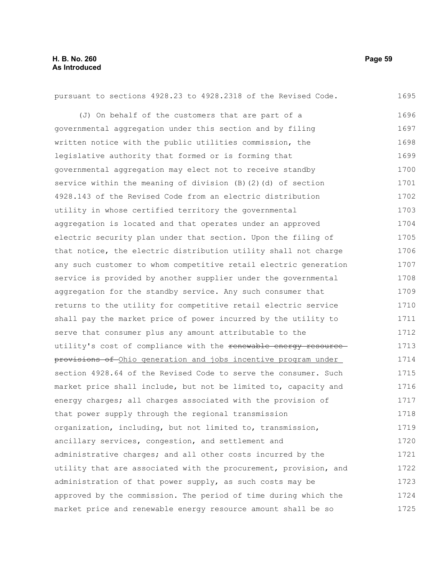| pursuant to sections 4928.23 to 4928.2318 of the Revised Code.   | 1695 |
|------------------------------------------------------------------|------|
| (J) On behalf of the customers that are part of a                | 1696 |
| governmental aggregation under this section and by filing        | 1697 |
| written notice with the public utilities commission, the         | 1698 |
| legislative authority that formed or is forming that             | 1699 |
| governmental aggregation may elect not to receive standby        | 1700 |
| service within the meaning of division (B) (2) (d) of section    | 1701 |
| 4928.143 of the Revised Code from an electric distribution       | 1702 |
| utility in whose certified territory the governmental            | 1703 |
| aggregation is located and that operates under an approved       | 1704 |
| electric security plan under that section. Upon the filing of    | 1705 |
| that notice, the electric distribution utility shall not charge  | 1706 |
| any such customer to whom competitive retail electric generation | 1707 |
| service is provided by another supplier under the governmental   | 1708 |
| aggregation for the standby service. Any such consumer that      | 1709 |
| returns to the utility for competitive retail electric service   | 1710 |
| shall pay the market price of power incurred by the utility to   | 1711 |
| serve that consumer plus any amount attributable to the          | 1712 |
| utility's cost of compliance with the renewable energy resource  | 1713 |
| provisions of Ohio generation and jobs incentive program under   | 1714 |
| section 4928.64 of the Revised Code to serve the consumer. Such  | 1715 |
| market price shall include, but not be limited to, capacity and  | 1716 |
| energy charges; all charges associated with the provision of     | 1717 |
| that power supply through the regional transmission              | 1718 |
| organization, including, but not limited to, transmission,       | 1719 |
| ancillary services, congestion, and settlement and               | 1720 |
| administrative charges; and all other costs incurred by the      | 1721 |
| utility that are associated with the procurement, provision, and | 1722 |
| administration of that power supply, as such costs may be        | 1723 |
| approved by the commission. The period of time during which the  | 1724 |
| market price and renewable energy resource amount shall be so    | 1725 |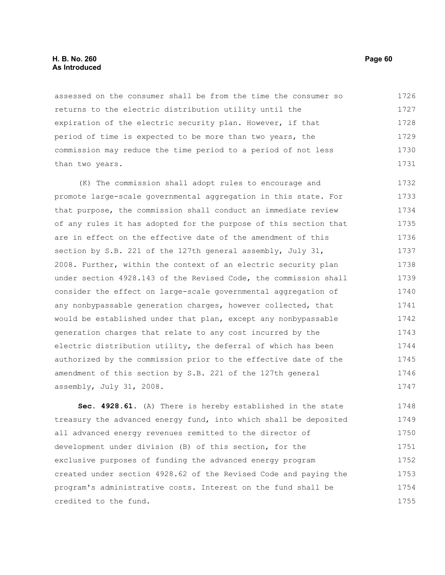# **H. B. No. 260 Page 60 As Introduced**

assessed on the consumer shall be from the time the consumer so returns to the electric distribution utility until the expiration of the electric security plan. However, if that period of time is expected to be more than two years, the commission may reduce the time period to a period of not less than two years. 1726 1727 1728 1729 1730 1731

(K) The commission shall adopt rules to encourage and promote large-scale governmental aggregation in this state. For that purpose, the commission shall conduct an immediate review of any rules it has adopted for the purpose of this section that are in effect on the effective date of the amendment of this section by S.B. 221 of the 127th general assembly, July 31, 2008. Further, within the context of an electric security plan under section 4928.143 of the Revised Code, the commission shall consider the effect on large-scale governmental aggregation of any nonbypassable generation charges, however collected, that would be established under that plan, except any nonbypassable generation charges that relate to any cost incurred by the electric distribution utility, the deferral of which has been authorized by the commission prior to the effective date of the amendment of this section by S.B. 221 of the 127th general assembly, July 31, 2008. 1732 1733 1734 1735 1736 1737 1738 1739 1740 1741 1742 1743 1744 1745 1746 1747

**Sec. 4928.61.** (A) There is hereby established in the state treasury the advanced energy fund, into which shall be deposited all advanced energy revenues remitted to the director of development under division (B) of this section, for the exclusive purposes of funding the advanced energy program created under section 4928.62 of the Revised Code and paying the program's administrative costs. Interest on the fund shall be credited to the fund. 1748 1749 1750 1751 1752 1753 1754 1755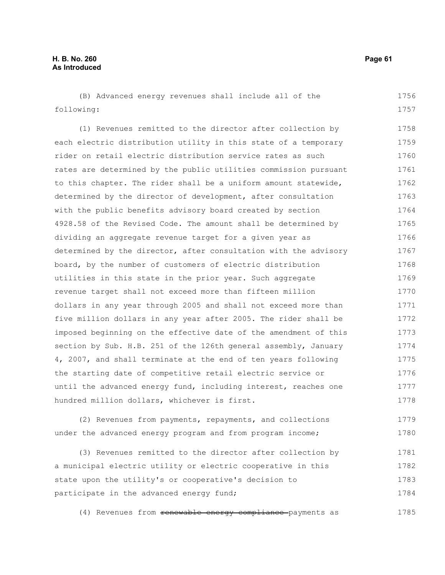(B) Advanced energy revenues shall include all of the following: 1756 1757

(1) Revenues remitted to the director after collection by each electric distribution utility in this state of a temporary rider on retail electric distribution service rates as such rates are determined by the public utilities commission pursuant to this chapter. The rider shall be a uniform amount statewide, determined by the director of development, after consultation with the public benefits advisory board created by section 4928.58 of the Revised Code. The amount shall be determined by dividing an aggregate revenue target for a given year as determined by the director, after consultation with the advisory board, by the number of customers of electric distribution utilities in this state in the prior year. Such aggregate revenue target shall not exceed more than fifteen million dollars in any year through 2005 and shall not exceed more than five million dollars in any year after 2005. The rider shall be imposed beginning on the effective date of the amendment of this section by Sub. H.B. 251 of the 126th general assembly, January 4, 2007, and shall terminate at the end of ten years following the starting date of competitive retail electric service or until the advanced energy fund, including interest, reaches one hundred million dollars, whichever is first. 1758 1759 1760 1761 1762 1763 1764 1765 1766 1767 1768 1769 1770 1771 1772 1773 1774 1775 1776 1777 1778

(2) Revenues from payments, repayments, and collections under the advanced energy program and from program income; 1779 1780

(3) Revenues remitted to the director after collection by a municipal electric utility or electric cooperative in this state upon the utility's or cooperative's decision to participate in the advanced energy fund; 1781 1782 1783 1784

(4) Revenues from renewable energy compliance-payments as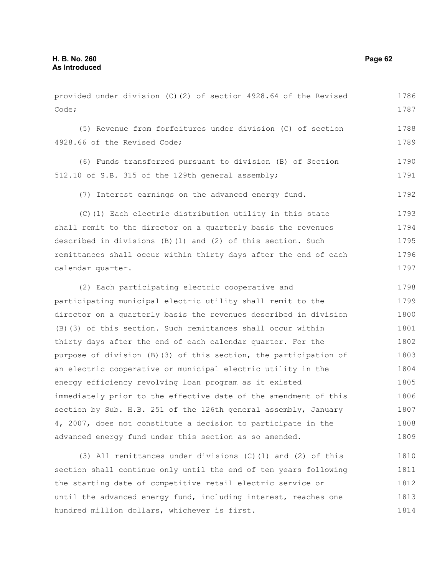Code; (5) Revenue from forfeitures under division (C) of section 4928.66 of the Revised Code; (6) Funds transferred pursuant to division (B) of Section 512.10 of S.B. 315 of the 129th general assembly; (7) Interest earnings on the advanced energy fund. (C)(1) Each electric distribution utility in this state shall remit to the director on a quarterly basis the revenues described in divisions (B)(1) and (2) of this section. Such remittances shall occur within thirty days after the end of each calendar quarter. (2) Each participating electric cooperative and participating municipal electric utility shall remit to the director on a quarterly basis the revenues described in division (B)(3) of this section. Such remittances shall occur within thirty days after the end of each calendar quarter. For the purpose of division (B)(3) of this section, the participation of an electric cooperative or municipal electric utility in the energy efficiency revolving loan program as it existed immediately prior to the effective date of the amendment of this section by Sub. H.B. 251 of the 126th general assembly, January 4, 2007, does not constitute a decision to participate in the advanced energy fund under this section as so amended. (3) All remittances under divisions (C)(1) and (2) of this section shall continue only until the end of ten years following the starting date of competitive retail electric service or until the advanced energy fund, including interest, reaches one 1787 1788 1789 1790 1791 1792 1793 1794 1795 1796 1797 1798 1799 1800 1801 1802 1803 1804 1805 1806 1807 1808 1809 1810 1811 1812 1813

hundred million dollars, whichever is first.

provided under division (C)(2) of section 4928.64 of the Revised

1786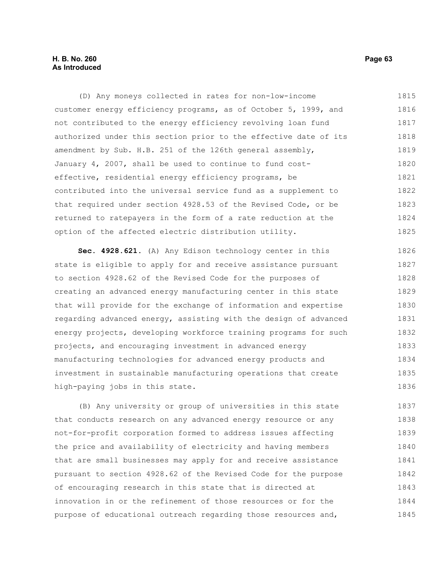# **H. B. No. 260 Page 63 As Introduced**

(D) Any moneys collected in rates for non-low-income customer energy efficiency programs, as of October 5, 1999, and not contributed to the energy efficiency revolving loan fund authorized under this section prior to the effective date of its amendment by Sub. H.B. 251 of the 126th general assembly, January 4, 2007, shall be used to continue to fund costeffective, residential energy efficiency programs, be contributed into the universal service fund as a supplement to that required under section 4928.53 of the Revised Code, or be returned to ratepayers in the form of a rate reduction at the option of the affected electric distribution utility. 1815 1816 1817 1818 1819 1820 1821 1822 1823 1824 1825

**Sec. 4928.621.** (A) Any Edison technology center in this state is eligible to apply for and receive assistance pursuant to section 4928.62 of the Revised Code for the purposes of creating an advanced energy manufacturing center in this state that will provide for the exchange of information and expertise regarding advanced energy, assisting with the design of advanced energy projects, developing workforce training programs for such projects, and encouraging investment in advanced energy manufacturing technologies for advanced energy products and investment in sustainable manufacturing operations that create high-paying jobs in this state. 1826 1827 1828 1829 1830 1831 1832 1833 1834 1835 1836

(B) Any university or group of universities in this state that conducts research on any advanced energy resource or any not-for-profit corporation formed to address issues affecting the price and availability of electricity and having members that are small businesses may apply for and receive assistance pursuant to section 4928.62 of the Revised Code for the purpose of encouraging research in this state that is directed at innovation in or the refinement of those resources or for the purpose of educational outreach regarding those resources and, 1837 1838 1839 1840 1841 1842 1843 1844 1845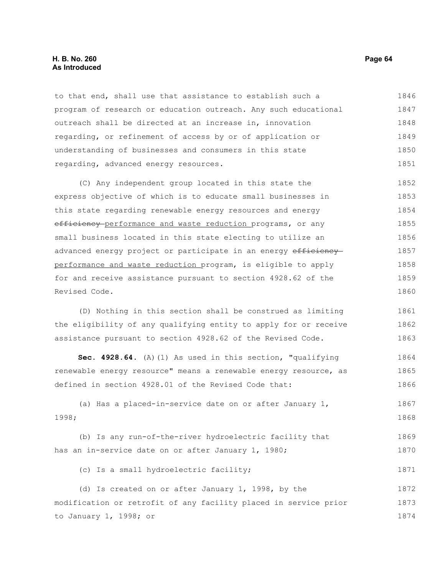#### **H. B. No. 260 Page 64 As Introduced**

to that end, shall use that assistance to establish such a program of research or education outreach. Any such educational outreach shall be directed at an increase in, innovation regarding, or refinement of access by or of application or understanding of businesses and consumers in this state regarding, advanced energy resources. 1846 1847 1848 1849 1850 1851

(C) Any independent group located in this state the express objective of which is to educate small businesses in this state regarding renewable energy resources and energy efficiency performance and waste reduction programs, or any small business located in this state electing to utilize an advanced energy project or participate in an energy efficiency performance and waste reduction program, is eligible to apply for and receive assistance pursuant to section 4928.62 of the Revised Code. 1852 1853 1854 1855 1856 1857 1858 1859 1860

(D) Nothing in this section shall be construed as limiting the eligibility of any qualifying entity to apply for or receive assistance pursuant to section 4928.62 of the Revised Code. 1861 1862 1863

**Sec. 4928.64.** (A)(1) As used in this section, "qualifying renewable energy resource" means a renewable energy resource, as defined in section 4928.01 of the Revised Code that: 1864 1865 1866

(a) Has a placed-in-service date on or after January 1, 1998; 1867 1868

(b) Is any run-of-the-river hydroelectric facility that has an in-service date on or after January 1, 1980; 1869 1870

#### (c) Is a small hydroelectric facility; 1871

(d) Is created on or after January 1, 1998, by the modification or retrofit of any facility placed in service prior to January 1, 1998; or 1872 1873 1874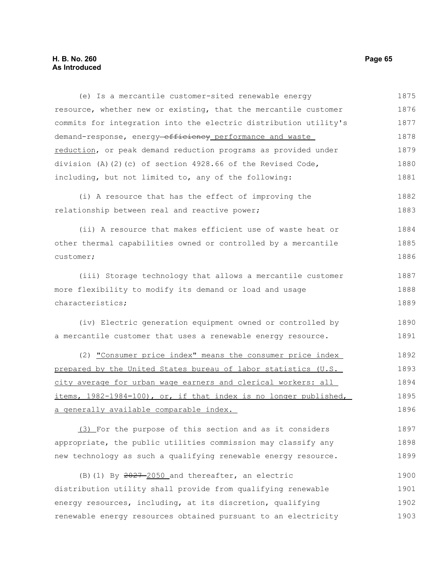# **H. B. No. 260 Page 65 As Introduced**

(e) Is a mercantile customer-sited renewable energy resource, whether new or existing, that the mercantile customer commits for integration into the electric distribution utility's demand-response, energy-efficiency performance and waste reduction, or peak demand reduction programs as provided under division (A)(2)(c) of section 4928.66 of the Revised Code, including, but not limited to, any of the following: (i) A resource that has the effect of improving the relationship between real and reactive power; (ii) A resource that makes efficient use of waste heat or other thermal capabilities owned or controlled by a mercantile customer; (iii) Storage technology that allows a mercantile customer more flexibility to modify its demand or load and usage characteristics; (iv) Electric generation equipment owned or controlled by a mercantile customer that uses a renewable energy resource. (2) "Consumer price index" means the consumer price index prepared by the United States bureau of labor statistics (U.S. city average for urban wage earners and clerical workers: all items, 1982-1984=100), or, if that index is no longer published, a generally available comparable index. (3) For the purpose of this section and as it considers appropriate, the public utilities commission may classify any new technology as such a qualifying renewable energy resource. 1875 1876 1877 1878 1879 1880 1881 1882 1883 1884 1885 1886 1887 1888 1889 1890 1891 1892 1893 1894 1895 1896 1897 1898 1899

(B)(1) By  $2027 - 2050$  and thereafter, an electric distribution utility shall provide from qualifying renewable energy resources, including, at its discretion, qualifying renewable energy resources obtained pursuant to an electricity 1900 1901 1902 1903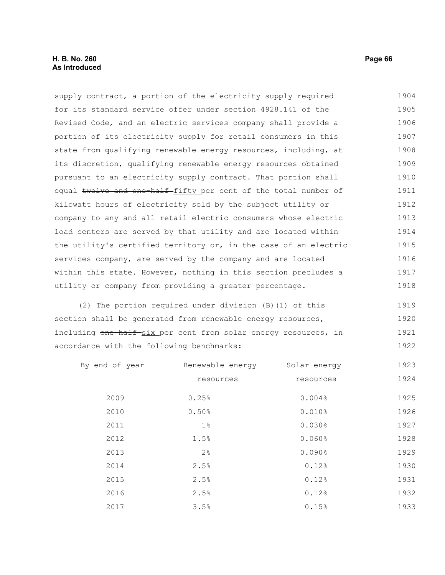# **H. B. No. 260 Page 66 As Introduced**

supply contract, a portion of the electricity supply required for its standard service offer under section 4928.141 of the Revised Code, and an electric services company shall provide a portion of its electricity supply for retail consumers in this state from qualifying renewable energy resources, including, at its discretion, qualifying renewable energy resources obtained pursuant to an electricity supply contract. That portion shall equal twelve and one half fifty per cent of the total number of kilowatt hours of electricity sold by the subject utility or company to any and all retail electric consumers whose electric load centers are served by that utility and are located within the utility's certified territory or, in the case of an electric services company, are served by the company and are located within this state. However, nothing in this section precludes a utility or company from providing a greater percentage. 1904 1905 1906 1907 1908 1909 1910 1911 1912 1913 1914 1915 1916 1917 1918

(2) The portion required under division (B)(1) of this section shall be generated from renewable energy resources, including one-half six per cent from solar energy resources, in accordance with the following benchmarks: 1919 1920 1921 1922

| By end of year | Renewable energy | Solar energy | 1923 |
|----------------|------------------|--------------|------|
|                | resources        | resources    | 1924 |
| 2009           | 0.25%            | 0.004%       | 1925 |
| 2010           | 0.50%            | 0.010%       | 1926 |
| 2011           | $1\%$            | 0.030%       | 1927 |
| 2012           | 1.5%             | 0.060%       | 1928 |
| 2013           | $2\frac{6}{6}$   | 0.090%       | 1929 |
| 2014           | 2.5%             | 0.12%        | 1930 |
| 2015           | 2.5%             | 0.12%        | 1931 |
| 2016           | 2.5%             | 0.12%        | 1932 |
| 2017           | 3.5%             | 0.15%        | 1933 |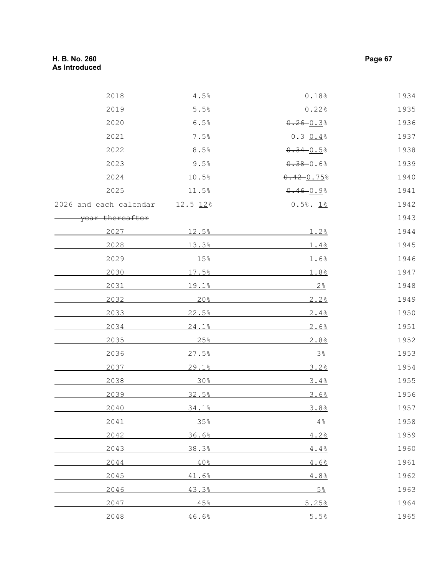| 2018                   | 4.5%          | 0.18%           | 1934 |
|------------------------|---------------|-----------------|------|
| 2019                   | 5.5%          | 0.22%           | 1935 |
| 2020                   | 6.5%          | $0.26 - 0.3$    | 1936 |
| 2021                   | 7.5%          | $0.3 - 0.4$ %   | 1937 |
| 2022                   | 8.5%          | $0.34 - 0.5$ %  | 1938 |
| 2023                   | 9.5%          | $0.38 - 0.68$   | 1939 |
| 2024                   | 10.5%         | $0.42 - 0.75$ % | 1940 |
| 2025                   | 11.5%         | $0.46 - 0.98$   | 1941 |
| 2026 and each calendar | $12.5 - 12$ % | $0.58 - 18$     | 1942 |
| year thereafter        |               |                 | 1943 |
| 2027                   | 12.5%         | 1.2%            | 1944 |
| 2028                   | 13.3%         | 1.4%            | 1945 |
| 2029                   | 15%           | 1.6%            | 1946 |
| 2030                   | 17.5%         | 1.8%            | 1947 |
| 2031                   | 19.1%         | 2.8             | 1948 |
| 2032                   | 20%           | 2.2%            | 1949 |
| 2033                   | 22.5%         | 2.4%            | 1950 |
| 2034                   | 24.1%         | 2.6%            | 1951 |
| 2035                   | 25%           | 2.8%            | 1952 |
| 2036                   | 27.5%         | 3 <sup>°</sup>  | 1953 |
| 2037                   | 29.1%         | 3.2%            | 1954 |
| 2038                   | 30%           | 3.4%            | 1955 |
| 2039                   | 32.5%         | 3.6%            | 1956 |
| 2040                   | 34.1%         | 3.8%            | 1957 |
| 2041                   | 35%           | 4.8             | 1958 |
| 2042                   | 36.6%         | 4.2%            | 1959 |
| 2043                   | 38.3%         | 4.4%            | 1960 |
| 2044                   | 40%           | 4.6%            | 1961 |
| 2045                   | 41.6%         | 4.8%            | 1962 |
| 2046                   | 43.3%         | $5\frac{6}{5}$  | 1963 |
| 2047                   | 45%           | 5.25%           | 1964 |
| 2048                   | 46.6%         | 5.5%            | 1965 |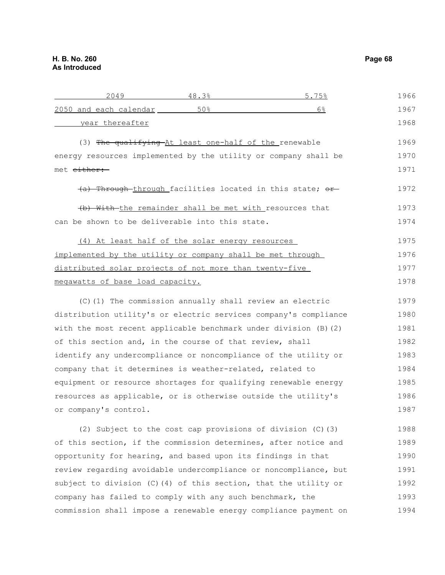| 2049                                                               | 48.3%                                                      | 5.75% | 1966 |
|--------------------------------------------------------------------|------------------------------------------------------------|-------|------|
| 2050 and each calendar _______                                     | 50%                                                        | 6%    | 1967 |
| year thereafter                                                    |                                                            |       | 1968 |
|                                                                    | (3) The qualifying At least one-half of the renewable      |       | 1969 |
| energy resources implemented by the utility or company shall be    |                                                            |       | 1970 |
| met either:                                                        |                                                            |       | 1971 |
|                                                                    | (a) Through through facilities located in this state; or   |       | 1972 |
| (b) With-the remainder shall be met with resources that            |                                                            |       | 1973 |
| can be shown to be deliverable into this state.                    |                                                            |       | 1974 |
| (4) At least half of the solar energy resources                    |                                                            |       | 1975 |
| implemented by the utility or company shall be met through         |                                                            |       | 1976 |
| distributed solar projects of not more than twenty-five            |                                                            |       | 1977 |
| megawatts of base load capacity.                                   |                                                            |       | 1978 |
|                                                                    | (C) (1) The commission annually shall review an electric   |       | 1979 |
| distribution utility's or electric services company's compliance   |                                                            |       | 1980 |
| with the most recent applicable benchmark under division (B) (2)   |                                                            |       | 1981 |
| of this section and, in the course of that review, shall           |                                                            |       | 1982 |
| identify any undercompliance or noncompliance of the utility or    |                                                            |       | 1983 |
| company that it determines is weather-related, related to          |                                                            |       | 1984 |
| equipment or resource shortages for qualifying renewable energy    |                                                            |       | 1985 |
| resources as applicable, or is otherwise outside the utility's     |                                                            |       | 1986 |
| or company's control.                                              |                                                            |       | 1987 |
|                                                                    | (2) Subject to the cost cap provisions of division (C) (3) |       | 1988 |
| of this section, if the commission determines, after notice and    |                                                            |       | 1989 |
| opportunity for hearing, and based upon its findings in that       |                                                            |       | 1990 |
| review regarding avoidable undercompliance or noncompliance, but   |                                                            |       | 1991 |
| subject to division $(C)$ (4) of this section, that the utility or |                                                            |       | 1992 |
| company has failed to comply with any such benchmark, the          |                                                            |       | 1993 |
| commission shall impose a renewable energy compliance payment on   |                                                            |       | 1994 |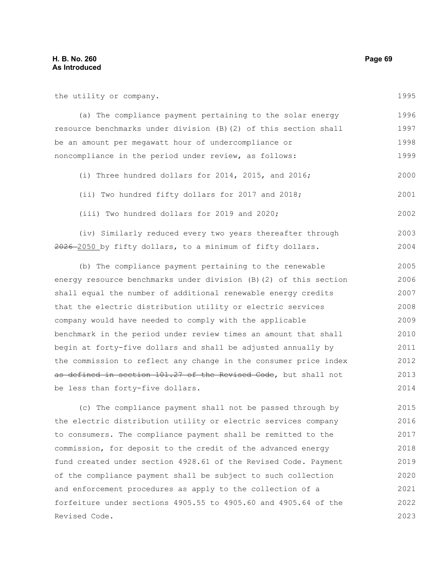the utility or company.

(a) The compliance payment pertaining to the solar energy resource benchmarks under division (B)(2) of this section shall be an amount per megawatt hour of undercompliance or noncompliance in the period under review, as follows: 1996 1997 1998 1999

(i) Three hundred dollars for 2014, 2015, and 2016; 2000

(ii) Two hundred fifty dollars for 2017 and 2018; 2001

(iii) Two hundred dollars for 2019 and 2020;

(iv) Similarly reduced every two years thereafter through 2026 2050 by fifty dollars, to a minimum of fifty dollars. 2003 2004

(b) The compliance payment pertaining to the renewable energy resource benchmarks under division (B)(2) of this section shall equal the number of additional renewable energy credits that the electric distribution utility or electric services company would have needed to comply with the applicable benchmark in the period under review times an amount that shall begin at forty-five dollars and shall be adjusted annually by the commission to reflect any change in the consumer price index as defined in section 101.27 of the Revised Code, but shall not be less than forty-five dollars. 2005 2006 2007 2008 2009 2010 2011 2012 2013 2014

(c) The compliance payment shall not be passed through by the electric distribution utility or electric services company to consumers. The compliance payment shall be remitted to the commission, for deposit to the credit of the advanced energy fund created under section 4928.61 of the Revised Code. Payment of the compliance payment shall be subject to such collection and enforcement procedures as apply to the collection of a forfeiture under sections 4905.55 to 4905.60 and 4905.64 of the Revised Code. 2015 2016 2017 2018 2019 2020 2021 2022 2023

1995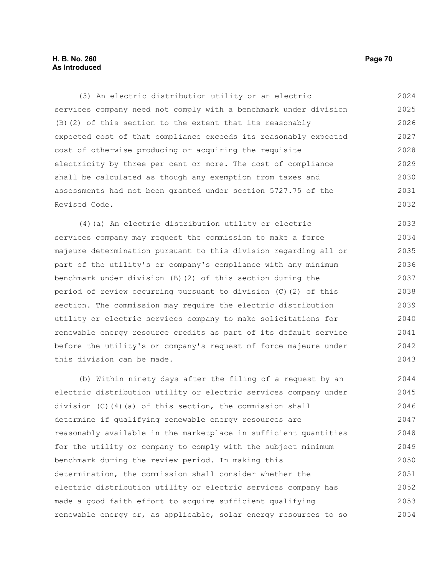# **H. B. No. 260 Page 70 As Introduced**

(3) An electric distribution utility or an electric services company need not comply with a benchmark under division (B)(2) of this section to the extent that its reasonably expected cost of that compliance exceeds its reasonably expected cost of otherwise producing or acquiring the requisite electricity by three per cent or more. The cost of compliance shall be calculated as though any exemption from taxes and assessments had not been granted under section 5727.75 of the Revised Code. 2024 2025 2026 2027 2028 2029 2030 2031 2032

(4)(a) An electric distribution utility or electric services company may request the commission to make a force majeure determination pursuant to this division regarding all or part of the utility's or company's compliance with any minimum benchmark under division (B)(2) of this section during the period of review occurring pursuant to division (C)(2) of this section. The commission may require the electric distribution utility or electric services company to make solicitations for renewable energy resource credits as part of its default service before the utility's or company's request of force majeure under this division can be made. 2033 2034 2035 2036 2037 2038 2039 2040 2041 2042 2043

(b) Within ninety days after the filing of a request by an electric distribution utility or electric services company under division  $(C)$  (4)(a) of this section, the commission shall determine if qualifying renewable energy resources are reasonably available in the marketplace in sufficient quantities for the utility or company to comply with the subject minimum benchmark during the review period. In making this determination, the commission shall consider whether the electric distribution utility or electric services company has made a good faith effort to acquire sufficient qualifying renewable energy or, as applicable, solar energy resources to so 2044 2045 2046 2047 2048 2049 2050 2051 2052 2053 2054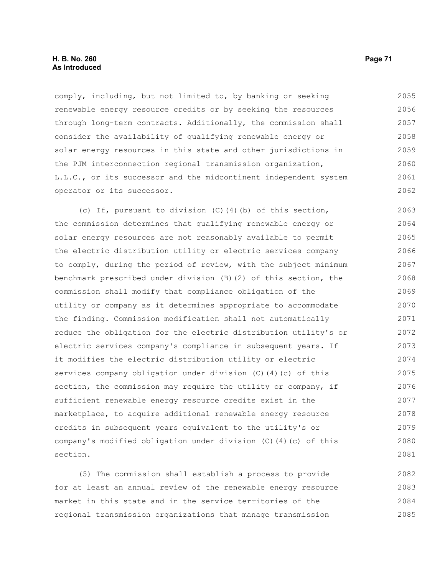comply, including, but not limited to, by banking or seeking renewable energy resource credits or by seeking the resources through long-term contracts. Additionally, the commission shall consider the availability of qualifying renewable energy or solar energy resources in this state and other jurisdictions in the PJM interconnection regional transmission organization, L.L.C., or its successor and the midcontinent independent system operator or its successor. 2055 2056 2057 2058 2059 2060 2061 2062

(c) If, pursuant to division (C)(4)(b) of this section, the commission determines that qualifying renewable energy or solar energy resources are not reasonably available to permit the electric distribution utility or electric services company to comply, during the period of review, with the subject minimum benchmark prescribed under division (B)(2) of this section, the commission shall modify that compliance obligation of the utility or company as it determines appropriate to accommodate the finding. Commission modification shall not automatically reduce the obligation for the electric distribution utility's or electric services company's compliance in subsequent years. If it modifies the electric distribution utility or electric services company obligation under division (C)(4)(c) of this section, the commission may require the utility or company, if sufficient renewable energy resource credits exist in the marketplace, to acquire additional renewable energy resource credits in subsequent years equivalent to the utility's or company's modified obligation under division (C)(4)(c) of this section. 2063 2064 2065 2066 2067 2068 2069 2070 2071 2072 2073 2074 2075 2076 2077 2078 2079 2080 2081

(5) The commission shall establish a process to provide for at least an annual review of the renewable energy resource market in this state and in the service territories of the regional transmission organizations that manage transmission 2082 2083 2084 2085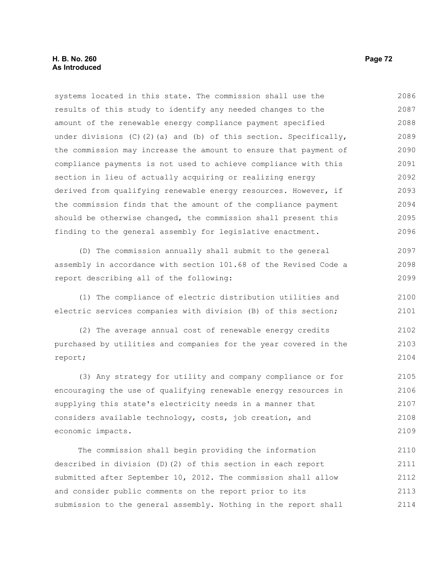systems located in this state. The commission shall use the results of this study to identify any needed changes to the amount of the renewable energy compliance payment specified under divisions (C)(2)(a) and (b) of this section. Specifically, the commission may increase the amount to ensure that payment of compliance payments is not used to achieve compliance with this section in lieu of actually acquiring or realizing energy derived from qualifying renewable energy resources. However, if the commission finds that the amount of the compliance payment should be otherwise changed, the commission shall present this finding to the general assembly for legislative enactment. (D) The commission annually shall submit to the general 2086 2087 2088 2089 2090 2091 2092 2093 2094 2095 2096 2097

assembly in accordance with section 101.68 of the Revised Code a report describing all of the following: 2098 2099

(1) The compliance of electric distribution utilities and electric services companies with division (B) of this section; 2100 2101

(2) The average annual cost of renewable energy credits purchased by utilities and companies for the year covered in the report; 2102 2103 2104

(3) Any strategy for utility and company compliance or for encouraging the use of qualifying renewable energy resources in supplying this state's electricity needs in a manner that considers available technology, costs, job creation, and economic impacts. 2105 2106 2107 2108 2109

The commission shall begin providing the information described in division (D)(2) of this section in each report submitted after September 10, 2012. The commission shall allow and consider public comments on the report prior to its submission to the general assembly. Nothing in the report shall 2110 2111 2112 2113 2114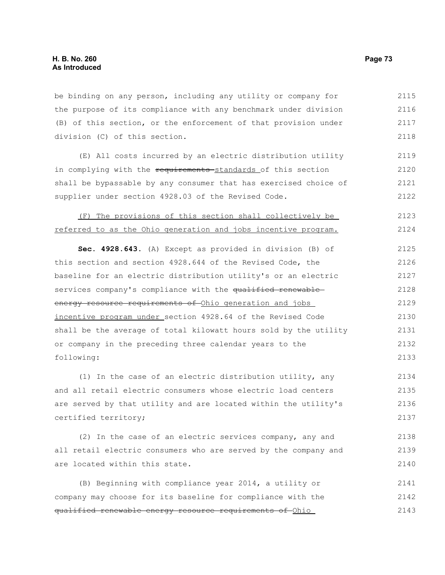be binding on any person, including any utility or company for the purpose of its compliance with any benchmark under division (B) of this section, or the enforcement of that provision under division (C) of this section. 2115 2116 2117 2118

(E) All costs incurred by an electric distribution utility in complying with the requirements standards of this section shall be bypassable by any consumer that has exercised choice of supplier under section 4928.03 of the Revised Code. 2119 2120 2121 2122

(F) The provisions of this section shall collectively be referred to as the Ohio generation and jobs incentive program. 2123 2124

**Sec. 4928.643.** (A) Except as provided in division (B) of this section and section 4928.644 of the Revised Code, the baseline for an electric distribution utility's or an electric services company's compliance with the qualified renewableenergy resource requirements of Ohio generation and jobs incentive program under section 4928.64 of the Revised Code shall be the average of total kilowatt hours sold by the utility or company in the preceding three calendar years to the following: 2125 2126 2127 2128 2129 2130 2131 2132 2133

(1) In the case of an electric distribution utility, any and all retail electric consumers whose electric load centers are served by that utility and are located within the utility's certified territory; 2134 2135 2136 2137

(2) In the case of an electric services company, any and all retail electric consumers who are served by the company and are located within this state. 2138 2139 2140

(B) Beginning with compliance year 2014, a utility or company may choose for its baseline for compliance with the qualified renewable energy resource requirements of Ohio 2141 2142 2143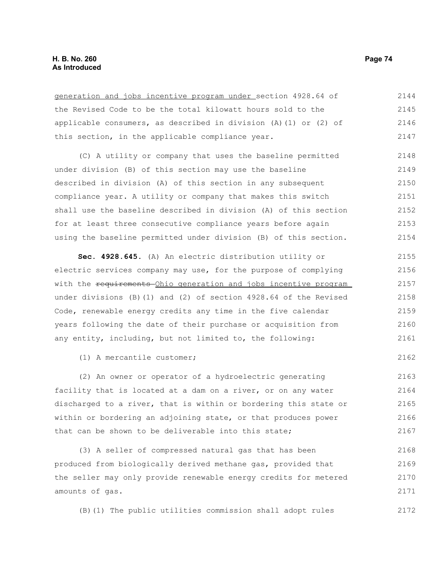| generation and jobs incentive program under section 4928.64 of       | 2144 |
|----------------------------------------------------------------------|------|
| the Revised Code to be the total kilowatt hours sold to the          | 2145 |
| applicable consumers, as described in division $(A) (1)$ or $(2)$ of | 2146 |
| this section, in the applicable compliance year.                     | 2147 |

(C) A utility or company that uses the baseline permitted under division (B) of this section may use the baseline described in division (A) of this section in any subsequent compliance year. A utility or company that makes this switch shall use the baseline described in division (A) of this section for at least three consecutive compliance years before again using the baseline permitted under division (B) of this section. 2148 2149 2150 2151 2152 2153 2154

**Sec. 4928.645.** (A) An electric distribution utility or electric services company may use, for the purpose of complying with the requirements Ohio generation and jobs incentive program under divisions (B)(1) and (2) of section 4928.64 of the Revised Code, renewable energy credits any time in the five calendar years following the date of their purchase or acquisition from any entity, including, but not limited to, the following: 2155 2156 2157 2158 2159 2160 2161

(1) A mercantile customer;

(2) An owner or operator of a hydroelectric generating facility that is located at a dam on a river, or on any water discharged to a river, that is within or bordering this state or within or bordering an adjoining state, or that produces power that can be shown to be deliverable into this state; 2163 2164 2165 2166 2167

(3) A seller of compressed natural gas that has been produced from biologically derived methane gas, provided that the seller may only provide renewable energy credits for metered amounts of gas. 2168 2169 2170 2171

(B)(1) The public utilities commission shall adopt rules 2172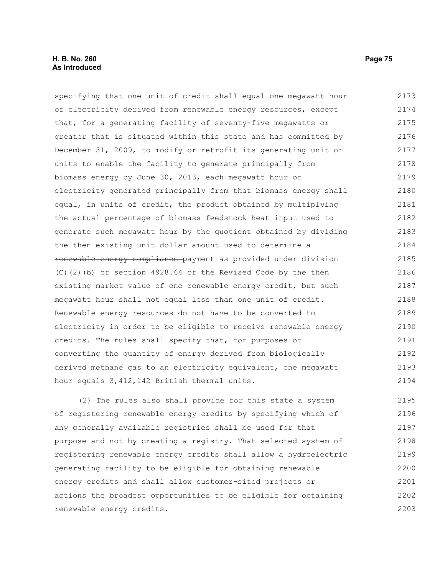#### **H. B. No. 260 Page 75 As Introduced**

specifying that one unit of credit shall equal one megawatt hour of electricity derived from renewable energy resources, except that, for a generating facility of seventy-five megawatts or greater that is situated within this state and has committed by December 31, 2009, to modify or retrofit its generating unit or units to enable the facility to generate principally from biomass energy by June 30, 2013, each megawatt hour of electricity generated principally from that biomass energy shall equal, in units of credit, the product obtained by multiplying the actual percentage of biomass feedstock heat input used to generate such megawatt hour by the quotient obtained by dividing the then existing unit dollar amount used to determine a renewable energy compliance payment as provided under division (C)(2)(b) of section 4928.64 of the Revised Code by the then existing market value of one renewable energy credit, but such megawatt hour shall not equal less than one unit of credit. Renewable energy resources do not have to be converted to electricity in order to be eligible to receive renewable energy credits. The rules shall specify that, for purposes of converting the quantity of energy derived from biologically derived methane gas to an electricity equivalent, one megawatt hour equals 3,412,142 British thermal units. 2173 2174 2175 2176 2177 2178 2179 2180 2181 2182 2183 2184 2185 2186 2187 2188 2189 2190 2191 2192 2193 2194

(2) The rules also shall provide for this state a system of registering renewable energy credits by specifying which of any generally available registries shall be used for that purpose and not by creating a registry. That selected system of registering renewable energy credits shall allow a hydroelectric generating facility to be eligible for obtaining renewable energy credits and shall allow customer-sited projects or actions the broadest opportunities to be eligible for obtaining renewable energy credits. 2195 2196 2197 2198 2199 2200 2201 2202 2203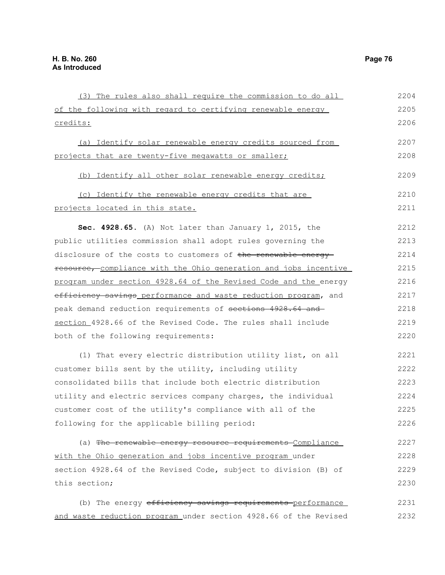| (3) The rules also shall require the commission to do all        | 2204 |
|------------------------------------------------------------------|------|
| of the following with regard to certifying renewable energy      | 2205 |
| <u>credits:</u>                                                  | 2206 |
| (a) Identify solar renewable energy credits sourced from         | 2207 |
| projects that are twenty-five megawatts or smaller;              | 2208 |
| (b) Identify all other solar renewable energy credits;           | 2209 |
| (c) Identify the renewable energy credits that are               | 2210 |
| projects located in this state.                                  | 2211 |
| Sec. 4928.65. (A) Not later than January 1, 2015, the            | 2212 |
| public utilities commission shall adopt rules governing the      | 2213 |
| disclosure of the costs to customers of the renewable energy     | 2214 |
| resource, compliance with the Ohio generation and jobs incentive | 2215 |
| program under section 4928.64 of the Revised Code and the energy | 2216 |
| efficiency savings_performance and waste reduction program, and  | 2217 |
| peak demand reduction requirements of sections 4928.64 and       | 2218 |
| section 4928.66 of the Revised Code. The rules shall include     | 2219 |
| both of the following requirements:                              | 2220 |
| (1) That every electric distribution utility list, on all        | 2221 |
| customer bills sent by the utility, including utility            | 2222 |
| consolidated bills that include both electric distribution       | 2223 |
| utility and electric services company charges, the individual    | 2224 |
| customer cost of the utility's compliance with all of the        | 2225 |
| following for the applicable billing period:                     | 2226 |
| (a) The renewable energy resource requirements Compliance        | 2227 |
| with the Ohio generation and jobs incentive program under        | 2228 |
| section 4928.64 of the Revised Code, subject to division (B) of  | 2229 |
| this section;                                                    | 2230 |
| (b) The energy efficiency savings requirements performance       | 2231 |

and waste reduction program under section 4928.66 of the Revised 2232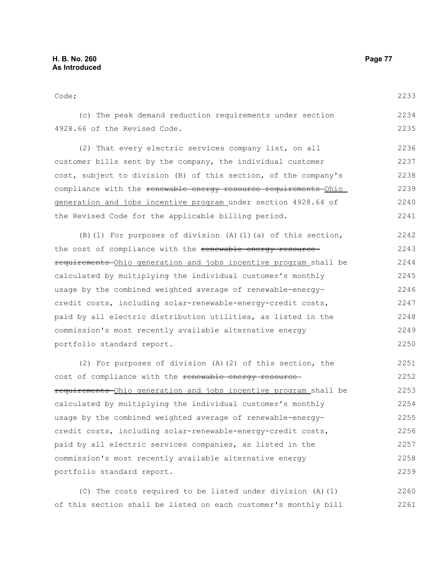Code; (c) The peak demand reduction requirements under section 4928.66 of the Revised Code. (2) That every electric services company list, on all customer bills sent by the company, the individual customer cost, subject to division (B) of this section, of the company's compliance with the renewable energy resource requirements Ohio generation and jobs incentive program under section 4928.64 of the Revised Code for the applicable billing period. (B)(1) For purposes of division (A)(1)(a) of this section, the cost of compliance with the renewable energy resource requirements Ohio generation and jobs incentive program shall be calculated by multiplying the individual customer's monthly usage by the combined weighted average of renewable-energycredit costs, including solar-renewable-energy-credit costs, paid by all electric distribution utilities, as listed in the commission's most recently available alternative energy portfolio standard report. (2) For purposes of division (A)(2) of this section, the cost of compliance with the renewable energy resourcerequirements Ohio generation and jobs incentive program shall be calculated by multiplying the individual customer's monthly usage by the combined weighted average of renewable-energycredit costs, including solar-renewable-energy-credit costs, paid by all electric services companies, as listed in the commission's most recently available alternative energy portfolio standard report. 2233 2234 2235 2236 2237 2238 2239 2240 2241 2242 2243 2244 2245 2246 2247 2248 2249 2250 2251 2252 2253 2254 2255 2256 2257 2258 2259

(C) The costs required to be listed under division (A)(1) of this section shall be listed on each customer's monthly bill 2260 2261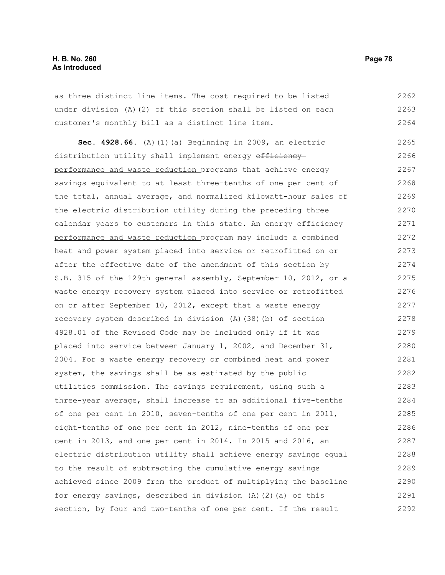as three distinct line items. The cost required to be listed under division (A)(2) of this section shall be listed on each customer's monthly bill as a distinct line item. 2262 2263 2264

**Sec. 4928.66.** (A)(1)(a) Beginning in 2009, an electric distribution utility shall implement energy efficiency performance and waste reduction programs that achieve energy savings equivalent to at least three-tenths of one per cent of the total, annual average, and normalized kilowatt-hour sales of the electric distribution utility during the preceding three calendar years to customers in this state. An energy efficiency performance and waste reduction program may include a combined heat and power system placed into service or retrofitted on or after the effective date of the amendment of this section by S.B. 315 of the 129th general assembly, September 10, 2012, or a waste energy recovery system placed into service or retrofitted on or after September 10, 2012, except that a waste energy recovery system described in division (A)(38)(b) of section 4928.01 of the Revised Code may be included only if it was placed into service between January 1, 2002, and December 31, 2004. For a waste energy recovery or combined heat and power system, the savings shall be as estimated by the public utilities commission. The savings requirement, using such a three-year average, shall increase to an additional five-tenths of one per cent in 2010, seven-tenths of one per cent in 2011, eight-tenths of one per cent in 2012, nine-tenths of one per cent in 2013, and one per cent in 2014. In 2015 and 2016, an electric distribution utility shall achieve energy savings equal to the result of subtracting the cumulative energy savings achieved since 2009 from the product of multiplying the baseline for energy savings, described in division (A)(2)(a) of this section, by four and two-tenths of one per cent. If the result 2265 2266 2267 2268 2269 2270 2271 2272 2273 2274 2275 2276 2277 2278 2279 2280 2281 2282 2283 2284 2285 2286 2287 2288 2289 2290 2291 2292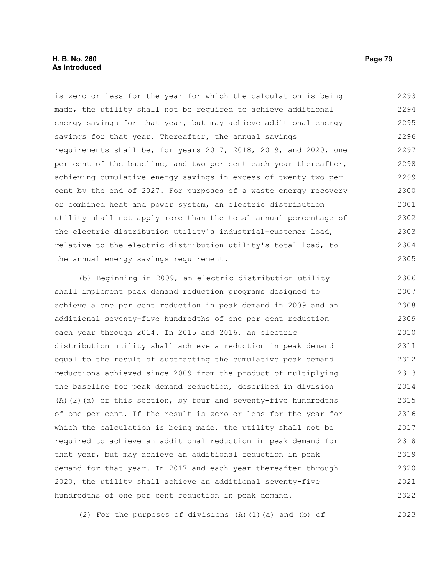is zero or less for the year for which the calculation is being made, the utility shall not be required to achieve additional energy savings for that year, but may achieve additional energy savings for that year. Thereafter, the annual savings requirements shall be, for years 2017, 2018, 2019, and 2020, one per cent of the baseline, and two per cent each year thereafter, achieving cumulative energy savings in excess of twenty-two per cent by the end of 2027. For purposes of a waste energy recovery or combined heat and power system, an electric distribution utility shall not apply more than the total annual percentage of the electric distribution utility's industrial-customer load, relative to the electric distribution utility's total load, to the annual energy savings requirement. 2293 2294 2295 2296 2297 2298 2299 2300 2301 2302 2303 2304 2305

(b) Beginning in 2009, an electric distribution utility shall implement peak demand reduction programs designed to achieve a one per cent reduction in peak demand in 2009 and an additional seventy-five hundredths of one per cent reduction each year through 2014. In 2015 and 2016, an electric distribution utility shall achieve a reduction in peak demand equal to the result of subtracting the cumulative peak demand reductions achieved since 2009 from the product of multiplying the baseline for peak demand reduction, described in division  $(A)$  (2)(a) of this section, by four and seventy-five hundredths of one per cent. If the result is zero or less for the year for which the calculation is being made, the utility shall not be required to achieve an additional reduction in peak demand for that year, but may achieve an additional reduction in peak demand for that year. In 2017 and each year thereafter through 2020, the utility shall achieve an additional seventy-five hundredths of one per cent reduction in peak demand. 2306 2307 2308 2309 2310 2311 2312 2313 2314 2315 2316 2317 2318 2319 2320 2321 2322

(2) For the purposes of divisions (A)(1)(a) and (b) of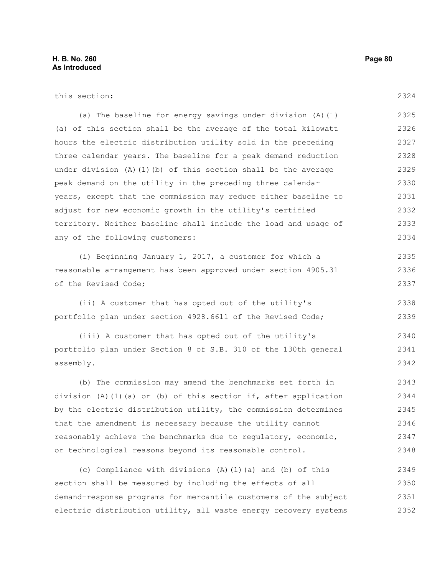# this section:

2324

(a) The baseline for energy savings under division (A)(1) (a) of this section shall be the average of the total kilowatt hours the electric distribution utility sold in the preceding three calendar years. The baseline for a peak demand reduction under division (A)(1)(b) of this section shall be the average peak demand on the utility in the preceding three calendar years, except that the commission may reduce either baseline to adjust for new economic growth in the utility's certified territory. Neither baseline shall include the load and usage of any of the following customers: 2325 2326 2327 2328 2329 2330 2331 2332 2333 2334

(i) Beginning January 1, 2017, a customer for which a reasonable arrangement has been approved under section 4905.31 of the Revised Code; 2335 2336 2337

(ii) A customer that has opted out of the utility's portfolio plan under section 4928.6611 of the Revised Code; 2338 2339

(iii) A customer that has opted out of the utility's portfolio plan under Section 8 of S.B. 310 of the 130th general assembly. 2340 2341 2342

(b) The commission may amend the benchmarks set forth in division (A)(1)(a) or (b) of this section if, after application by the electric distribution utility, the commission determines that the amendment is necessary because the utility cannot reasonably achieve the benchmarks due to regulatory, economic, or technological reasons beyond its reasonable control. 2343 2344 2345 2346 2347 2348

(c) Compliance with divisions (A)(1)(a) and (b) of this section shall be measured by including the effects of all demand-response programs for mercantile customers of the subject electric distribution utility, all waste energy recovery systems 2349 2350 2351 2352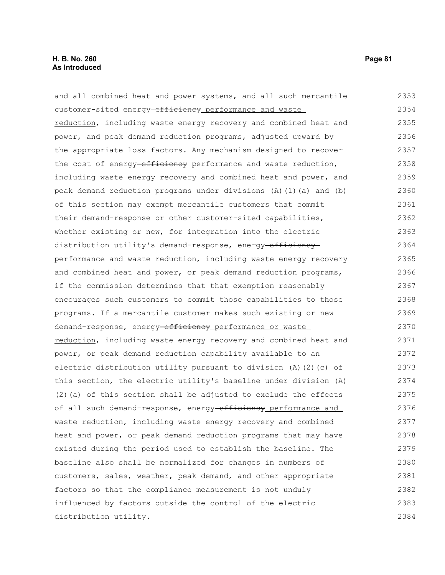| and all combined heat and power systems, and all such mercantile        | 2353 |
|-------------------------------------------------------------------------|------|
| customer-sited energy-efficiency performance and waste                  | 2354 |
| reduction, including waste energy recovery and combined heat and        | 2355 |
| power, and peak demand reduction programs, adjusted upward by           | 2356 |
| the appropriate loss factors. Any mechanism designed to recover         | 2357 |
| the cost of energy-efficiency performance and waste reduction,          | 2358 |
| including waste energy recovery and combined heat and power, and        | 2359 |
| peak demand reduction programs under divisions (A) (1) (a) and (b)      | 2360 |
| of this section may exempt mercantile customers that commit             | 2361 |
| their demand-response or other customer-sited capabilities,             | 2362 |
| whether existing or new, for integration into the electric              | 2363 |
| distribution utility's demand-response, energy-efficiency-              | 2364 |
| performance and waste reduction, including waste energy recovery        | 2365 |
| and combined heat and power, or peak demand reduction programs,         | 2366 |
| if the commission determines that that exemption reasonably             | 2367 |
| encourages such customers to commit those capabilities to those         | 2368 |
| programs. If a mercantile customer makes such existing or new           | 2369 |
| demand-response, energy-efficiency performance or waste                 | 2370 |
| reduction, including waste energy recovery and combined heat and        | 2371 |
| power, or peak demand reduction capability available to an              | 2372 |
| electric distribution utility pursuant to division $(A)$ $(2)$ $(c)$ of | 2373 |
| this section, the electric utility's baseline under division (A)        | 2374 |
| (2) (a) of this section shall be adjusted to exclude the effects        | 2375 |
| of all such demand-response, energy-efficiency performance and          | 2376 |
| waste reduction, including waste energy recovery and combined           | 2377 |
| heat and power, or peak demand reduction programs that may have         | 2378 |
| existed during the period used to establish the baseline. The           | 2379 |
| baseline also shall be normalized for changes in numbers of             | 2380 |
| customers, sales, weather, peak demand, and other appropriate           | 2381 |
| factors so that the compliance measurement is not unduly                | 2382 |
| influenced by factors outside the control of the electric               | 2383 |
| distribution utility.                                                   | 2384 |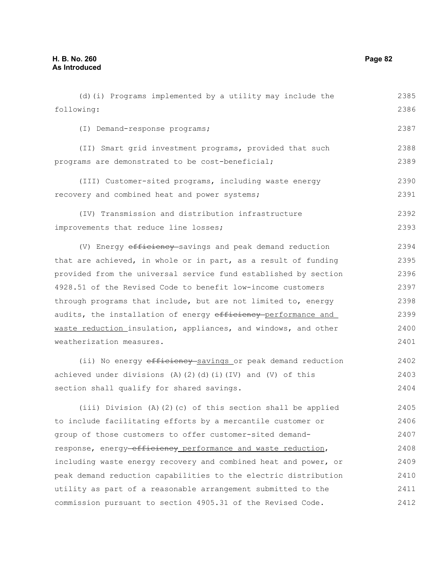following: (I) Demand-response programs; (II) Smart grid investment programs, provided that such programs are demonstrated to be cost-beneficial; (III) Customer-sited programs, including waste energy recovery and combined heat and power systems; (IV) Transmission and distribution infrastructure improvements that reduce line losses; (V) Energy efficiency savings and peak demand reduction that are achieved, in whole or in part, as a result of funding provided from the universal service fund established by section 4928.51 of the Revised Code to benefit low-income customers through programs that include, but are not limited to, energy audits, the installation of energy efficiency-performance and waste reduction insulation, appliances, and windows, and other weatherization measures. (ii) No energy efficiency savings or peak demand reduction achieved under divisions (A)(2)(d)(i)(IV) and (V) of this section shall qualify for shared savings. (iii) Division (A)(2)(c) of this section shall be applied to include facilitating efforts by a mercantile customer or group of those customers to offer customer-sited demandresponse, energy-efficiency performance and waste reduction, including waste energy recovery and combined heat and power, or 2386 2387 2388 2389 2390 2391 2392 2393 2394 2395 2396 2397 2398 2399 2400 2401 2402 2403 2404 2405 2406 2407 2408 2409

(d)(i) Programs implemented by a utility may include the

peak demand reduction capabilities to the electric distribution utility as part of a reasonable arrangement submitted to the commission pursuant to section 4905.31 of the Revised Code. 2410 2411 2412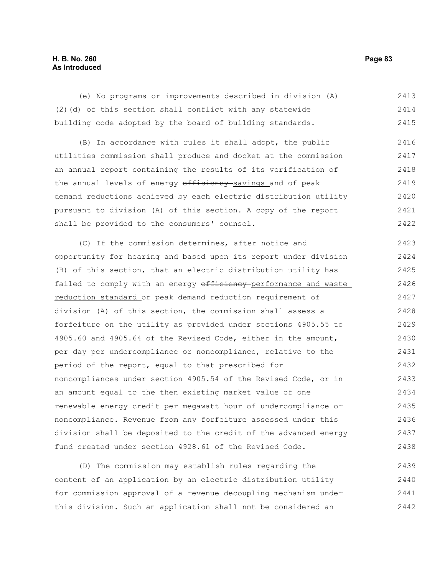## **H. B. No. 260 Page 83 As Introduced**

(e) No programs or improvements described in division (A) (2)(d) of this section shall conflict with any statewide building code adopted by the board of building standards. 2413 2414 2415

(B) In accordance with rules it shall adopt, the public utilities commission shall produce and docket at the commission an annual report containing the results of its verification of the annual levels of energy efficiency-savings and of peak demand reductions achieved by each electric distribution utility pursuant to division (A) of this section. A copy of the report shall be provided to the consumers' counsel. 2416 2417 2418 2419 2420 2421 2422

(C) If the commission determines, after notice and opportunity for hearing and based upon its report under division (B) of this section, that an electric distribution utility has failed to comply with an energy efficiency-performance and waste reduction standard or peak demand reduction requirement of division (A) of this section, the commission shall assess a forfeiture on the utility as provided under sections 4905.55 to 4905.60 and 4905.64 of the Revised Code, either in the amount, per day per undercompliance or noncompliance, relative to the period of the report, equal to that prescribed for noncompliances under section 4905.54 of the Revised Code, or in an amount equal to the then existing market value of one renewable energy credit per megawatt hour of undercompliance or noncompliance. Revenue from any forfeiture assessed under this division shall be deposited to the credit of the advanced energy fund created under section 4928.61 of the Revised Code. 2423 2424 2425 2426 2427 2428 2429 2430 2431 2432 2433 2434 2435 2436 2437 2438

(D) The commission may establish rules regarding the content of an application by an electric distribution utility for commission approval of a revenue decoupling mechanism under this division. Such an application shall not be considered an 2439 2440 2441 2442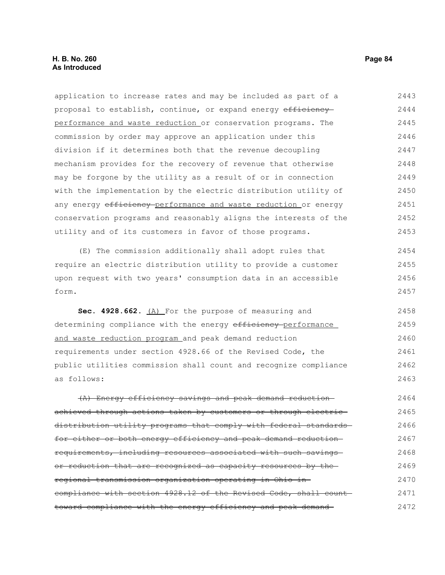proposal to establish, continue, or expand energy efficiency performance and waste reduction or conservation programs. The commission by order may approve an application under this division if it determines both that the revenue decoupling mechanism provides for the recovery of revenue that otherwise may be forgone by the utility as a result of or in connection with the implementation by the electric distribution utility of any energy efficiency-performance and waste reduction or energy conservation programs and reasonably aligns the interests of the utility and of its customers in favor of those programs. (E) The commission additionally shall adopt rules that require an electric distribution utility to provide a customer upon request with two years' consumption data in an accessible form. **Sec. 4928.662.** (A) For the purpose of measuring and determining compliance with the energy efficiency-performance and waste reduction program and peak demand reduction requirements under section 4928.66 of the Revised Code, the public utilities commission shall count and recognize compliance as follows: (A) Energy efficiency savings and peak demand reduction achieved through actions taken by customers or through electric distribution utility programs that comply with federal standardsfor either or both energy efficiency and peak demand reduction requirements, including resources associated with such savings or reduction that are recognized as capacity resources by the 2444 2445 2446 2447 2448 2449 2450 2451 2452 2453 2454 2455 2456 2457 2458 2459 2460 2461 2462 2463 2464 2465 2466 2467 2468 2469

application to increase rates and may be included as part of a

regional transmission organization operating in Ohio in compliance with section 4928.12 of the Revised Code, shall count toward compliance with the energy efficiency and peak demand 2470 2471 2472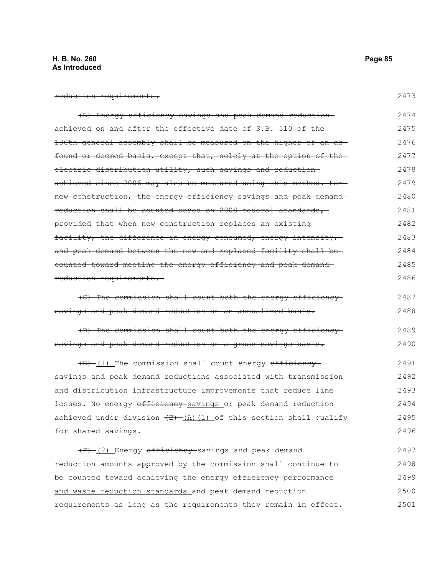# **H. B. No. 260 Page 85 As Introduced**

| reduction requirements. |
|-------------------------|
|                         |

| (B) Energy efficiency savings and peak demand reduction-                | 2474 |
|-------------------------------------------------------------------------|------|
| achieved on and after the effective date of S.B. 310 of the-            | 2475 |
| 130th general assembly shall be measured on the higher of an as-        | 2476 |
| found or deemed basis, except that, solely at the option of the         | 2477 |
| electric distribution utility, such savings and reduction-              | 2478 |
| achieved since 2006 may also be measured using this method. For-        | 2479 |
| new construction, the energy efficiency savings and peak demand-        | 2480 |
| reduction shall be counted based on 2008 federal standards,             | 2481 |
| provided that when new construction replaces an existing                | 2482 |
| facility, the difference in energy consumed, energy intensity,          | 2483 |
| and peak demand between the new and replaced facility shall be-         | 2484 |
| counted toward meeting the energy efficiency and peak demand-           | 2485 |
| reduction requirements.                                                 | 2486 |
| (C) The commission shall count both the energy efficiency               | 2487 |
| savings and peak demand reduction on an annualized basis.               | 2488 |
| (D) The commission shall count both the energy efficiency               | 2489 |
| savings and peak demand reduction on a gross savings basis.             | 2490 |
| (E)-(1) The commission shall count energy efficiency-                   | 2491 |
| savings and peak demand reductions associated with transmission         | 2492 |
| and distribution infrastructure improvements that reduce line           | 2493 |
| losses. No energy efficiency-savings or peak demand reduction           | 2494 |
| achieved under division $(E)$ $(A)$ $(1)$ of this section shall qualify | 2495 |
| for shared savings.                                                     | 2496 |
| (F) (2) Energy efficiency savings and peak demand                       | 2497 |
| reduction amounts approved by the commission shall continue to          | 2498 |
| be counted toward achieving the energy efficiency-performance           | 2499 |
| and waste reduction standards and peak demand reduction                 | 2500 |
| requirements as long as the requirements-they remain in effect.         | 2501 |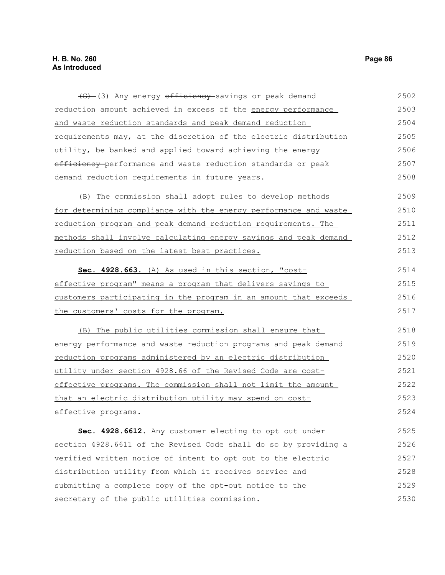| (G) (3) Any energy efficiency savings or peak demand                 | 2502 |
|----------------------------------------------------------------------|------|
| reduction amount achieved in excess of the energy performance        | 2503 |
| and waste reduction standards and peak demand reduction              | 2504 |
| requirements may, at the discretion of the electric distribution     | 2505 |
| utility, be banked and applied toward achieving the energy           | 2506 |
| efficiency-performance and waste reduction standards or peak         | 2507 |
| demand reduction requirements in future years.                       | 2508 |
| (B) The commission shall adopt rules to develop methods              | 2509 |
| for determining compliance with the energy performance and waste     | 2510 |
| <u>reduction</u> program and peak demand reduction requirements. The | 2511 |
| methods shall involve calculating energy savings and peak demand     | 2512 |
| reduction based on the latest best practices.                        | 2513 |
| Sec. 4928.663. (A) As used in this section, "cost-                   | 2514 |
| effective program" means a program that delivers savings to          | 2515 |
| customers participating in the program in an amount that exceeds     | 2516 |
| the customers' costs for the program.                                | 2517 |
| (B) The public utilities commission shall ensure that                | 2518 |
| energy performance and waste reduction programs and peak demand      | 2519 |
| reduction programs administered by an electric distribution          | 2520 |
| utility under section 4928.66 of the Revised Code are cost-          | 2521 |
| effective programs. The commission shall not limit the amount        | 2522 |
| that an electric distribution utility may spend on cost-             | 2523 |
| effective programs.                                                  | 2524 |
| Sec. 4928.6612. Any customer electing to opt out under               | 2525 |
| section 4928.6611 of the Revised Code shall do so by providing a     | 2526 |
| verified written notice of intent to opt out to the electric         | 2527 |
| distribution utility from which it receives service and              | 2528 |
| submitting a complete copy of the opt-out notice to the              | 2529 |

secretary of the public utilities commission.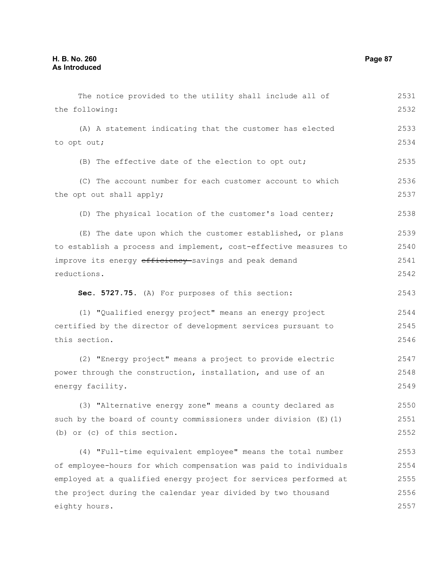The notice provided to the utility shall include all of the following: (A) A statement indicating that the customer has elected to opt out; (B) The effective date of the election to opt out; (C) The account number for each customer account to which the opt out shall apply; (D) The physical location of the customer's load center; (E) The date upon which the customer established, or plans to establish a process and implement, cost-effective measures to improve its energy efficiency-savings and peak demand reductions. **Sec. 5727.75.** (A) For purposes of this section: (1) "Qualified energy project" means an energy project certified by the director of development services pursuant to this section. (2) "Energy project" means a project to provide electric power through the construction, installation, and use of an energy facility. (3) "Alternative energy zone" means a county declared as such by the board of county commissioners under division (E)(1) (b) or (c) of this section. (4) "Full-time equivalent employee" means the total number of employee-hours for which compensation was paid to individuals employed at a qualified energy project for services performed at the project during the calendar year divided by two thousand eighty hours. 2531 2532 2533 2534 2535 2536 2537 2538 2539 2540 2541 2542 2543 2544 2545 2546 2547 2548 2549 2550 2551 2552 2553 2554 2555 2556 2557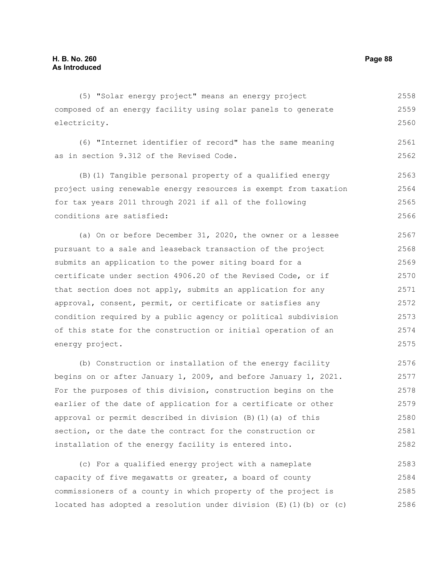(5) "Solar energy project" means an energy project composed of an energy facility using solar panels to generate electricity. 2558 2559 2560

(6) "Internet identifier of record" has the same meaning as in section 9.312 of the Revised Code. 2561 2562

(B)(1) Tangible personal property of a qualified energy project using renewable energy resources is exempt from taxation for tax years 2011 through 2021 if all of the following conditions are satisfied: 2563 2564 2565 2566

(a) On or before December 31, 2020, the owner or a lessee pursuant to a sale and leaseback transaction of the project submits an application to the power siting board for a certificate under section 4906.20 of the Revised Code, or if that section does not apply, submits an application for any approval, consent, permit, or certificate or satisfies any condition required by a public agency or political subdivision of this state for the construction or initial operation of an energy project. 2567 2568 2569 2570 2571 2572 2573 2574 2575

(b) Construction or installation of the energy facility begins on or after January 1, 2009, and before January 1, 2021. For the purposes of this division, construction begins on the earlier of the date of application for a certificate or other approval or permit described in division (B)(1)(a) of this section, or the date the contract for the construction or installation of the energy facility is entered into. 2576 2577 2578 2579 2580 2581 2582

(c) For a qualified energy project with a nameplate capacity of five megawatts or greater, a board of county commissioners of a county in which property of the project is located has adopted a resolution under division  $(E)$  (1)(b) or (c) 2583 2584 2585 2586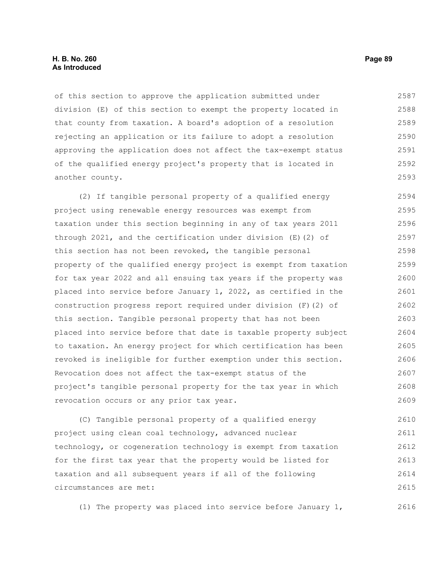#### **H. B. No. 260 Page 89 As Introduced**

of this section to approve the application submitted under division (E) of this section to exempt the property located in that county from taxation. A board's adoption of a resolution rejecting an application or its failure to adopt a resolution approving the application does not affect the tax-exempt status of the qualified energy project's property that is located in another county. 2587 2588 2589 2590 2591 2592 2593

(2) If tangible personal property of a qualified energy project using renewable energy resources was exempt from taxation under this section beginning in any of tax years 2011 through 2021, and the certification under division (E)(2) of this section has not been revoked, the tangible personal property of the qualified energy project is exempt from taxation for tax year 2022 and all ensuing tax years if the property was placed into service before January 1, 2022, as certified in the construction progress report required under division (F)(2) of this section. Tangible personal property that has not been placed into service before that date is taxable property subject to taxation. An energy project for which certification has been revoked is ineligible for further exemption under this section. Revocation does not affect the tax-exempt status of the project's tangible personal property for the tax year in which revocation occurs or any prior tax year. 2594 2595 2596 2597 2598 2599 2600 2601 2602 2603 2604 2605 2606 2607 2608 2609

(C) Tangible personal property of a qualified energy project using clean coal technology, advanced nuclear technology, or cogeneration technology is exempt from taxation for the first tax year that the property would be listed for taxation and all subsequent years if all of the following circumstances are met: 2610 2611 2612 2613 2614 2615

(1) The property was placed into service before January 1, 2616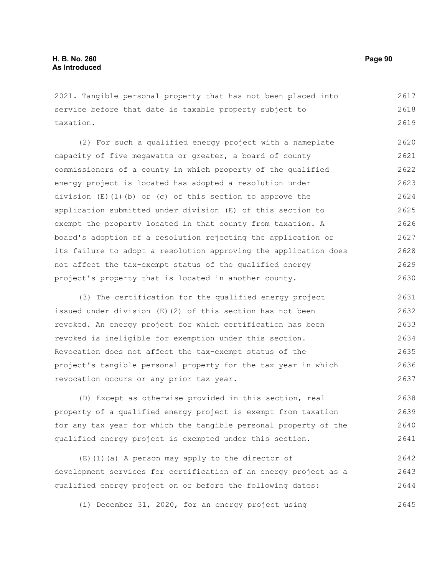2021. Tangible personal property that has not been placed into service before that date is taxable property subject to taxation. 2617 2618 2619

(2) For such a qualified energy project with a nameplate capacity of five megawatts or greater, a board of county commissioners of a county in which property of the qualified energy project is located has adopted a resolution under division  $(E)(1)(b)$  or (c) of this section to approve the application submitted under division (E) of this section to exempt the property located in that county from taxation. A board's adoption of a resolution rejecting the application or its failure to adopt a resolution approving the application does not affect the tax-exempt status of the qualified energy project's property that is located in another county. 2620 2621 2622 2623 2624 2625 2626 2627 2628 2629 2630

(3) The certification for the qualified energy project issued under division (E)(2) of this section has not been revoked. An energy project for which certification has been revoked is ineligible for exemption under this section. Revocation does not affect the tax-exempt status of the project's tangible personal property for the tax year in which revocation occurs or any prior tax year. 2631 2632 2633 2634 2635 2636 2637

(D) Except as otherwise provided in this section, real property of a qualified energy project is exempt from taxation for any tax year for which the tangible personal property of the qualified energy project is exempted under this section. 2638 2639 2640 2641

(E)(1)(a) A person may apply to the director of development services for certification of an energy project as a qualified energy project on or before the following dates: 2642 2643 2644

(i) December 31, 2020, for an energy project using 2645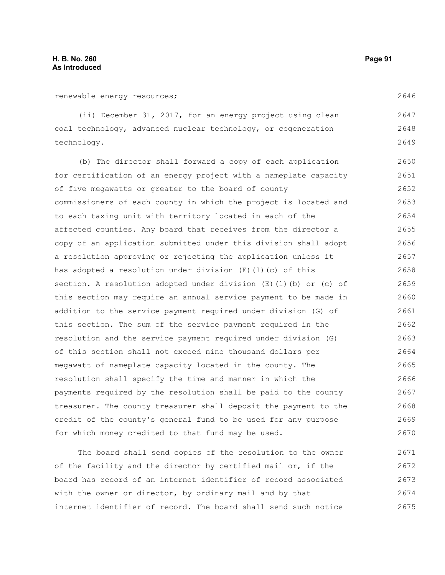renewable energy resources;

(ii) December 31, 2017, for an energy project using clean coal technology, advanced nuclear technology, or cogeneration technology. 2647 2648 2649

(b) The director shall forward a copy of each application for certification of an energy project with a nameplate capacity of five megawatts or greater to the board of county commissioners of each county in which the project is located and to each taxing unit with territory located in each of the affected counties. Any board that receives from the director a copy of an application submitted under this division shall adopt a resolution approving or rejecting the application unless it has adopted a resolution under division  $(E)$  (1)(c) of this section. A resolution adopted under division (E)(1)(b) or (c) of this section may require an annual service payment to be made in addition to the service payment required under division (G) of this section. The sum of the service payment required in the resolution and the service payment required under division (G) of this section shall not exceed nine thousand dollars per megawatt of nameplate capacity located in the county. The resolution shall specify the time and manner in which the payments required by the resolution shall be paid to the county treasurer. The county treasurer shall deposit the payment to the credit of the county's general fund to be used for any purpose for which money credited to that fund may be used. 2650 2651 2652 2653 2654 2655 2656 2657 2658 2659 2660 2661 2662 2663 2664 2665 2666 2667 2668 2669 2670

The board shall send copies of the resolution to the owner of the facility and the director by certified mail or, if the board has record of an internet identifier of record associated with the owner or director, by ordinary mail and by that internet identifier of record. The board shall send such notice 2671 2672 2673 2674 2675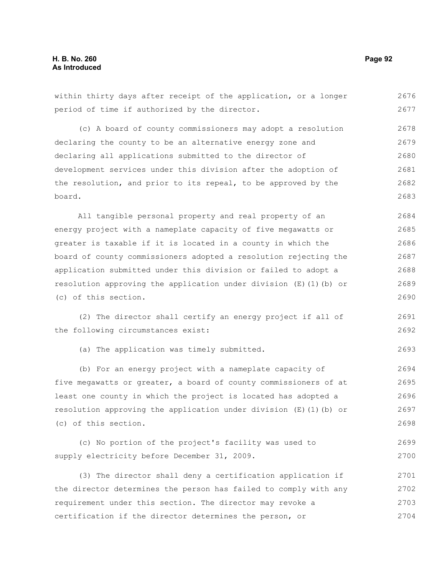within thirty days after receipt of the application, or a longer period of time if authorized by the director. (c) A board of county commissioners may adopt a resolution declaring the county to be an alternative energy zone and declaring all applications submitted to the director of development services under this division after the adoption of the resolution, and prior to its repeal, to be approved by the board. All tangible personal property and real property of an energy project with a nameplate capacity of five megawatts or greater is taxable if it is located in a county in which the board of county commissioners adopted a resolution rejecting the application submitted under this division or failed to adopt a resolution approving the application under division  $(E)$  (1)(b) or (c) of this section. (2) The director shall certify an energy project if all of the following circumstances exist: (a) The application was timely submitted. (b) For an energy project with a nameplate capacity of five megawatts or greater, a board of county commissioners of at least one county in which the project is located has adopted a resolution approving the application under division (E)(1)(b) or (c) of this section. 2676 2677 2678 2679 2680 2681 2682 2683 2684 2685 2686 2687 2688 2689 2690 2691 2692 2693 2694 2695 2696 2697 2698

(c) No portion of the project's facility was used to supply electricity before December 31, 2009. 2699 2700

(3) The director shall deny a certification application if the director determines the person has failed to comply with any requirement under this section. The director may revoke a certification if the director determines the person, or 2701 2702 2703 2704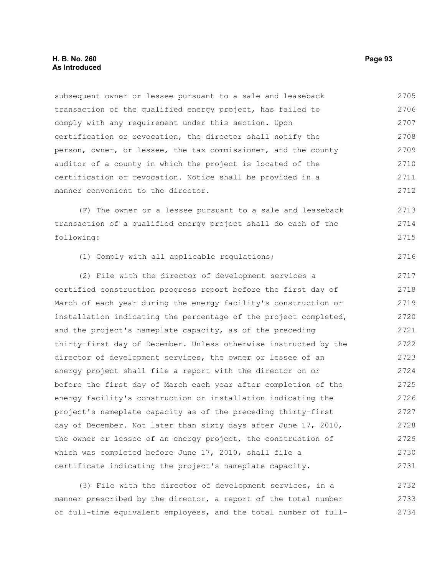subsequent owner or lessee pursuant to a sale and leaseback transaction of the qualified energy project, has failed to comply with any requirement under this section. Upon certification or revocation, the director shall notify the person, owner, or lessee, the tax commissioner, and the county auditor of a county in which the project is located of the certification or revocation. Notice shall be provided in a manner convenient to the director. 2705 2706 2707 2708 2709 2710 2711 2712

(F) The owner or a lessee pursuant to a sale and leaseback transaction of a qualified energy project shall do each of the following: 2713 2714 2715

(1) Comply with all applicable regulations; 2716

(2) File with the director of development services a certified construction progress report before the first day of March of each year during the energy facility's construction or installation indicating the percentage of the project completed, and the project's nameplate capacity, as of the preceding thirty-first day of December. Unless otherwise instructed by the director of development services, the owner or lessee of an energy project shall file a report with the director on or before the first day of March each year after completion of the energy facility's construction or installation indicating the project's nameplate capacity as of the preceding thirty-first day of December. Not later than sixty days after June 17, 2010, the owner or lessee of an energy project, the construction of which was completed before June 17, 2010, shall file a certificate indicating the project's nameplate capacity. 2717 2718 2719 2720 2721 2722 2723 2724 2725 2726 2727 2728 2729 2730 2731

(3) File with the director of development services, in a manner prescribed by the director, a report of the total number of full-time equivalent employees, and the total number of full-2732 2733 2734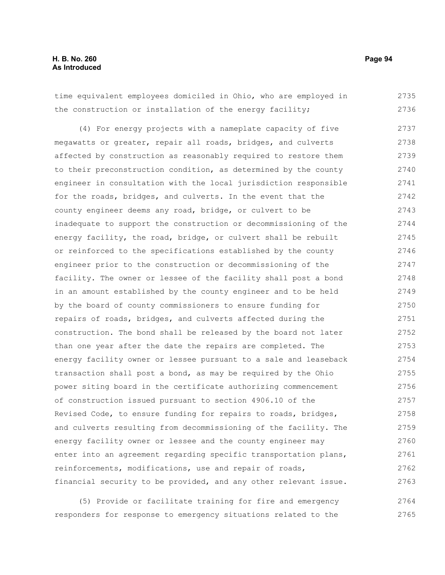time equivalent employees domiciled in Ohio, who are employed in the construction or installation of the energy facility; (4) For energy projects with a nameplate capacity of five megawatts or greater, repair all roads, bridges, and culverts affected by construction as reasonably required to restore them to their preconstruction condition, as determined by the county engineer in consultation with the local jurisdiction responsible for the roads, bridges, and culverts. In the event that the county engineer deems any road, bridge, or culvert to be inadequate to support the construction or decommissioning of the energy facility, the road, bridge, or culvert shall be rebuilt or reinforced to the specifications established by the county engineer prior to the construction or decommissioning of the facility. The owner or lessee of the facility shall post a bond in an amount established by the county engineer and to be held by the board of county commissioners to ensure funding for repairs of roads, bridges, and culverts affected during the construction. The bond shall be released by the board not later than one year after the date the repairs are completed. The energy facility owner or lessee pursuant to a sale and leaseback transaction shall post a bond, as may be required by the Ohio power siting board in the certificate authorizing commencement of construction issued pursuant to section 4906.10 of the Revised Code, to ensure funding for repairs to roads, bridges, and culverts resulting from decommissioning of the facility. The energy facility owner or lessee and the county engineer may enter into an agreement regarding specific transportation plans, reinforcements, modifications, use and repair of roads, financial security to be provided, and any other relevant issue. (5) Provide or facilitate training for fire and emergency 2735 2736 2737 2738 2739 2740 2741 2742 2743 2744 2745 2746 2747 2748 2749 2750 2751 2752 2753 2754 2755 2756 2757 2758 2759 2760 2761 2762 2763 2764

responders for response to emergency situations related to the 2765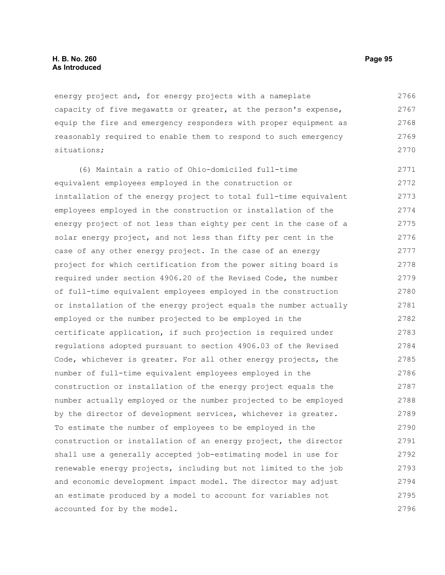### **H. B. No. 260 Page 95 As Introduced**

energy project and, for energy projects with a nameplate capacity of five megawatts or greater, at the person's expense, equip the fire and emergency responders with proper equipment as reasonably required to enable them to respond to such emergency situations; 2766 2767 2768 2769 2770

(6) Maintain a ratio of Ohio-domiciled full-time equivalent employees employed in the construction or installation of the energy project to total full-time equivalent employees employed in the construction or installation of the energy project of not less than eighty per cent in the case of a solar energy project, and not less than fifty per cent in the case of any other energy project. In the case of an energy project for which certification from the power siting board is required under section 4906.20 of the Revised Code, the number of full-time equivalent employees employed in the construction or installation of the energy project equals the number actually employed or the number projected to be employed in the certificate application, if such projection is required under regulations adopted pursuant to section 4906.03 of the Revised Code, whichever is greater. For all other energy projects, the number of full-time equivalent employees employed in the construction or installation of the energy project equals the number actually employed or the number projected to be employed by the director of development services, whichever is greater. To estimate the number of employees to be employed in the construction or installation of an energy project, the director shall use a generally accepted job-estimating model in use for renewable energy projects, including but not limited to the job and economic development impact model. The director may adjust an estimate produced by a model to account for variables not accounted for by the model. 2771 2772 2773 2774 2775 2776 2777 2778 2779 2780 2781 2782 2783 2784 2785 2786 2787 2788 2789 2790 2791 2792 2793 2794 2795 2796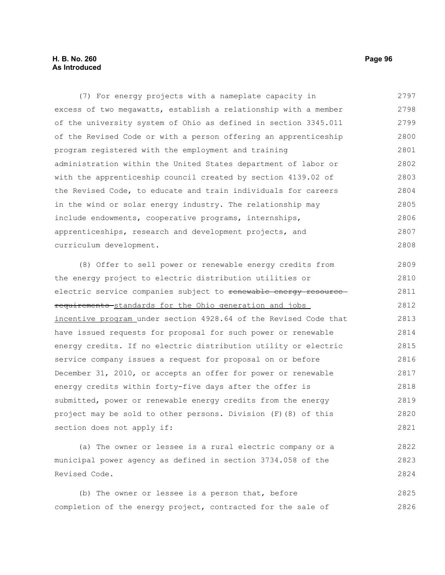## **H. B. No. 260 Page 96 As Introduced**

(7) For energy projects with a nameplate capacity in excess of two megawatts, establish a relationship with a member of the university system of Ohio as defined in section 3345.011 of the Revised Code or with a person offering an apprenticeship program registered with the employment and training administration within the United States department of labor or with the apprenticeship council created by section 4139.02 of the Revised Code, to educate and train individuals for careers in the wind or solar energy industry. The relationship may include endowments, cooperative programs, internships, apprenticeships, research and development projects, and curriculum development. (8) Offer to sell power or renewable energy credits from the energy project to electric distribution utilities or electric service companies subject to renewable energy resourcerequirements standards for the Ohio generation and jobs incentive program under section 4928.64 of the Revised Code that have issued requests for proposal for such power or renewable energy credits. If no electric distribution utility or electric service company issues a request for proposal on or before December 31, 2010, or accepts an offer for power or renewable energy credits within forty-five days after the offer is submitted, power or renewable energy credits from the energy 2797 2798 2799 2800 2801 2802 2803 2804 2805 2806 2807 2808 2809 2810 2811 2812 2813 2814 2815 2816 2817 2818 2819

project may be sold to other persons. Division (F)(8) of this section does not apply if: 2820 2821

(a) The owner or lessee is a rural electric company or a municipal power agency as defined in section 3734.058 of the Revised Code. 2822 2823 2824

(b) The owner or lessee is a person that, before completion of the energy project, contracted for the sale of 2825 2826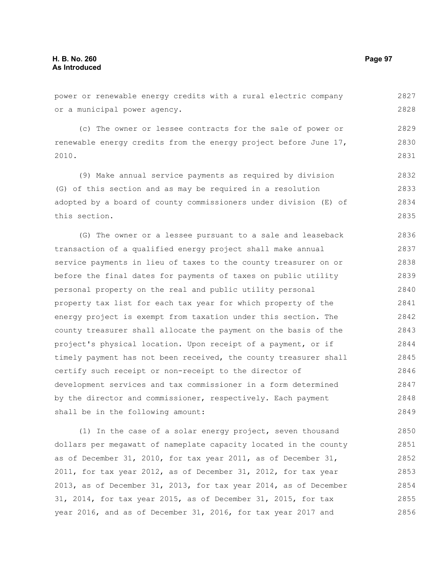power or renewable energy credits with a rural electric company or a municipal power agency.

(c) The owner or lessee contracts for the sale of power or renewable energy credits from the energy project before June 17, 2010. 2829 2830 2831

(9) Make annual service payments as required by division (G) of this section and as may be required in a resolution adopted by a board of county commissioners under division (E) of this section. 2832 2833 2834 2835

(G) The owner or a lessee pursuant to a sale and leaseback transaction of a qualified energy project shall make annual service payments in lieu of taxes to the county treasurer on or before the final dates for payments of taxes on public utility personal property on the real and public utility personal property tax list for each tax year for which property of the energy project is exempt from taxation under this section. The county treasurer shall allocate the payment on the basis of the project's physical location. Upon receipt of a payment, or if timely payment has not been received, the county treasurer shall certify such receipt or non-receipt to the director of development services and tax commissioner in a form determined by the director and commissioner, respectively. Each payment shall be in the following amount: 2836 2837 2838 2839 2840 2841 2842 2843 2844 2845 2846 2847 2848 2849

(1) In the case of a solar energy project, seven thousand dollars per megawatt of nameplate capacity located in the county as of December 31, 2010, for tax year 2011, as of December 31, 2011, for tax year 2012, as of December 31, 2012, for tax year 2013, as of December 31, 2013, for tax year 2014, as of December 31, 2014, for tax year 2015, as of December 31, 2015, for tax year 2016, and as of December 31, 2016, for tax year 2017 and 2850 2851 2852 2853 2854 2855 2856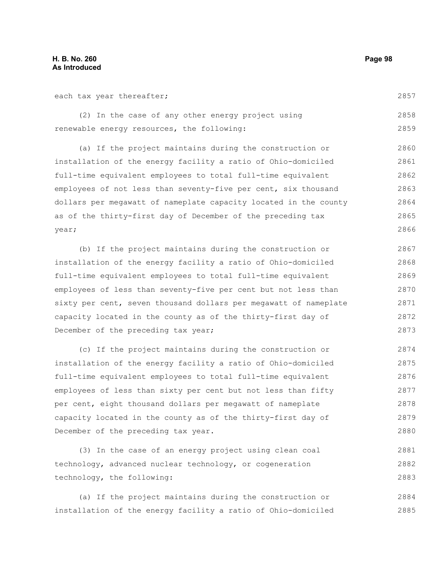each tax year thereafter;

(2) In the case of any other energy project using renewable energy resources, the following: 2858 2859

(a) If the project maintains during the construction or installation of the energy facility a ratio of Ohio-domiciled full-time equivalent employees to total full-time equivalent employees of not less than seventy-five per cent, six thousand dollars per megawatt of nameplate capacity located in the county as of the thirty-first day of December of the preceding tax year; 2860 2861 2862 2863 2864 2865 2866

(b) If the project maintains during the construction or installation of the energy facility a ratio of Ohio-domiciled full-time equivalent employees to total full-time equivalent employees of less than seventy-five per cent but not less than sixty per cent, seven thousand dollars per megawatt of nameplate capacity located in the county as of the thirty-first day of December of the preceding tax year; 2867 2868 2869 2870 2871 2872 2873

(c) If the project maintains during the construction or installation of the energy facility a ratio of Ohio-domiciled full-time equivalent employees to total full-time equivalent employees of less than sixty per cent but not less than fifty per cent, eight thousand dollars per megawatt of nameplate capacity located in the county as of the thirty-first day of December of the preceding tax year. 2874 2875 2876 2877 2878 2879

(3) In the case of an energy project using clean coal technology, advanced nuclear technology, or cogeneration technology, the following: 2882 2883

(a) If the project maintains during the construction or installation of the energy facility a ratio of Ohio-domiciled 2884 2885

2857